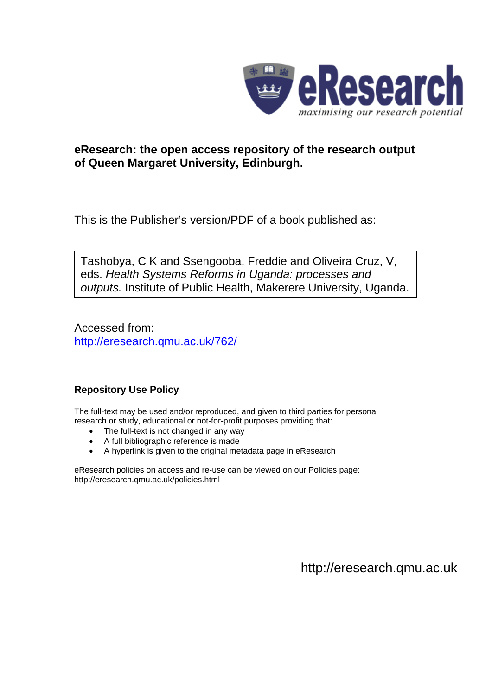

# **eResearch: the open access repository of the research output of Queen Margaret University, Edinburgh.**

This is the Publisher's version/PDF of a book published as:

Tashobya, C K and Ssengooba, Freddie and Oliveira Cruz, V, eds. *Health Systems Reforms in Uganda: processes and outputs.* Institute of Public Health, Makerere University, Uganda.

Accessed from: <http://eresearch.qmu.ac.uk/762/>

# **Repository Use Policy**

The full-text may be used and/or reproduced, and given to third parties for personal research or study, educational or not-for-profit purposes providing that:

- The full-text is not changed in any way
- A full bibliographic reference is made
- A hyperlink is given to the original metadata page in eResearch

eResearch policies on access and re-use can be viewed on our Policies page: <http://eresearch.qmu.ac.uk/policies.html>

[http://eresearch.qmu.ac.uk](http://eresearch.qmu.ac.uk/)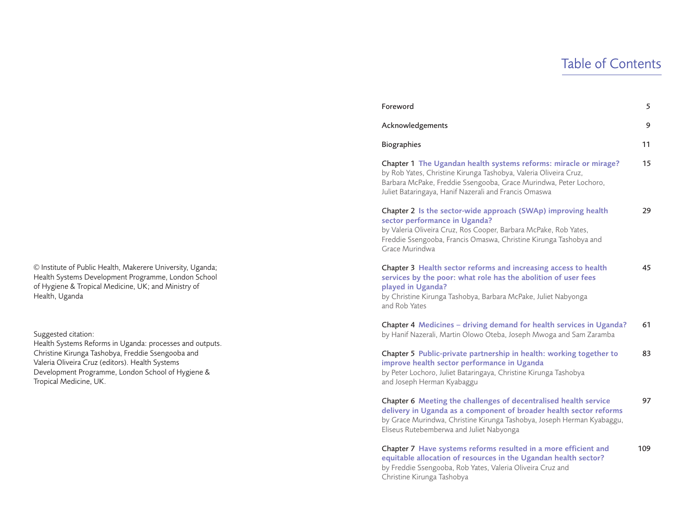# Table of Contents

|      | Chapter 1 The Ugandan health systems reforms: miracle or mirage?<br>by Rob Yates, Christine Kirunga Tashobya, Valeria Oliveira Cruz,<br>Barbara McPake, Freddie Ssengooba, Grace Murindwa, Peter Lochoro,<br>Juliet Bataringaya, Hanif Nazerali and Francis Omaswa | 15 |
|------|--------------------------------------------------------------------------------------------------------------------------------------------------------------------------------------------------------------------------------------------------------------------|----|
|      | Chapter 2 Is the sector-wide approach (SWAp) improving health<br>sector performance in Uganda?<br>by Valeria Oliveira Cruz, Ros Cooper, Barbara McPake, Rob Yates,<br>Freddie Ssengooba, Francis Omaswa, Christine Kirunga Tashobya and<br>Grace Murindwa          | 29 |
| эI   | Chapter 3 Health sector reforms and increasing access to health<br>services by the poor: what role has the abolition of user fees<br>played in Uganda?<br>by Christine Kirunga Tashobya, Barbara McPake, Juliet Nabyonga<br>and Rob Yates                          | 45 |
|      | Chapter 4 Medicines - driving demand for health services in Uganda?<br>by Hanif Nazerali, Martin Olowo Oteba, Joseph Mwoga and Sam Zaramba                                                                                                                         | 61 |
| its. | Chapter 5 Public-private partnership in health: working together to<br>improve health sector performance in Uganda<br>by Peter Lochoro, Juliet Bataringaya, Christine Kirunga Tashobya<br>and Joseph Herman Kyabaggu                                               | 83 |
|      | Chapter 6 Meeting the challenges of decentralised health service<br>delivery in Uganda as a component of broader health sector reforms<br>by Grace Murindwa, Christine Kirunga Tashobya, Joseph Herman Kyabaggu,<br>Eliseus Rutebemberwa and Juliet Nabyonga       | 97 |

Chapter 7 **Have systems reforms resulted in a more efficient and** 109 **equitable allocation of resources in the Ugandan health sector?** by Freddie Ssengooba, Rob Yates, Valeria Oliveira Cruz and Christine Kirunga Tashobya

Foreword 5

Acknowledgements 9

Biographies **11** 

© Institute of Public Health, Makerere University, Uganda; Health Systems Development Programme, London Schoo of Hygiene & Tropical Medicine, UK; and Ministry of Health, Uganda

Suggested citation:

Health Systems Reforms in Uganda: processes and output Christine Kirunga Tashobya, Freddie Ssengooba and Valeria Oliveira Cruz (editors). Health Systems Development Programme, London School of Hygiene & Tropical Medicine, UK.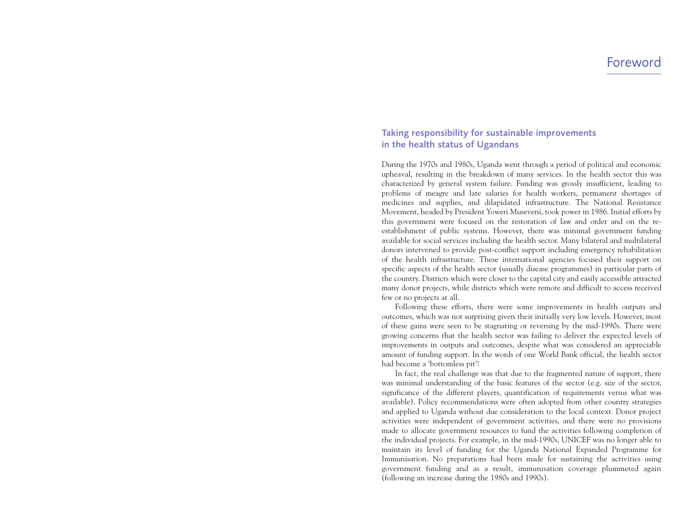# **Taking responsibility for sustainable improvements in the health status of Ugandans**

During the 1970s and 1980s, Uganda went through a period of political and economic upheaval, resulting in the breakdown of many services. In the health sector this was characterized by general system failure. Funding was grossly insufficient, leading to problems of meagre and late salaries for health workers, permanent shortages of medicines and supplies, and dilapidated infrastructure. The National Resistance Movement, headed by President Yoweri Museveni, took power in 1986. Initial efforts by this government were focused on the restoration of law and order and on the reestablishment of public systems. However, there was minimal government funding available for social services including the health sector. Many bilateral and multilateral donors intervened to provide post-conflict support including emergency rehabilitation of the health infrastructure. These international agencies focused their support on specific aspects of the health sector (usually disease programmes) in particular parts of the country. Districts which were closer to the capital city and easily accessible attracted many donor projects, while districts which were remote and difficult to access received few or no projects at all.

Following these efforts, there were some improvements in health outputs and outcomes, which was not surprising given their initially very low levels. However, most of these gains were seen to be stagnating or reversing by the mid-1990s. There were growing concerns that the health sector was failing to deliver the expected levels of improvements in outputs and outcomes, despite what was considered an appreciable amount of funding support. In the words of one World Bank official, the health sector had become a 'bottomless pit'!

In fact, the real challenge was that due to the fragmented nature of support, there was minimal understanding of the basic features of the sector (e.g. size of the sector, significance of the different players, quantification of requirements versus what was available). Policy recommendations were often adopted from other country strategies and applied to Uganda without due consideration to the local context. Donor project activities were independent of government activities, and there were no provisions made to allocate government resources to fund the activities following completion of the individual projects. For example, in the mid-1990s, UNICEF was no longer able to maintain its level of funding for the Uganda National Expanded Programme for Immunisation. No preparations had been made for sustaining the activities using government funding and as a result, immunisation coverage plummeted again (following an increase during the 1980s and 1990s).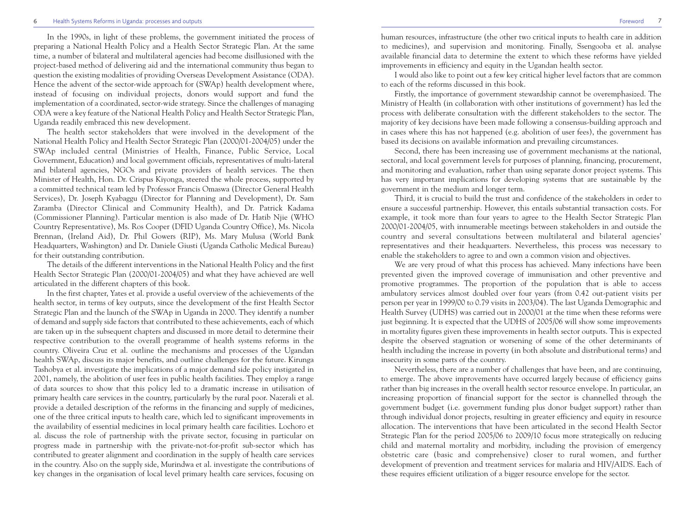#### 6 Health Systems Reforms in Uganda: processes and outputs Foreword 7

In the 1990s, in light of these problems, the government initiated the process of preparing a National Health Policy and a Health Sector Strategic Plan. At the same time, a number of bilateral and multilateral agencies had become disillusioned with the project-based method of delivering aid and the international community thus began to question the existing modalities of providing Overseas Development Assistance (ODA). Hence the advent of the sector-wide approach for (SWAp) health development where, instead of focusing on individual projects, donors would support and fund the implementation of a coordinated, sector-wide strategy. Since the challenges of managing ODA were a key feature of the National Health Policy and Health Sector Strategic Plan, Uganda readily embraced this new development.

The health sector stakeholders that were involved in the development of the National Health Policy and Health Sector Strategic Plan (2000/01-2004/05) under the SWAp included central (Ministries of Health, Finance, Public Service, Local Government, Education) and local government officials, representatives of multi-lateral and bilateral agencies, NGOs and private providers of health services. The then Minister of Health, Hon. Dr. Crispus Kiyonga, steered the whole process, supported by a committed technical team led by Professor Francis Omaswa (Director General Health Services), Dr. Joseph Kyabaggu (Director for Planning and Development), Dr. Sam Zaramba (Director Clinical and Community Health), and Dr. Patrick Kadama (Commissioner Planning). Particular mention is also made of Dr. Hatib Njie (WHO Country Representative), Ms. Ros Cooper (DFID Uganda Country Office), Ms. Nicola Brennan, (Ireland Aid), Dr. Phil Gowers (RIP), Ms. Mary Mulusa (World Bank Headquarters, Washington) and Dr. Daniele Giusti (Uganda Catholic Medical Bureau) for their outstanding contribution.

The details of the different interventions in the National Health Policy and the first Health Sector Strategic Plan (2000/01-2004/05) and what they have achieved are well articulated in the different chapters of this book.

In the first chapter, Yates et al. provide a useful overview of the achievements of the health sector, in terms of key outputs, since the development of the first Health Sector Strategic Plan and the launch of the SWAp in Uganda in 2000. They identify a number of demand and supply side factors that contributed to these achievements, each of which are taken up in the subsequent chapters and discussed in more detail to determine their respective contribution to the overall programme of health systems reforms in the country. Oliveira Cruz et al. outline the mechanisms and processes of the Ugandan health SWAp, discuss its major benefits, and outline challenges for the future. Kirunga Tashobya et al. investigate the implications of a major demand side policy instigated in 2001, namely, the abolition of user fees in public health facilities. They employ a range of data sources to show that this policy led to a dramatic increase in utilisation of primary health care services in the country, particularly by the rural poor. Nazerali et al. provide a detailed description of the reforms in the financing and supply of medicines, one of the three critical inputs to health care, which led to significant improvements in the availability of essential medicines in local primary health care facilities. Lochoro et al. discuss the role of partnership with the private sector, focusing in particular on progress made in partnership with the private-not-for-profit sub-sector which has contributed to greater alignment and coordination in the supply of health care services in the country. Also on the supply side, Murindwa et al. investigate the contributions of key changes in the organisation of local level primary health care services, focusing on human resources, infrastructure (the other two critical inputs to health care in addition to medicines), and supervision and monitoring. Finally, Ssengooba et al. analyse available financial data to determine the extent to which these reforms have yielded improvements in efficiency and equity in the Ugandan health sector.

I would also like to point out a few key critical higher level factors that are common to each of the reforms discussed in this book.

Firstly, the importance of government stewardship cannot be overemphasized. The Ministry of Health (in collaboration with other institutions of government) has led the process with deliberate consultation with the different stakeholders to the sector. The majority of key decisions have been made following a consensus-building approach and in cases where this has not happened (e.g. abolition of user fees), the government has based its decisions on available information and prevailing circumstances.

Second, there has been increasing use of government mechanisms at the national, sectoral, and local government levels for purposes of planning, financing, procurement, and monitoring and evaluation, rather than using separate donor project systems. This has very important implications for developing systems that are sustainable by the government in the medium and longer term.

Third, it is crucial to build the trust and confidence of the stakeholders in order to ensure a successful partnership. However, this entails substantial transaction costs. For example, it took more than four years to agree to the Health Sector Strategic Plan 2000/01-2004/05, with innumerable meetings between stakeholders in and outside the country and several consultations between multilateral and bilateral agencies' representatives and their headquarters. Nevertheless, this process was necessary to enable the stakeholders to agree to and own a common vision and objectives.

We are very proud of what this process has achieved. Many infections have been prevented given the improved coverage of immunisation and other preventive and promotive programmes. The proportion of the population that is able to access ambulatory services almost doubled over four years (from 0.42 out-patient visits per person per year in 1999/00 to 0.79 visits in 2003/04). The last Uganda Demographic and Health Survey (UDHS) was carried out in 2000/01 at the time when these reforms were just beginning. It is expected that the UDHS of 2005/06 will show some improvements in mortality figures given these improvements in health sector outputs. This is expected despite the observed stagnation or worsening of some of the other determinants of health including the increase in poverty (in both absolute and distributional terms) and insecurity in some parts of the country.

Nevertheless, there are a number of challenges that have been, and are continuing, to emerge. The above improvements have occurred largely because of efficiency gains rather than big increases in the overall health sector resource envelope. In particular, an increasing proportion of financial support for the sector is channelled through the government budget (i.e. government funding plus donor budget support) rather than through individual donor projects, resulting in greater efficiency and equity in resource allocation. The interventions that have been articulated in the second Health Sector Strategic Plan for the period 2005/06 to 2009/10 focus more strategically on reducing child and maternal mortality and morbidity, including the provision of emergency obstetric care (basic and comprehensive) closer to rural women, and further development of prevention and treatment services for malaria and HIV/AIDS. Each of these requires efficient utilization of a bigger resource envelope for the sector.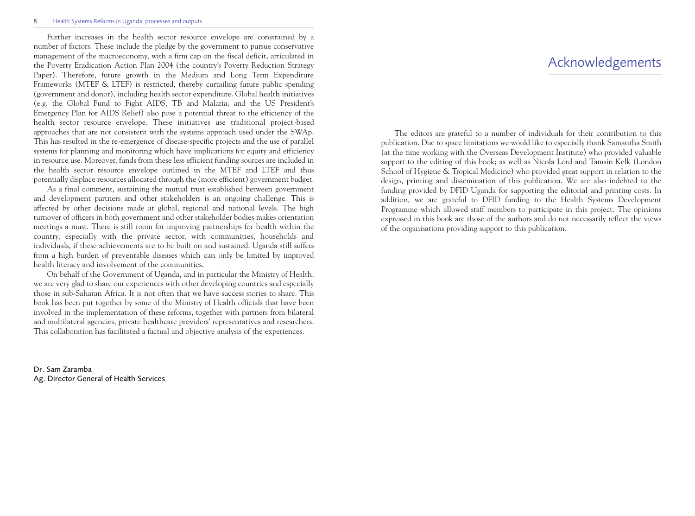#### 8 Health Systems Reforms in Uganda: processes and outputs

Further increases in the health sector resource envelope are constrained by a number of factors. These include the pledge by the government to pursue conservative management of the macroeconomy, with a firm cap on the fiscal deficit, articulated in the Poverty Eradication Action Plan 2004 (the country's Poverty Reduction Strategy Paper). Therefore, future growth in the Medium and Long Term Expenditure Frameworks (MTEF & LTEF) is restricted, thereby curtailing future public spending (government and donor), including health sector expenditure. Global health initiatives (e.g. the Global Fund to Fight AIDS, TB and Malaria, and the US President's Emergency Plan for AIDS Relief) also pose a potential threat to the efficiency of the health sector resource envelope. These initiatives use traditional project-based approaches that are not consistent with the systems approach used under the SWAp. This has resulted in the re-emergence of disease-specific projects and the use of parallel systems for planning and monitoring which have implications for equity and efficiency in resource use. Moreover, funds from these less efficient funding sources are included in the health sector resource envelope outlined in the MTEF and LTEF and thus potentially displace resources allocated through the (more efficient) government budget.

As a final comment, sustaining the mutual trust established between government and development partners and other stakeholders is an ongoing challenge. This is affected by other decisions made at global, regional and national levels. The high turnover of officers in both government and other stakeholder bodies makes orientation meetings a must. There is still room for improving partnerships for health within the country, especially with the private sector, with communities, households and individuals, if these achievements are to be built on and sustained. Uganda still suffers from a high burden of preventable diseases which can only be limited by improved health literacy and involvement of the communities.

On behalf of the Government of Uganda, and in particular the Ministry of Health, we are very glad to share our experiences with other developing countries and especially those in sub-Saharan Africa. It is not often that we have success stories to share. This book has been put together by some of the Ministry of Health officials that have been involved in the implementation of these reforms, together with partners from bilateral and multilateral agencies, private healthcare providers' representatives and researchers. This collaboration has facilitated a factual and objective analysis of the experiences.

Dr. Sam Zaramba Ag. Director General of Health Services

# Acknowledgements

The editors are grateful to a number of individuals for their contribution to this publication. Due to space limitations we would like to especially thank Samantha Smith (at the time working with the Overseas Development Institute) who provided valuable support to the editing of this book; as well as Nicola Lord and Tamsin Kelk (London School of Hygiene & Tropical Medicine) who provided great support in relation to the design, printing and dissemination of this publication. We are also indebted to the funding provided by DFID Uganda for supporting the editorial and printing costs. In addition, we are grateful to DFID funding to the Health Systems Development Programme which allowed staff members to participate in this project. The opinions expressed in this book are those of the authors and do not necessarily reflect the views of the organisations providing support to this publication.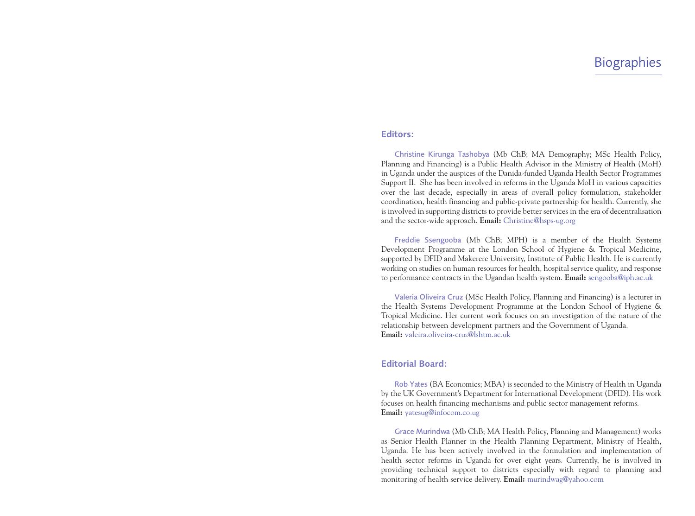### **Editors:**

Christine Kirunga Tashobya (Mb ChB; MA Demography; MSc Health Policy, Planning and Financing) is a Public Health Advisor in the Ministry of Health (MoH) in Uganda under the auspices of the Danida-funded Uganda Health Sector Programmes Support II. She has been involved in reforms in the Uganda MoH in various capacities over the last decade, especially in areas of overall policy formulation, stakeholder coordination, health financing and public-private partnership for health. Currently, she is involved in supporting districts to provide better services in the era of decentralisation and the sector-wide approach. **Email:** Christine@hsps-ug.org

Freddie Ssengooba (Mb ChB; MPH) is a member of the Health Systems Development Programme at the London School of Hygiene & Tropical Medicine, supported by DFID and Makerere University, Institute of Public Health. He is currently working on studies on human resources for health, hospital service quality, and response to performance contracts in the Ugandan health system. **Email:** sengooba@iph.ac.uk

Valeria Oliveira Cruz (MSc Health Policy, Planning and Financing) is a lecturer in the Health Systems Development Programme at the London School of Hygiene & Tropical Medicine. Her current work focuses on an investigation of the nature of the relationship between development partners and the Government of Uganda. **Email:** valeira.oliveira-cruz@lshtm.ac.uk

# **Editorial Board:**

Rob Yates (BA Economics; MBA) is seconded to the Ministry of Health in Uganda by the UK Government's Department for International Development (DFID). His work focuses on health financing mechanisms and public sector management reforms. **Email:** yatesug@infocom.co.ug

Grace Murindwa (Mb ChB; MA Health Policy, Planning and Management) works as Senior Health Planner in the Health Planning Department, Ministry of Health, Uganda. He has been actively involved in the formulation and implementation of health sector reforms in Uganda for over eight years. Currently, he is involved in providing technical support to districts especially with regard to planning and monitoring of health service delivery. **Email:** murindwag@yahoo.com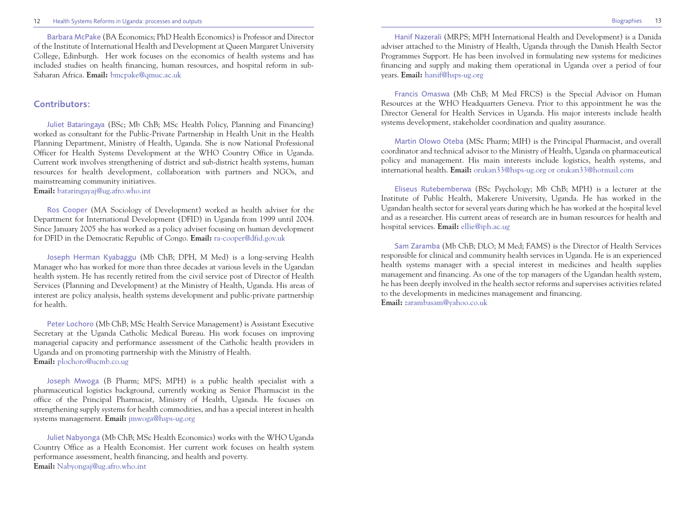Barbara McPake (BA Economics; PhD Health Economics) is Professor and Director of the Institute of International Health and Development at Queen Margaret University College, Edinburgh. Her work focuses on the economics of health systems and has included studies on health financing, human resources, and hospital reform in sub-Saharan Africa. **Email:** bmcpake@qmuc.ac.uk

# **Contributors:**

Juliet Bataringaya (BSc; Mb ChB; MSc Health Policy, Planning and Financing) worked as consultant for the Public-Private Partnership in Health Unit in the Health Planning Department, Ministry of Health, Uganda. She is now National Professional Officer for Health Systems Development at the WHO Country Office in Uganda. Current work involves strengthening of district and sub-district health systems, human resources for health development, collaboration with partners and NGOs, and mainstreaming community initiatives. **Email:** bataringayaj@ug.afro.who.int

Ros Cooper (MA Sociology of Development) worked as health adviser for the Department for International Development (DFID) in Uganda from 1999 until 2004. Since January 2005 she has worked as a policy adviser focusing on human development for DFID in the Democratic Republic of Congo. **Email:** ra-cooper@dfid.gov.uk

Joseph Herman Kyabaggu (Mb ChB; DPH, M Med) is a long-serving Health Manager who has worked for more than three decades at various levels in the Ugandan health system. He has recently retired from the civil service post of Director of Health Services (Planning and Development) at the Ministry of Health, Uganda. His areas of interest are policy analysis, health systems development and public-private partnership for health.

Peter Lochoro (Mb ChB; MSc Health Service Management) is Assistant Executive Secretary at the Uganda Catholic Medical Bureau. His work focuses on improving managerial capacity and performance assessment of the Catholic health providers in Uganda and on promoting partnership with the Ministry of Health. **Email:** plochoro@ucmb.co.ug

Joseph Mwoga (B Pharm; MPS; MPH) is a public health specialist with a pharmaceutical logistics background, currently working as Senior Pharmacist in the office of the Principal Pharmacist, Ministry of Health, Uganda. He focuses on strengthening supply systems for health commodities, and has a special interest in health systems management. **Email:** jmwoga@hsps-ug.org

Juliet Nabyonga (Mb ChB; MSc Health Economics) works with the WHO Uganda Country Office as a Health Economist. Her current work focuses on health system performance assessment, health financing, and health and poverty. **Email:** Nabyongaj@ug.afro.who.int

Hanif Nazerali (MRPS; MPH International Health and Development) is a Danida adviser attached to the Ministry of Health, Uganda through the Danish Health Sector Programmes Support. He has been involved in formulating new systems for medicines financing and supply and making them operational in Uganda over a period of four years. **Email:** hanif@hsps-ug.org

Francis Omaswa (Mb ChB; M Med FRCS) is the Special Advisor on Human Resources at the WHO Headquarters Geneva. Prior to this appointment he was the Director General for Health Services in Uganda. His major interests include health systems development, stakeholder coordination and quality assurance.

Martin Olowo Oteba (MSc Pharm; MIH) is the Principal Pharmacist, and overall coordinator and technical advisor to the Ministry of Health, Uganda on pharmaceutical policy and management. His main interests include logistics, health systems, and international health. **Email:** orukan33@hsps-ug.org or orukan33@hotmail.com

Eliseus Rutebemberwa (BSc Psychology; Mb ChB; MPH) is a lecturer at the Institute of Public Health, Makerere University, Uganda. He has worked in the Ugandan health sector for several years during which he has worked at the hospital level and as a researcher. His current areas of research are in human resources for health and hospital services. **Email:** ellie@iph.ac.ug

Sam Zaramba (Mb ChB; DLO; M Med; FAMS) is the Director of Health Services responsible for clinical and community health services in Uganda. He is an experienced health systems manager with a special interest in medicines and health supplies management and financing. As one of the top managers of the Ugandan health system, he has been deeply involved in the health sector reforms and supervises activities related to the developments in medicines management and financing. **Email:** zarambasam@yahoo.co.uk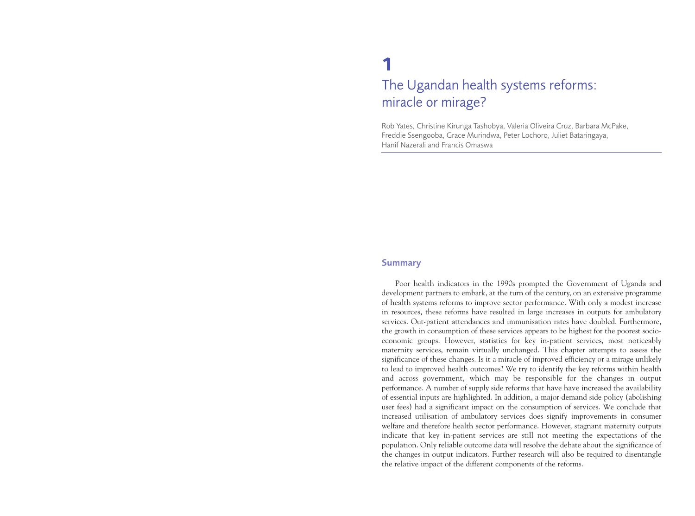# **1** The Ugandan health systems reforms: miracle or mirage?

Rob Yates, Christine Kirunga Tashobya, Valeria Oliveira Cruz, Barbara McPake, Freddie Ssengooba, Grace Murindwa, Peter Lochoro, Juliet Bataringaya, Hanif Nazerali and Francis Omaswa

#### **Summary**

Poor health indicators in the 1990s prompted the Government of Uganda and development partners to embark, at the turn of the century, on an extensive programme of health systems reforms to improve sector performance. With only a modest increase in resources, these reforms have resulted in large increases in outputs for ambulatory services. Out-patient attendances and immunisation rates have doubled. Furthermore, the growth in consumption of these services appears to be highest for the poorest socioeconomic groups. However, statistics for key in-patient services, most noticeably maternity services, remain virtually unchanged. This chapter attempts to assess the significance of these changes. Is it a miracle of improved efficiency or a mirage unlikely to lead to improved health outcomes? We try to identify the key reforms within health and across government, which may be responsible for the changes in output performance. A number of supply side reforms that have have increased the availability of essential inputs are highlighted. In addition, a major demand side policy (abolishing user fees) had a significant impact on the consumption of services. We conclude that increased utilisation of ambulatory services does signify improvements in consumer welfare and therefore health sector performance. However, stagnant maternity outputs indicate that key in-patient services are still not meeting the expectations of the population. Only reliable outcome data will resolve the debate about the significance of the changes in output indicators. Further research will also be required to disentangle the relative impact of the different components of the reforms.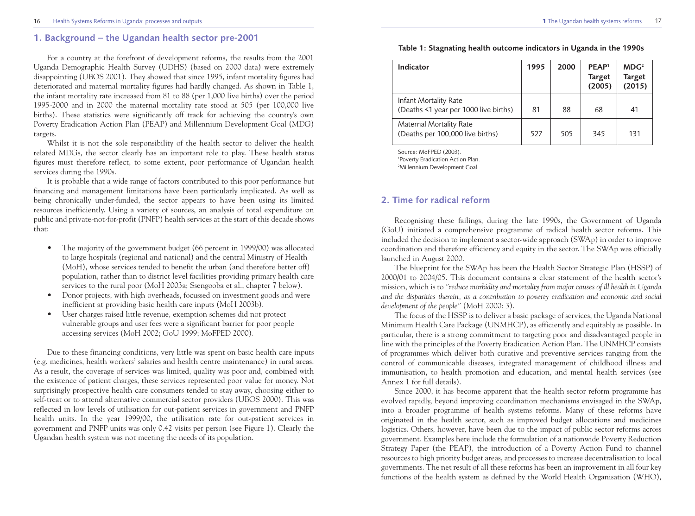# **1. Background – the Ugandan health sector pre-2001**

For a country at the forefront of development reforms, the results from the 2001 Uganda Demographic Health Survey (UDHS) (based on 2000 data) were extremely disappointing (UBOS 2001). They showed that since 1995, infant mortality figures had deteriorated and maternal mortality figures had hardly changed. As shown in Table 1, the infant mortality rate increased from 81 to 88 (per 1,000 live births) over the period 1995-2000 and in 2000 the maternal mortality rate stood at 505 (per 100,000 live births). These statistics were significantly off track for achieving the country's own Poverty Eradication Action Plan (PEAP) and Millennium Development Goal (MDG) targets.

Whilst it is not the sole responsibility of the health sector to deliver the health related MDGs, the sector clearly has an important role to play. These health status figures must therefore reflect, to some extent, poor performance of Ugandan health services during the 1990s.

It is probable that a wide range of factors contributed to this poor performance but financing and management limitations have been particularly implicated. As well as being chronically under-funded, the sector appears to have been using its limited resources inefficiently. Using a variety of sources, an analysis of total expenditure on public and private-not-for-profit (PNFP) health services at the start of this decade shows that:

- The majority of the government budget (66 percent in 1999/00) was allocated to large hospitals (regional and national) and the central Ministry of Health (MoH), whose services tended to benefit the urban (and therefore better off) population, rather than to district level facilities providing primary health care services to the rural poor (MoH 2003a; Ssengooba et al., chapter 7 below).
- Donor projects, with high overheads, focussed on investment goods and were inefficient at providing basic health care inputs (MoH 2003b).
- User charges raised little revenue, exemption schemes did not protect vulnerable groups and user fees were a significant barrier for poor people accessing services (MoH 2002; GoU 1999; MoFPED 2000).

Due to these financing conditions, very little was spent on basic health care inputs (e.g. medicines, health workers' salaries and health centre maintenance) in rural areas. As a result, the coverage of services was limited, quality was poor and, combined with the existence of patient charges, these services represented poor value for money. Not surprisingly prospective health care consumers tended to stay away, choosing either to self-treat or to attend alternative commercial sector providers (UBOS 2000). This was reflected in low levels of utilisation for out-patient services in government and PNFP health units. In the year 1999/00, the utilisation rate for out-patient services in government and PNFP units was only 0.42 visits per person (see Figure 1). Clearly the Ugandan health system was not meeting the needs of its population.

| Table 1: Stagnating health outcome indicators in Uganda in the 1990s |  |  |  |  |
|----------------------------------------------------------------------|--|--|--|--|
|----------------------------------------------------------------------|--|--|--|--|

| Indicator                                                      | 1995 | 2000 | PFAP <sup>1</sup><br><b>Target</b><br>(2005) | MDG <sup>2</sup><br><b>Target</b><br>(2015) |
|----------------------------------------------------------------|------|------|----------------------------------------------|---------------------------------------------|
| Infant Mortality Rate<br>(Deaths <1 year per 1000 live births) | 81   | 88   | 68                                           | 41                                          |
| Maternal Mortality Rate<br>(Deaths per 100,000 live births)    | 527  | 505  | 345                                          | 131                                         |

Source: MoFPED (2003).

1 Poverty Eradication Action Plan.

2 Millennium Development Goal.

# **2. Time for radical reform**

Recognising these failings, during the late 1990s, the Government of Uganda (GoU) initiated a comprehensive programme of radical health sector reforms. This included the decision to implement a sector-wide approach (SWAp) in order to improve coordination and therefore efficiency and equity in the sector. The SWAp was officially launched in August 2000.

The blueprint for the SWAp has been the Health Sector Strategic Plan (HSSP) of 2000/01 to 2004/05. This document contains a clear statement of the health sector's mission, which is to *"reduce morbidity and mortality from major causes of ill health in Uganda and the disparities therein, as a contribution to poverty eradication and economic and social development of the people"* (MoH 2000: 3).

The focus of the HSSP is to deliver a basic package of services, the Uganda National Minimum Health Care Package (UNMHCP), as efficiently and equitably as possible. In particular, there is a strong commitment to targeting poor and disadvantaged people in line with the principles of the Poverty Eradication Action Plan. The UNMHCP consists of programmes which deliver both curative and preventive services ranging from the control of communicable diseases, integrated management of childhood illness and immunisation, to health promotion and education, and mental health services (see Annex 1 for full details).

Since 2000, it has become apparent that the health sector reform programme has evolved rapidly, beyond improving coordination mechanisms envisaged in the SWAp, into a broader programme of health systems reforms. Many of these reforms have originated in the health sector, such as improved budget allocations and medicines logistics. Others, however, have been due to the impact of public sector reforms across government. Examples here include the formulation of a nationwide Poverty Reduction Strategy Paper (the PEAP), the introduction of a Poverty Action Fund to channel resources to high priority budget areas, and processes to increase decentralisation to local governments. The net result of all these reforms has been an improvement in all four key functions of the health system as defined by the World Health Organisation (WHO),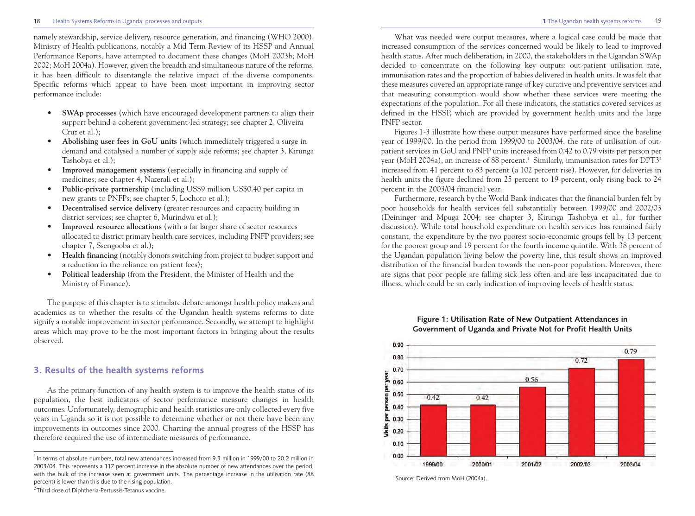#### 18 Health Systems Reforms in Uganda: processes and outputs **1** The Ugandan health systems reforms

namely stewardship, service delivery, resource generation, and financing (WHO 2000). Ministry of Health publications, notably a Mid Term Review of its HSSP and Annual Performance Reports, have attempted to document these changes (MoH 2003b; MoH 2002; MoH 2004a). However, given the breadth and simultaneous nature of the reforms, it has been difficult to disentangle the relative impact of the diverse components.

- Specific reforms which appear to have been most important in improving sector performance include:
	- **• SWAp processes** (which have encouraged development partners to align their support behind a coherent government-led strategy; see chapter 2, Oliveira Cruz et al.);
	- **• Abolishing user fees in GoU units** (which immediately triggered a surge in demand and catalysed a number of supply side reforms; see chapter 3, Kirunga Tashobya et al.);
	- **• Improved management systems** (especially in financing and supply of medicines; see chapter 4, Nazerali et al.);
	- **• Public-private partnership** (including US\$9 million US\$0.40 per capita in new grants to PNFPs; see chapter 5, Lochoro et al.);
	- **• Decentralised service delivery** (greater resources and capacity building in district services; see chapter 6, Murindwa et al.);
	- **• Improved resource allocations** (with a far larger share of sector resources allocated to district primary health care services, including PNFP providers; see chapter 7, Ssengooba et al.);
	- **• Health financing** (notably donors switching from project to budget support and a reduction in the reliance on patient fees);
	- **• Political leadership** (from the President, the Minister of Health and the Ministry of Finance).

The purpose of this chapter is to stimulate debate amongst health policy makers and academics as to whether the results of the Ugandan health systems reforms to date signify a notable improvement in sector performance. Secondly, we attempt to highlight areas which may prove to be the most important factors in bringing about the results observed.

# **3. Results of the health systems reforms**

As the primary function of any health system is to improve the health status of its population, the best indicators of sector performance measure changes in health outcomes. Unfortunately, demographic and health statistics are only collected every five years in Uganda so it is not possible to determine whether or not there have been any improvements in outcomes since 2000. Charting the annual progress of the HSSP has therefore required the use of intermediate measures of performance.

What was needed were output measures, where a logical case could be made that increased consumption of the services concerned would be likely to lead to improved health status. After much deliberation, in 2000, the stakeholders in the Ugandan SWAp decided to concentrate on the following key outputs: out-patient utilisation rate, immunisation rates and the proportion of babies delivered in health units. It was felt that these measures covered an appropriate range of key curative and preventive services and that measuring consumption would show whether these services were meeting the expectations of the population. For all these indicators, the statistics covered services as defined in the HSSP, which are provided by government health units and the large PNFP sector.

Figures 1-3 illustrate how these output measures have performed since the baseline year of 1999/00. In the period from 1999/00 to 2003/04, the rate of utilisation of outpatient services in GoU and PNFP units increased from 0.42 to 0.79 visits per person per year (MoH 2004a), an increase of 88 percent.<sup>1</sup> Similarly, immunisation rates for  $DPT3<sup>2</sup>$ increased from 41 percent to 83 percent (a 102 percent rise). However, for deliveries in health units the figure declined from 25 percent to 19 percent, only rising back to 24 percent in the 2003/04 financial year.

Furthermore, research by the World Bank indicates that the financial burden felt by poor households for health services fell substantially between 1999/00 and 2002/03 (Deininger and Mpuga 2004; see chapter 3, Kirunga Tashobya et al., for further discussion). While total household expenditure on health services has remained fairly constant, the expenditure by the two poorest socio-economic groups fell by 13 percent for the poorest group and 19 percent for the fourth income quintile. With 38 percent of the Ugandan population living below the poverty line, this result shows an improved distribution of the financial burden towards the non-poor population. Moreover, there are signs that poor people are falling sick less often and are less incapacitated due to illness, which could be an early indication of improving levels of health status.





<sup>&</sup>lt;sup>1</sup> In terms of absolute numbers, total new attendances increased from 9.3 million in 1999/00 to 20.2 million in 2003/04. This represents a 117 percent increase in the absolute number of new attendances over the period, with the bulk of the increase seen at government units. The percentage increase in the utilisation rate (88 percent) is lower than this due to the rising population.

 $2$ Third dose of Diphtheria-Pertussis-Tetanus vaccine.

Source: Derived from MoH (2004a).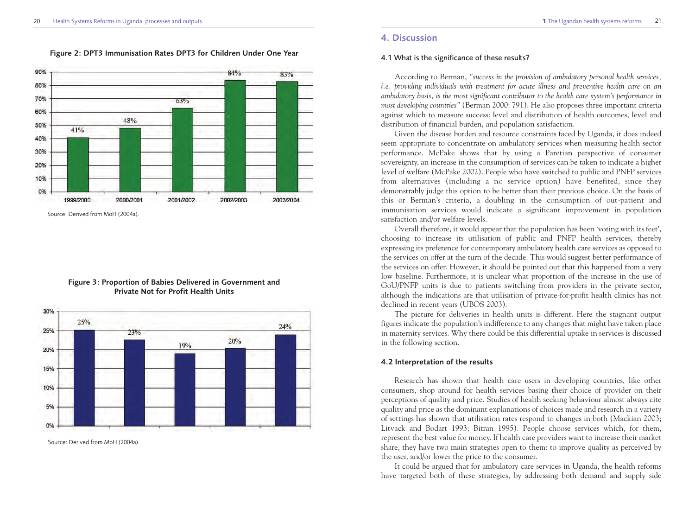#### **Figure 2: DPT3 Immunisation Rates DPT3 for Children Under One Year**



Source: Derived from MoH (2004a).

## **Figure 3: Proportion of Babies Delivered in Government and Private Not for Profit Health Units**



Source: Derived from MoH (2004a).

# **4. Discussion**

#### 4.1 What is the significance of these results?

According to Berman, *"success in the provision of ambulatory personal health services, i.e. providing individuals with treatment for acute illness and preventive health care on an ambulatory basis, is the most significant contributor to the health care system's performance in most developing countries"* (Berman 2000: 791). He also proposes three important criteria against which to measure success: level and distribution of health outcomes, level and distribution of financial burden, and population satisfaction.

Given the disease burden and resource constraints faced by Uganda, it does indeed seem appropriate to concentrate on ambulatory services when measuring health sector performance. McPake shows that by using a Paretian perspective of consumer sovereignty, an increase in the consumption of services can be taken to indicate a higher level of welfare (McPake 2002). People who have switched to public and PNFP services from alternatives (including a no service option) have benefited, since they demonstrably judge this option to be better than their previous choice. On the basis of this or Berman's criteria, a doubling in the consumption of out-patient and immunisation services would indicate a significant improvement in population satisfaction and/or welfare levels.

Overall therefore, it would appear that the population has been 'voting with its feet', choosing to increase its utilisation of public and PNFP health services, thereby expressing its preference for contemporary ambulatory health care services as opposed to the services on offer at the turn of the decade. This would suggest better performance of the services on offer. However, it should be pointed out that this happened from a very low baseline. Furthermore, it is unclear what proportion of the increase in the use of GoU/PNFP units is due to patients switching from providers in the private sector, although the indications are that utilisation of private-for-profit health clinics has not declined in recent years (UBOS 2003).

The picture for deliveries in health units is different. Here the stagnant output figures indicate the population's indifference to any changes that might have taken place in maternity services. Why there could be this differential uptake in services is discussed in the following section.

#### **4.2 Interpretation of the results**

Research has shown that health care users in developing countries, like other consumers, shop around for health services basing their choice of provider on their perceptions of quality and price. Studies of health seeking behaviour almost always cite quality and price as the dominant explanations of choices made and research in a variety of settings has shown that utilisation rates respond to changes in both (Mackian 2003; Litvack and Bodart 1993; Bitran 1995). People choose services which, for them, represent the best value for money. If health care providers want to increase their market share, they have two main strategies open to them: to improve quality as perceived by the user, and/or lower the price to the consumer.

It could be argued that for ambulatory care services in Uganda, the health reforms have targeted both of these strategies, by addressing both demand and supply side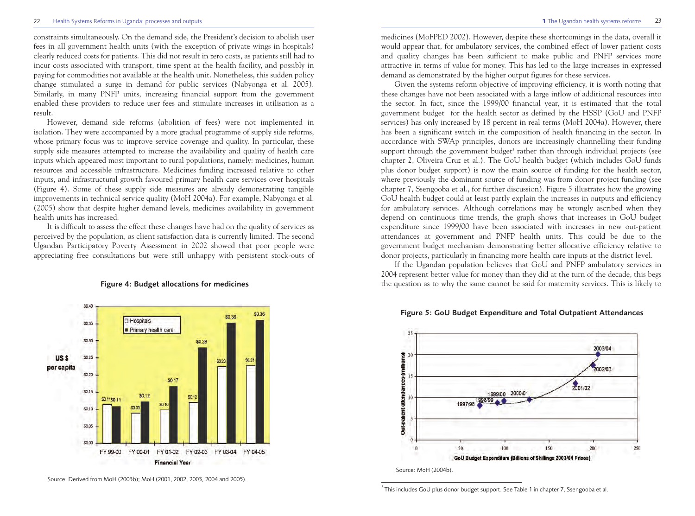constraints simultaneously. On the demand side, the President's decision to abolish user fees in all government health units (with the exception of private wings in hospitals) clearly reduced costs for patients. This did not result in zero costs, as patients still had to incur costs associated with transport, time spent at the health facility, and possibly in paying for commodities not available at the health unit. Nonetheless, this sudden policy change stimulated a surge in demand for public services (Nabyonga et al. 2005). Similarly, in many PNFP units, increasing financial support from the government enabled these providers to reduce user fees and stimulate increases in utilisation as a result.

However, demand side reforms (abolition of fees) were not implemented in isolation. They were accompanied by a more gradual programme of supply side reforms, whose primary focus was to improve service coverage and quality. In particular, these supply side measures attempted to increase the availability and quality of health care inputs which appeared most important to rural populations, namely: medicines, human resources and accessible infrastructure. Medicines funding increased relative to other inputs, and infrastructural growth favoured primary health care services over hospitals (Figure 4). Some of these supply side measures are already demonstrating tangible improvements in technical service quality (MoH 2004a). For example, Nabyonga et al. (2005) show that despite higher demand levels, medicines availability in government health units has increased.

It is difficult to assess the effect these changes have had on the quality of services as perceived by the population, as client satisfaction data is currently limited. The second Ugandan Participatory Poverty Assessment in 2002 showed that poor people were appreciating free consultations but were still unhappy with persistent stock-outs of



#### **Figure 4: Budget allocations for medicines**

Source: Derived from MoH (2003b); MoH (2001, 2002, 2003, 2004 and 2005).

medicines (MoFPED 2002). However, despite these shortcomings in the data, overall it would appear that, for ambulatory services, the combined effect of lower patient costs and quality changes has been sufficient to make public and PNFP services more attractive in terms of value for money. This has led to the large increases in expressed demand as demonstrated by the higher output figures for these services.

Given the systems reform objective of improving efficiency, it is worth noting that these changes have not been associated with a large inflow of additional resources into the sector. In fact, since the 1999/00 financial year, it is estimated that the total government budget for the health sector as defined by the HSSP (GoU and PNFP services) has only increased by 18 percent in real terms (MoH 2004a). However, there has been a significant switch in the composition of health financing in the sector. In accordance with SWAp principles, donors are increasingly channelling their funding support through the government budget<sup>3</sup> rather than through individual projects (see chapter 2, Oliveira Cruz et al.). The GoU health budget (which includes GoU funds plus donor budget support) is now the main source of funding for the health sector, where previously the dominant source of funding was from donor project funding (see chapter 7, Ssengooba et al., for further discussion). Figure 5 illustrates how the growing GoU health budget could at least partly explain the increases in outputs and efficiency for ambulatory services. Although correlations may be wrongly ascribed when they depend on continuous time trends, the graph shows that increases in GoU budget expenditure since 1999/00 have been associated with increases in new out-patient attendances at government and PNFP health units. This could be due to the government budget mechanism demonstrating better allocative efficiency relative to donor projects, particularly in financing more health care inputs at the district level.

If the Ugandan population believes that GoU and PNFP ambulatory services in 2004 represent better value for money than they did at the turn of the decade, this begs the question as to why the same cannot be said for maternity services. This is likely to



**Figure 5: GoU Budget Expenditure and Total Outpatient Attendances**

 $^3$ This includes GoU plus donor budget support. See Table 1 in chapter 7, Ssengooba et al.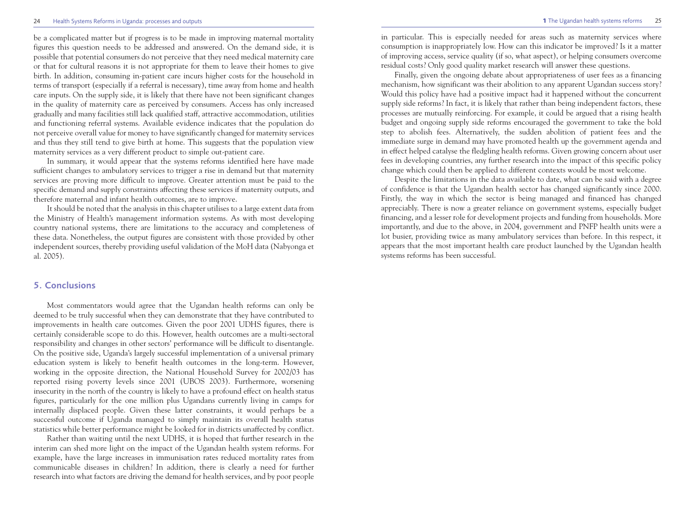#### 24 Health Systems Reforms in Uganda: processes and outputs **1** The Ugandan health systems reforms

be a complicated matter but if progress is to be made in improving maternal mortality figures this question needs to be addressed and answered. On the demand side, it is possible that potential consumers do not perceive that they need medical maternity care or that for cultural reasons it is not appropriate for them to leave their homes to give birth. In addition, consuming in-patient care incurs higher costs for the household in terms of transport (especially if a referral is necessary), time away from home and health care inputs. On the supply side, it is likely that there have not been significant changes in the quality of maternity care as perceived by consumers. Access has only increased gradually and many facilities still lack qualified staff, attractive accommodation, utilities and functioning referral systems. Available evidence indicates that the population do not perceive overall value for money to have significantly changed for maternity services and thus they still tend to give birth at home. This suggests that the population view maternity services as a very different product to simple out-patient care.

In summary, it would appear that the systems reforms identified here have made sufficient changes to ambulatory services to trigger a rise in demand but that maternity services are proving more difficult to improve. Greater attention must be paid to the specific demand and supply constraints affecting these services if maternity outputs, and therefore maternal and infant health outcomes, are to improve.

It should be noted that the analysis in this chapter utilises to a large extent data from the Ministry of Health's management information systems. As with most developing country national systems, there are limitations to the accuracy and completeness of these data. Nonetheless, the output figures are consistent with those provided by other independent sources, thereby providing useful validation of the MoH data (Nabyonga et al. 2005).

# **5. Conclusions**

Most commentators would agree that the Ugandan health reforms can only be deemed to be truly successful when they can demonstrate that they have contributed to improvements in health care outcomes. Given the poor 2001 UDHS figures, there is certainly considerable scope to do this. However, health outcomes are a multi-sectoral responsibility and changes in other sectors' performance will be difficult to disentangle. On the positive side, Uganda's largely successful implementation of a universal primary education system is likely to benefit health outcomes in the long-term. However, working in the opposite direction, the National Household Survey for 2002/03 has reported rising poverty levels since 2001 (UBOS 2003). Furthermore, worsening insecurity in the north of the country is likely to have a profound effect on health status figures, particularly for the one million plus Ugandans currently living in camps for internally displaced people. Given these latter constraints, it would perhaps be a successful outcome if Uganda managed to simply maintain its overall health status statistics while better performance might be looked for in districts unaffected by conflict.

Rather than waiting until the next UDHS, it is hoped that further research in the interim can shed more light on the impact of the Ugandan health system reforms. For example, have the large increases in immunisation rates reduced mortality rates from communicable diseases in children? In addition, there is clearly a need for further research into what factors are driving the demand for health services, and by poor people in particular. This is especially needed for areas such as maternity services where consumption is inappropriately low. How can this indicator be improved? Is it a matter of improving access, service quality (if so, what aspect), or helping consumers overcome residual costs? Only good quality market research will answer these questions.

Finally, given the ongoing debate about appropriateness of user fees as a financing mechanism, how significant was their abolition to any apparent Ugandan success story? Would this policy have had a positive impact had it happened without the concurrent supply side reforms? In fact, it is likely that rather than being independent factors, these processes are mutually reinforcing. For example, it could be argued that a rising health budget and ongoing supply side reforms encouraged the government to take the bold step to abolish fees. Alternatively, the sudden abolition of patient fees and the immediate surge in demand may have promoted health up the government agenda and in effect helped catalyse the fledgling health reforms. Given growing concern about user fees in developing countries, any further research into the impact of this specific policy change which could then be applied to different contexts would be most welcome.

Despite the limitations in the data available to date, what can be said with a degree of confidence is that the Ugandan health sector has changed significantly since 2000. Firstly, the way in which the sector is being managed and financed has changed appreciably. There is now a greater reliance on government systems, especially budget financing, and a lesser role for development projects and funding from households. More importantly, and due to the above, in 2004, government and PNFP health units were a lot busier, providing twice as many ambulatory services than before. In this respect, it appears that the most important health care product launched by the Ugandan health systems reforms has been successful.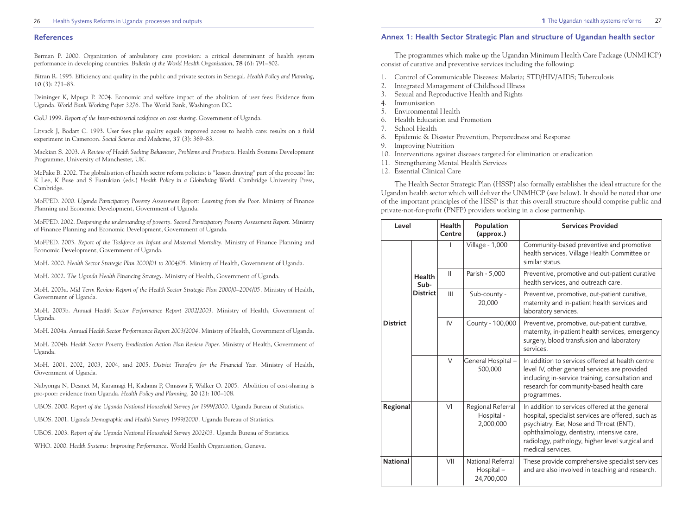#### **References**

Berman P. 2000. Organization of ambulatory care provision: a critical determinant of health system performance in developing countries. *Bulletin of the World Health Organisation*, **78** (6): 791–802.

Bitran R. 1995. Efficiency and quality in the public and private sectors in Senegal. *Health Policy and Planning*, **10** (3): 271–83.

Deininger K, Mpuga P. 2004. Economic and welfare impact of the abolition of user fees: Evidence from Uganda. *World Bank Working Paper 3276*. The World Bank, Washington DC.

GoU 1999. *Report of the Inter-ministerial taskforce on cost sharing*. Government of Uganda.

Litvack J, Bodart C. 1993. User fees plus quality equals improved access to health care: results on a field experiment in Cameroon. *Social Science and Medicine*, **37** (3): 369–83.

Mackian S. 2003. *A Review of Health Seeking Behaviour, Problems and Prospects*. Health Systems Development Programme, University of Manchester, UK.

McPake B. 2002. The globalisation of health sector reform policies: is "lesson drawing" part of the process? In: K Lee, K Buse and S Fustukian (eds.) *Health Policy in a Globalising World.* Cambridge University Press, Cambridge.

MoFPED. 2000. *Uganda Participatory Poverty Assessment Report: Learning from the Poor.* Ministry of Finance Planning and Economic Development, Government of Uganda.

MoFPED. 2002. *Deepening the understanding of poverty. Second Participatory Poverty Assessment Report.* Ministry of Finance Planning and Economic Development, Government of Uganda.

MoFPED. 2003. *Report of the Taskforce on Infant and Maternal Mortality.* Ministry of Finance Planning and Economic Development, Government of Uganda.

MoH. 2000. *Health Sector Strategic Plan 2000/01 to 2004/05.* Ministry of Health, Government of Uganda.

MoH. 2002. *The Uganda Health Financing Strategy.* Ministry of Health, Government of Uganda.

MoH. 2003a. *Mid Term Review Report of the Health Sector Strategic Plan 2000/0–2004/05.* Ministry of Health, Government of Uganda.

MoH. 2003b. *Annual Health Sector Performance Report 2002/2003.* Ministry of Health, Government of Uganda.

MoH. 2004a. *Annual Health Sector Performance Report 2003/2004.* Ministry of Health, Government of Uganda.

MoH. 2004b. *Health Sector Poverty Eradication Action Plan Review Paper.* Ministry of Health, Government of Uganda.

MoH. 2001, 2002, 2003, 2004, and 2005. *District Transfers for the Financial Year.* Ministry of Health, Government of Uganda.

Nabyonga N, Desmet M, Karamagi H, Kadama P, Omaswa F, Walker O. 2005. Abolition of cost-sharing is pro-poor: evidence from Uganda. *Health Policy and Planning,* **20** (2): 100–108.

UBOS. 2000. *Report of the Uganda National Household Survey for 1999/2000.* Uganda Bureau of Statistics.

UBOS. 2001. *Uganda Demographic and Health Survey 1999/2000.* Uganda Bureau of Statistics.

UBOS. 2003. *Report of the Uganda National Household Survey 2002/03.* Uganda Bureau of Statistics.

WHO. 2000. *Health Systems: Improving Performance.* World Health Organisation, Geneva.

#### **Annex 1: Health Sector Strategic Plan and structure of Ugandan health sector**

The programmes which make up the Ugandan Minimum Health Care Package (UNMHCP) consist of curative and preventive services including the following:

- 1. Control of Communicable Diseases: Malaria; STD/HIV/AIDS; Tuberculosis
- 2. Integrated Management of Childhood Illness
- 3. Sexual and Reproductive Health and Rights
- 4. Immunisation
- 5. Environmental Health
- 6. Health Education and Promotion
- 7. School Health
- 8. Epidemic & Disaster Prevention, Preparedness and Response
- 9. Improving Nutrition
- 10. Interventions against diseases targeted for elimination or eradication
- 11. Strengthening Mental Health Services
- 12. Essential Clinical Care

The Health Sector Strategic Plan (HSSP) also formally establishes the ideal structure for the Ugandan health sector which will deliver the UNMHCP (see below). It should be noted that one of the important principles of the HSSP is that this overall structure should comprise public and private-not-for-profit (PNFP) providers working in a close partnership.

| Level           |                 | Health<br>Centre | Population<br>(approx.)                      | <b>Services Provided</b>                                                                                                                                                                                                                                             |
|-----------------|-----------------|------------------|----------------------------------------------|----------------------------------------------------------------------------------------------------------------------------------------------------------------------------------------------------------------------------------------------------------------------|
|                 |                 |                  | <b>Village - 1,000</b>                       | Community-based preventive and promotive<br>health services. Village Health Committee or<br>similar status.                                                                                                                                                          |
|                 | Health<br>Sub-  | $\mathbf{H}$     | Parish - 5,000                               | Preventive, promotive and out-patient curative<br>health services, and outreach care.                                                                                                                                                                                |
|                 | <b>District</b> | III              | Sub-county -<br>20,000                       | Preventive, promotive, out-patient curative,<br>maternity and in-patient health services and<br>laboratory services.                                                                                                                                                 |
| <b>District</b> |                 | IV               | County - 100,000                             | Preventive, promotive, out-patient curative,<br>maternity, in-patient health services, emergency<br>surgery, blood transfusion and laboratory<br>services.                                                                                                           |
|                 |                 | $\vee$           | General Hospital -<br>500,000                | In addition to services offered at health centre<br>level IV, other general services are provided<br>including in-service training, consultation and<br>research for community-based health care<br>programmes.                                                      |
| Regional        |                 | VI               | Regional Referral<br>Hospital -<br>2,000,000 | In addition to services offered at the general<br>hospital, specialist services are offered, such as<br>psychiatry, Ear, Nose and Throat (ENT),<br>ophthalmology, dentistry, intensive care,<br>radiology, pathology, higher level surgical and<br>medical services. |
| <b>National</b> |                 | VII              | National Referral<br>Hospital-<br>24,700,000 | These provide comprehensive specialist services<br>and are also involved in teaching and research.                                                                                                                                                                   |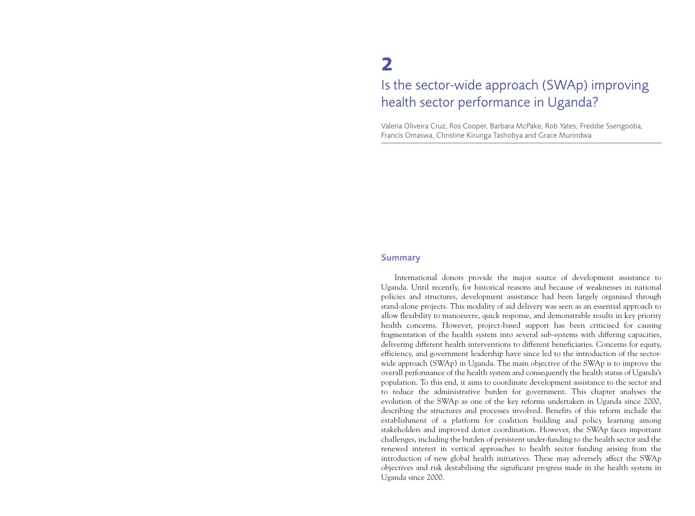# **2** Is the sector-wide approach (SWAp) improving health sector performance in Uganda?

Valeria Oliveira Cruz, Ros Cooper, Barbara McPake, Rob Yates, Freddie Ssengooba, Francis Omaswa, Christine Kirunga Tashobya and Grace Murindwa

### **Summary**

International donors provide the major source of development assistance to Uganda. Until recently, for historical reasons and because of weaknesses in national policies and structures, development assistance had been largely organised through stand-alone projects. This modality of aid delivery was seen as an essential approach to allow flexibility to manoeuvre, quick response, and demonstrable results in key priority health concerns. However, project-based support has been criticised for causing fragmentation of the health system into several sub-systems with differing capacities, delivering different health interventions to different beneficiaries. Concerns for equity, efficiency, and government leadership have since led to the introduction of the sectorwide approach (SWAp) in Uganda. The main objective of the SWAp is to improve the overall performance of the health system and consequently the health status of Uganda's population. To this end, it aims to coordinate development assistance to the sector and to reduce the administrative burden for government. This chapter analyses the evolution of the SWAp as one of the key reforms undertaken in Uganda since 2000, describing the structures and processes involved. Benefits of this reform include the establishment of a platform for coalition building and policy learning among stakeholders and improved donor coordination. However, the SWAp faces important challenges, including the burden of persistent under-funding to the health sector and the renewed interest in vertical approaches to health sector funding arising from the introduction of new global health initiatives. These may adversely affect the SWAp objectives and risk destabilising the significant progress made in the health system in Uganda since 2000.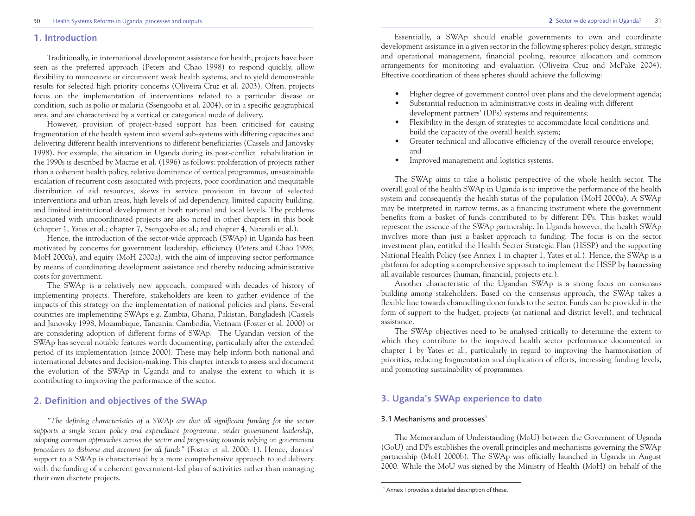#### **1. Introduction**

Traditionally, in international development assistance for health, projects have been seen as the preferred approach (Peters and Chao 1998) to respond quickly, allow flexibility to manoeuvre or circumvent weak health systems, and to yield demonstrable results for selected high priority concerns (Oliveira Cruz et al. 2003). Often, projects focus on the implementation of interventions related to a particular disease or condition, such as polio or malaria (Ssengooba et al. 2004), or in a specific geographical area, and are characterised by a vertical or categorical mode of delivery.

However, provision of project-based support has been criticised for causing fragmentation of the health system into several sub-systems with differing capacities and delivering different health interventions to different beneficiaries (Cassels and Janovsky 1998). For example, the situation in Uganda during its post-conflict rehabilitation in the 1990s is described by Macrae et al. (1996) as follows: proliferation of projects rather than a coherent health policy, relative dominance of vertical programmes, unsustainable escalation of recurrent costs associated with projects, poor coordination and inequitable distribution of aid resources, skews in service provision in favour of selected interventions and urban areas, high levels of aid dependency, limited capacity building, and limited institutional development at both national and local levels. The problems associated with uncoordinated projects are also noted in other chapters in this book (chapter 1, Yates et al.; chapter 7, Ssengooba et al.; and chapter 4, Nazerali et al.).

Hence, the introduction of the sector-wide approach (SWAp) in Uganda has been motivated by concerns for government leadership, efficiency (Peters and Chao 1998; MoH 2000a), and equity (MoH 2000a), with the aim of improving sector performance by means of coordinating development assistance and thereby reducing administrative costs for government.

The SWAp is a relatively new approach, compared with decades of history of implementing projects. Therefore, stakeholders are keen to gather evidence of the impacts of this strategy on the implementation of national policies and plans. Several countries are implementing SWAps e.g. Zambia, Ghana, Pakistan, Bangladesh (Cassels and Janovsky 1998, Mozambique, Tanzania, Cambodia, Vietnam (Foster et al. 2000) or are considering adoption of different forms of SWAp. The Ugandan version of the SWAp has several notable features worth documenting, particularly after the extended period of its implementation (since 2000). These may help inform both national and international debates and decision-making. This chapter intends to assess and document the evolution of the SWAp in Uganda and to analyse the extent to which it is contributing to improving the performance of the sector.

# **2. Definition and objectives of the SWAp**

*"The defining characteristics of a SWAp are that all significant funding for the sector supports a single sector policy and expenditure programme, under government leadership, adopting common approaches across the sector and progressing towards relying on government procedures to disburse and account for all funds"* (Foster et al. 2000: 1). Hence, donors' support to a SWAp is characterised by a more comprehensive approach to aid delivery with the funding of a coherent government-led plan of activities rather than managing their own discrete projects.

Essentially, a SWAp should enable governments to own and coordinate development assistance in a given sector in the following spheres: policy design, strategic and operational management, financial pooling, resource allocation and common arrangements for monitoring and evaluation (Oliveira Cruz and McPake 2004). Effective coordination of these spheres should achieve the following:

- Higher degree of government control over plans and the development agenda;
- Substantial reduction in administrative costs in dealing with different development partners' (DPs) systems and requirements;
- Flexibility in the design of strategies to accommodate local conditions and build the capacity of the overall health system;
- Greater technical and allocative efficiency of the overall resource envelope; and
- Improved management and logistics systems.

The SWAp aims to take a holistic perspective of the whole health sector. The overall goal of the health SWAp in Uganda is to improve the performance of the health system and consequently the health status of the population (MoH 2000a). A SWAp may be interpreted in narrow terms, as a financing instrument where the government benefits from a basket of funds contributed to by different DPs. This basket would represent the essence of the SWAp partnership. In Uganda however, the health SWAp involves more than just a basket approach to funding. The focus is on the sector investment plan, entitled the Health Sector Strategic Plan (HSSP) and the supporting National Health Policy (see Annex 1 in chapter 1, Yates et al.). Hence, the SWAp is a platform for adopting a comprehensive approach to implement the HSSP by harnessing all available resources (human, financial, projects etc.).

Another characteristic of the Ugandan SWAp is a strong focus on consensus building among stakeholders. Based on the consensus approach, the SWAp takes a flexible line towards channelling donor funds to the sector. Funds can be provided in the form of support to the budget, projects (at national and district level), and technical assistance.

The SWAp objectives need to be analysed critically to determine the extent to which they contribute to the improved health sector performance documented in chapter 1 by Yates et al., particularly in regard to improving the harmonisation of priorities, reducing fragmentation and duplication of efforts, increasing funding levels, and promoting sustainability of programmes.

# **3. Uganda's SWAp experience to date**

### 3.1 Mechanisms and processes $1$

The Memorandum of Understanding (MoU) between the Government of Uganda (GoU) and DPs establishes the overall principles and mechanisms governing the SWAp partnership (MoH 2000b). The SWAp was officially launched in Uganda in August 2000. While the MoU was signed by the Ministry of Health (MoH) on behalf of the

<sup>&</sup>lt;sup>1</sup> Annex I provides a detailed description of these.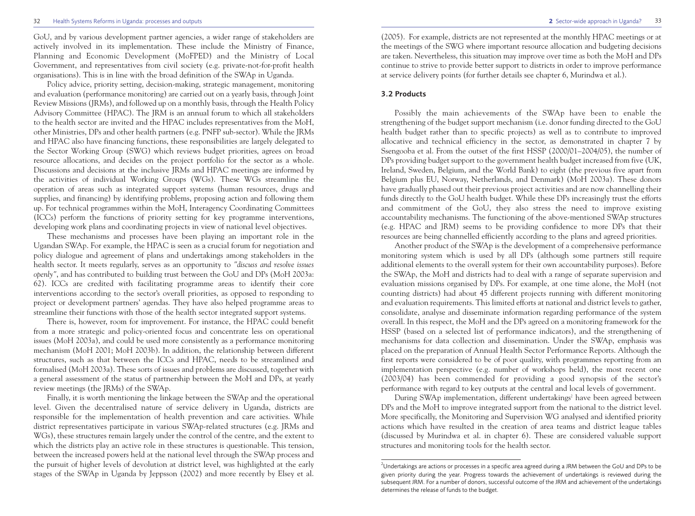#### 32 Health Systems Reforms in Uganda: processes and outputs **2** Sector-wide approach in Uganda?

GoU, and by various development partner agencies, a wider range of stakeholders are actively involved in its implementation. These include the Ministry of Finance, Planning and Economic Development (MoFPED) and the Ministry of Local Government, and representatives from civil society (e.g. private-not-for-profit health organisations). This is in line with the broad definition of the SWAp in Uganda.

Policy advice, priority setting, decision-making, strategic management, monitoring and evaluation (performance monitoring) are carried out on a yearly basis, through Joint Review Missions (JRMs), and followed up on a monthly basis, through the Health Policy Advisory Committee (HPAC). The JRM is an annual forum to which all stakeholders to the health sector are invited and the HPAC includes representatives from the MoH, other Ministries, DPs and other health partners (e.g. PNFP sub-sector). While the JRMs and HPAC also have financing functions, these responsibilities are largely delegated to the Sector Working Group (SWG) which reviews budget priorities, agrees on broad resource allocations, and decides on the project portfolio for the sector as a whole. Discussions and decisions at the inclusive JRMs and HPAC meetings are informed by the activities of individual Working Groups (WGs). These WGs streamline the operation of areas such as integrated support systems (human resources, drugs and supplies, and financing) by identifying problems, proposing action and following them up. For technical programmes within the MoH, Interagency Coordinating Committees (ICCs) perform the functions of priority setting for key programme interventions, developing work plans and coordinating projects in view of national level objectives.

These mechanisms and processes have been playing an important role in the Ugandan SWAp. For example, the HPAC is seen as a crucial forum for negotiation and policy dialogue and agreement of plans and undertakings among stakeholders in the health sector. It meets regularly, serves as an opportunity to *"discuss and resolve issues openly"*, and has contributed to building trust between the GoU and DPs (MoH 2003a: 62). ICCs are credited with facilitating programme areas to identify their core interventions according to the sector's overall priorities, as opposed to responding to project or development partners' agendas. They have also helped programme areas to streamline their functions with those of the health sector integrated support systems.

There is, however, room for improvement. For instance, the HPAC could benefit from a more strategic and policy-oriented focus and concentrate less on operational issues (MoH 2003a), and could be used more consistently as a performance monitoring mechanism (MoH 2001; MoH 2003b). In addition, the relationship between different structures, such as that between the ICCs and HPAC, needs to be streamlined and formalised (MoH 2003a). These sorts of issues and problems are discussed, together with a general assessment of the status of partnership between the MoH and DPs, at yearly review meetings (the JRMs) of the SWAp.

Finally, it is worth mentioning the linkage between the SWAp and the operational level. Given the decentralised nature of service delivery in Uganda, districts are responsible for the implementation of health prevention and care activities. While district representatives participate in various SWAp-related structures (e.g. JRMs and WGs), these structures remain largely under the control of the centre, and the extent to which the districts play an active role in these structures is questionable. This tension, between the increased powers held at the national level through the SWAp process and the pursuit of higher levels of devolution at district level, was highlighted at the early stages of the SWAp in Uganda by Jeppsson (2002) and more recently by Elsey et al.

(2005). For example, districts are not represented at the monthly HPAC meetings or at the meetings of the SWG where important resource allocation and budgeting decisions are taken. Nevertheless, this situation may improve over time as both the MoH and DPs continue to strive to provide better support to districts in order to improve performance at service delivery points (for further details see chapter 6, Murindwa et al.).

#### **3.2 Products**

Possibly the main achievements of the SWAp have been to enable the strengthening of the budget support mechanism (i.e. donor funding directed to the GoU health budget rather than to specific projects) as well as to contribute to improved allocative and technical efficiency in the sector, as demonstrated in chapter 7 by Ssengooba et al. From the outset of the first HSSP (2000/01–2004/05), the number of DPs providing budget support to the government health budget increased from five (UK, Ireland, Sweden, Belgium, and the World Bank) to eight (the previous five apart from Belgium plus EU, Norway, Netherlands, and Denmark) (MoH 2003a). These donors have gradually phased out their previous project activities and are now channelling their funds directly to the GoU health budget. While these DPs increasingly trust the efforts and commitment of the GoU, they also stress the need to improve existing accountability mechanisms. The functioning of the above-mentioned SWAp structures (e.g. HPAC and JRM) seems to be providing confidence to more DPs that their resources are being channelled efficiently according to the plans and agreed priorities.

Another product of the SWAp is the development of a comprehensive performance monitoring system which is used by all DPs (although some partners still require additional elements to the overall system for their own accountability purposes). Before the SWAp, the MoH and districts had to deal with a range of separate supervision and evaluation missions organised by DPs. For example, at one time alone, the MoH (not counting districts) had about 45 different projects running with different monitoring and evaluation requirements. This limited efforts at national and district levels to gather, consolidate, analyse and disseminate information regarding performance of the system overall. In this respect, the MoH and the DPs agreed on a monitoring framework for the HSSP (based on a selected list of performance indicators), and the strengthening of mechanisms for data collection and dissemination. Under the SWAp, emphasis was placed on the preparation of Annual Health Sector Performance Reports. Although the first reports were considered to be of poor quality, with programmes reporting from an implementation perspective (e.g. number of workshops held), the most recent one (2003/04) has been commended for providing a good synopsis of the sector's performance with regard to key outputs at the central and local levels of government.

During SWAp implementation, different undertakings<sup>2</sup> have been agreed between DPs and the MoH to improve integrated support from the national to the district level. More specifically, the Monitoring and Supervision WG analysed and identified priority actions which have resulted in the creation of area teams and district league tables (discussed by Murindwa et al. in chapter 6). These are considered valuable support structures and monitoring tools for the health sector.

 $^2$ Undertakings are actions or processes in a specific area agreed during a JRM between the GoU and DPs to be given priority during the year. Progress towards the achievement of undertakings is reviewed during the subsequent JRM. For a number of donors, successful outcome of the JRM and achievement of the undertakings determines the release of funds to the budget.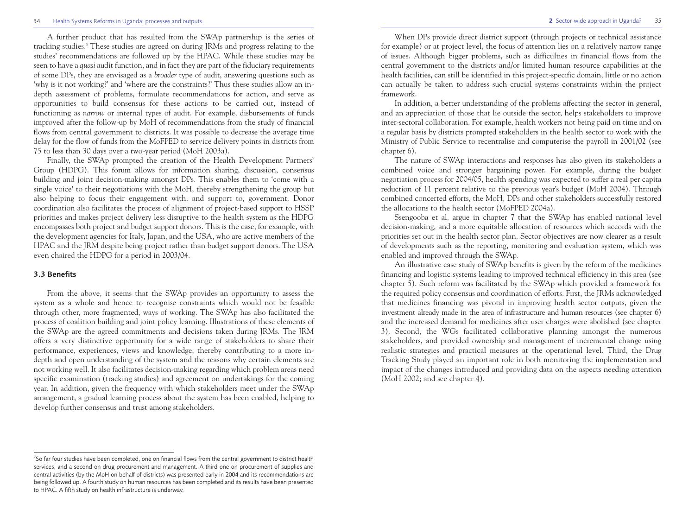#### 35 **2** Sector-wide approach in Uganda?

#### 34 Health Systems Reforms in Uganda: processes and outputs

A further product that has resulted from the SWAp partnership is the series of tracking studies.3 These studies are agreed on during JRMs and progress relating to the studies' recommendations are followed up by the HPAC. While these studies may be seen to have a *quasi* audit function, and in fact they are part of the fiduciary requirements of some DPs, they are envisaged as a *broader* type of audit, answering questions such as 'why is it not working?' and 'where are the constraints?' Thus these studies allow an indepth assessment of problems, formulate recommendations for action, and serve as opportunities to build consensus for these actions to be carried out, instead of functioning as *narrow* or internal types of audit. For example, disbursements of funds improved after the follow-up by MoH of recommendations from the study of financial flows from central government to districts. It was possible to decrease the average time delay for the flow of funds from the MoFPED to service delivery points in districts from 75 to less than 30 days over a two-year period (MoH 2003a).

Finally, the SWAp prompted the creation of the Health Development Partners' Group (HDPG). This forum allows for information sharing, discussion, consensus building and joint decision-making amongst DPs. This enables them to 'come with a single voice' to their negotiations with the MoH, thereby strengthening the group but also helping to focus their engagement with, and support to, government. Donor coordination also facilitates the process of alignment of project-based support to HSSP priorities and makes project delivery less disruptive to the health system as the HDPG encompasses both project and budget support donors. This is the case, for example, with the development agencies for Italy, Japan, and the USA, who are active members of the HPAC and the JRM despite being project rather than budget support donors. The USA even chaired the HDPG for a period in 2003/04.

#### **3.3 Benefits**

From the above, it seems that the SWAp provides an opportunity to assess the system as a whole and hence to recognise constraints which would not be feasible through other, more fragmented, ways of working. The SWAp has also facilitated the process of coalition building and joint policy learning. Illustrations of these elements of the SWAp are the agreed commitments and decisions taken during JRMs. The JRM offers a very distinctive opportunity for a wide range of stakeholders to share their performance, experiences, views and knowledge, thereby contributing to a more indepth and open understanding of the system and the reasons why certain elements are not working well. It also facilitates decision-making regarding which problem areas need specific examination (tracking studies) and agreement on undertakings for the coming year. In addition, given the frequency with which stakeholders meet under the SWAp arrangement, a gradual learning process about the system has been enabled, helping to develop further consensus and trust among stakeholders.

When DPs provide direct district support (through projects or technical assistance for example) or at project level, the focus of attention lies on a relatively narrow range of issues. Although bigger problems, such as difficulties in financial flows from the central government to the districts and/or limited human resource capabilities at the health facilities, can still be identified in this project-specific domain, little or no action can actually be taken to address such crucial systems constraints within the project framework.

In addition, a better understanding of the problems affecting the sector in general, and an appreciation of those that lie outside the sector, helps stakeholders to improve inter-sectoral collaboration. For example, health workers not being paid on time and on a regular basis by districts prompted stakeholders in the health sector to work with the Ministry of Public Service to recentralise and computerise the payroll in 2001/02 (see chapter 6).

The nature of SWAp interactions and responses has also given its stakeholders a combined voice and stronger bargaining power. For example, during the budget negotiation process for 2004/05, health spending was expected to suffer a real per capita reduction of 11 percent relative to the previous year's budget (MoH 2004). Through combined concerted efforts, the MoH, DPs and other stakeholders successfully restored the allocations to the health sector (MoFPED 2004a).

Ssengooba et al. argue in chapter 7 that the SWAp has enabled national level decision-making, and a more equitable allocation of resources which accords with the priorities set out in the health sector plan. Sector objectives are now clearer as a result of developments such as the reporting, monitoring and evaluation system, which was enabled and improved through the SWAp.

An illustrative case study of SWAp benefits is given by the reform of the medicines financing and logistic systems leading to improved technical efficiency in this area (see chapter 5). Such reform was facilitated by the SWAp which provided a framework for the required policy consensus and coordination of efforts. First, the JRMs acknowledged that medicines financing was pivotal in improving health sector outputs, given the investment already made in the area of infrastructure and human resources (see chapter 6) and the increased demand for medicines after user charges were abolished (see chapter 3). Second, the WGs facilitated collaborative planning amongst the numerous stakeholders, and provided ownership and management of incremental change using realistic strategies and practical measures at the operational level. Third, the Drug Tracking Study played an important role in both monitoring the implementation and impact of the changes introduced and providing data on the aspects needing attention (MoH 2002; and see chapter 4).

<sup>&</sup>lt;sup>3</sup>So far four studies have been completed, one on financial flows from the central government to district health services, and a second on drug procurement and management. A third one on procurement of supplies and central activities (by the MoH on behalf of districts) was presented early in 2004 and its recommendations are being followed up. A fourth study on human resources has been completed and its results have been presented to HPAC. A fifth study on health infrastructure is underway.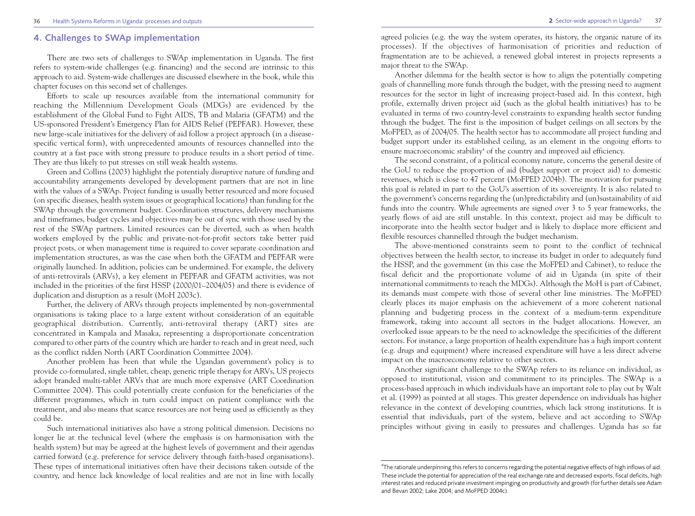# **4. Challenges to SWAp implementation**

There are two sets of challenges to SWAp implementation in Uganda. The first refers to system-wide challenges (e.g. financing) and the second are intrinsic to this approach to aid. System-wide challenges are discussed elsewhere in the book, while this chapter focuses on this second set of challenges.

Efforts to scale up resources available from the international community for reaching the Millennium Development Goals (MDGs) are evidenced by the establishment of the Global Fund to Fight AIDS, TB and Malaria (GFATM) and the US-sponsored President's Emergency Plan for AIDS Relief (PEPFAR). However, these new large-scale initiatives for the delivery of aid follow a project approach (in a diseasespecific vertical form), with unprecedented amounts of resources channelled into the country at a fast pace with strong pressure to produce results in a short period of time. They are thus likely to put stresses on still weak health systems.

Green and Collins (2003) highlight the potentialy disruptive nature of funding and accountability arrangements developed by development partners that are not in line with the values of a SWAp. Project funding is usually better resourced and more focused (on specific diseases, health system issues or geographical locations) than funding for the SWAp through the government budget. Coordination structures, delivery mechanisms and timeframes, budget cycles and objectives may be out of sync with those used by the rest of the SWAp partners. Limited resources can be diverted, such as when health workers employed by the public and private-not-for-profit sectors take better paid project posts, or when management time is required to cover separate coordination and implementation structures, as was the case when both the GFATM and PEPFAR were originally launched. In addition, policies can be undermined. For example, the delivery of anti-retrovirals (ARVs), a key element in PEPFAR and GFATM activities, was not included in the priorities of the first HSSP (2000/01–2004/05) and there is evidence of duplication and disruption as a result (MoH 2003c).

Further, the delivery of ARVs through projects implemented by non-governmental organisations is taking place to a large extent without consideration of an equitable geographical distribution. Currently, anti-retroviral therapy (ART) sites are concentrated in Kampala and Masaka, representing a disproportionate concentration compared to other parts of the country which are harder to reach and in great need, such as the conflict ridden North (ART Coordination Committee 2004).

Another problem has been that while the Ugandan government's policy is to provide co-formulated, single tablet, cheap, generic triple therapy for ARVs, US projects adopt branded multi-tablet ARVs that are much more expensive (ART Coordination Committee 2004). This could potentially create confusion for the beneficiaries of the different programmes, which in turn could impact on patient compliance with the treatment, and also means that scarce resources are not being used as efficiently as they could be.

Such international initiatives also have a strong political dimension. Decisions no longer lie at the technical level (where the emphasis is on harmonisation with the health system) but may be agreed at the highest levels of government and their agendas carried forward (e.g. preference for service delivery through faith-based organisations). These types of international initiatives often have their decisions taken outside of the country, and hence lack knowledge of local realities and are not in line with locally

agreed policies (e.g. the way the system operates, its history, the organic nature of its processes). If the objectives of harmonisation of priorities and reduction of fragmentation are to be achieved, a renewed global interest in projects represents a major threat to the SWAp.

Another dilemma for the health sector is how to align the potentially competing goals of channelling more funds through the budget, with the pressing need to augment resources for the sector in light of increasing project-based aid. In this context, high profile, externally driven project aid (such as the global health initiatives) has to be evaluated in terms of two country-level constraints to expanding health sector funding through the budget. The first is the imposition of budget ceilings on all sectors by the MoFPED, as of 2004/05. The health sector has to accommodate all project funding and budget support under its established ceiling, as an element in the ongoing efforts to ensure macroeconomic stability<sup>4</sup> of the country and improved aid efficiency.

The second constraint, of a political economy nature, concerns the general desire of the GoU to reduce the proportion of aid (budget support or project aid) to domestic revenues, which is close to 47 percent (MoFPED 2004b). The motivation for pursuing this goal is related in part to the GoU's assertion of its sovereignty. It is also related to the government's concerns regarding the (un)predictability and (un)sustainability of aid funds into the country. While agreements are signed over 3 to 5 year frameworks, the yearly flows of aid are still unstable. In this context, project aid may be difficult to incorporate into the health sector budget and is likely to displace more efficient and flexible resources channelled through the budget mechanism.

The above-mentioned constraints seem to point to the conflict of technical objectives between the health sector, to increase its budget in order to adequately fund the HSSP, and the government (in this case the MoFPED and Cabinet), to reduce the fiscal deficit and the proportionate volume of aid in Uganda (in spite of their international commitments to reach the MDGs). Although the MoH is part of Cabinet, its demands must compete with those of several other line ministries. The MoFPED clearly places its major emphasis on the achievement of a more coherent national planning and budgeting process in the context of a medium-term expenditure framework, taking into account all sectors in the budget allocations. However, an overlooked issue appears to be the need to acknowledge the specificities of the different sectors. For instance, a large proportion of health expenditure has a high import content (e.g. drugs and equipment) where increased expenditure will have a less direct adverse impact on the macroeconomy relative to other sectors.

Another significant challenge to the SWAp refers to its reliance on individual, as opposed to institutional, vision and commitment to its principles. The SWAp is a process-based approach in which individuals have an important role to play out by Walt et al. (1999) as pointed at all stages. This greater dependence on individuals has higher relevance in the context of developing countries, which lack strong institutions. It is essential that individuals, part of the system, believe and act according to SWAp principles without giving in easily to pressures and challenges. Uganda has so far

<sup>4</sup> The rationale underpinning this refers to concerns regarding the potential negative effects of high inflows of aid. These include the potential for appreciation of the real exchange rate and decreased exports, fiscal deficits, high interest rates and reduced private investment impinging on productivity and growth (for further details see Adam and Bevan 2002; Lake 2004; and MoFPED 2004c).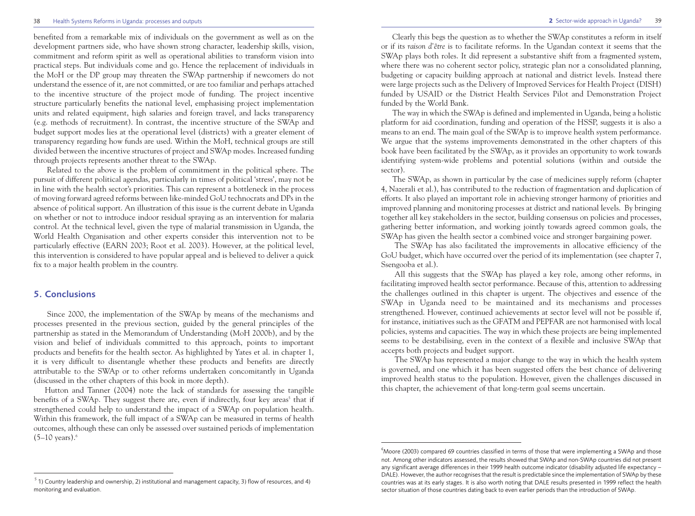#### 38 Health Systems Reforms in Uganda: processes and outputs

benefited from a remarkable mix of individuals on the government as well as on the development partners side, who have shown strong character, leadership skills, vision, commitment and reform spirit as well as operational abilities to transform vision into practical steps. But individuals come and go. Hence the replacement of individuals in the MoH or the DP group may threaten the SWAp partnership if newcomers do not understand the essence of it, are not committed, or are too familiar and perhaps attached to the incentive structure of the project mode of funding. The project incentive structure particularly benefits the national level, emphasising project implementation units and related equipment, high salaries and foreign travel, and lacks transparency (e.g. methods of recruitment). In contrast, the incentive structure of the SWAp and budget support modes lies at the operational level (districts) with a greater element of transparency regarding how funds are used. Within the MoH, technical groups are still divided between the incentive structures of project and SWAp modes. Increased funding through projects represents another threat to the SWAp.

Related to the above is the problem of commitment in the political sphere. The pursuit of different political agendas, particularly in times of political 'stress', may not be in line with the health sector's priorities. This can represent a bottleneck in the process of moving forward agreed reforms between like-minded GoU technocrats and DPs in the absence of political support. An illustration of this issue is the current debate in Uganda on whether or not to introduce indoor residual spraying as an intervention for malaria control. At the technical level, given the type of malarial transmission in Uganda, the World Health Organisation and other experts consider this intervention not to be particularly effective (EARN 2003; Root et al. 2003). However, at the political level, this intervention is considered to have popular appeal and is believed to deliver a quick fix to a major health problem in the country.

# **5. Conclusions**

Since 2000, the implementation of the SWAp by means of the mechanisms and processes presented in the previous section, guided by the general principles of the partnership as stated in the Memorandum of Understanding (MoH 2000b), and by the vision and belief of individuals committed to this approach, points to important products and benefits for the health sector. As highlighted by Yates et al. in chapter 1, it is very difficult to disentangle whether these products and benefits are directly attributable to the SWAp or to other reforms undertaken concomitantly in Uganda (discussed in the other chapters of this book in more depth).

Hutton and Tanner (2004) note the lack of standards for assessing the tangible benefits of a SWAp. They suggest there are, even if indirectly, four key areas<sup>5</sup> that if strengthened could help to understand the impact of a SWAp on population health. Within this framework, the full impact of a SWAp can be measured in terms of health outcomes, although these can only be assessed over sustained periods of implementation  $(5-10 \text{ years})$ .<sup>6</sup>

39 **2** Sector-wide approach in Uganda?

Clearly this begs the question as to whether the SWAp constitutes a reform in itself or if its *raison d'être* is to facilitate reforms. In the Ugandan context it seems that the SWAp plays both roles. It did represent a substantive shift from a fragmented system, where there was no coherent sector policy, strategic plan nor a consolidated planning, budgeting or capacity building approach at national and district levels. Instead there were large projects such as the Delivery of Improved Services for Health Project (DISH) funded by USAID or the District Health Services Pilot and Demonstration Project funded by the World Bank.

The way in which the SWAp is defined and implemented in Uganda, being a holistic platform for aid coordination, funding and operation of the HSSP, suggests it is also a means to an end. The main goal of the SWAp is to improve health system performance. We argue that the systems improvements demonstrated in the other chapters of this book have been facilitated by the SWAp, as it provides an opportunity to work towards identifying system-wide problems and potential solutions (within and outside the sector).

The SWAp, as shown in particular by the case of medicines supply reform (chapter 4, Nazerali et al.), has contributed to the reduction of fragmentation and duplication of efforts. It also played an important role in achieving stronger harmony of priorities and improved planning and monitoring processes at district and national levels. By bringing together all key stakeholders in the sector, building consensus on policies and processes, gathering better information, and working jointly towards agreed common goals, the SWAp has given the health sector a combined voice and stronger bargaining power.

The SWAp has also facilitated the improvements in allocative efficiency of the GoU budget, which have occurred over the period of its implementation (see chapter 7, Ssengooba et al.).

All this suggests that the SWAp has played a key role, among other reforms, in facilitating improved health sector performance. Because of this, attention to addressing the challenges outlined in this chapter is urgent. The objectives and essence of the SWAp in Uganda need to be maintained and its mechanisms and processes strengthened. However, continued achievements at sector level will not be possible if, for instance, initiatives such as the GFATM and PEPFAR are not harmonised with local policies, systems and capacities. The way in which these projects are being implemented seems to be destabilising, even in the context of a flexible and inclusive SWAp that accepts both projects and budget support.

The SWAp has represented a major change to the way in which the health system is governed, and one which it has been suggested offers the best chance of delivering improved health status to the population. However, given the challenges discussed in this chapter, the achievement of that long-term goal seems uncertain.

 $5$  1) Country leadership and ownership, 2) institutional and management capacity, 3) flow of resources, and 4) monitoring and evaluation.

<sup>6</sup> Moore (2003) compared 69 countries classified in terms of those that were implementing a SWAp and those not. Among other indicators assessed, the results showed that SWAp and non-SWAp countries did not present any significant average differences in their 1999 health outcome indicator (disability adjusted life expectancy – DALE). However, the author recognises that the result is predictable since the implementation of SWAp by these countries was at its early stages. It is also worth noting that DALE results presented in 1999 reflect the health sector situation of those countries dating back to even earlier periods than the introduction of SWAp.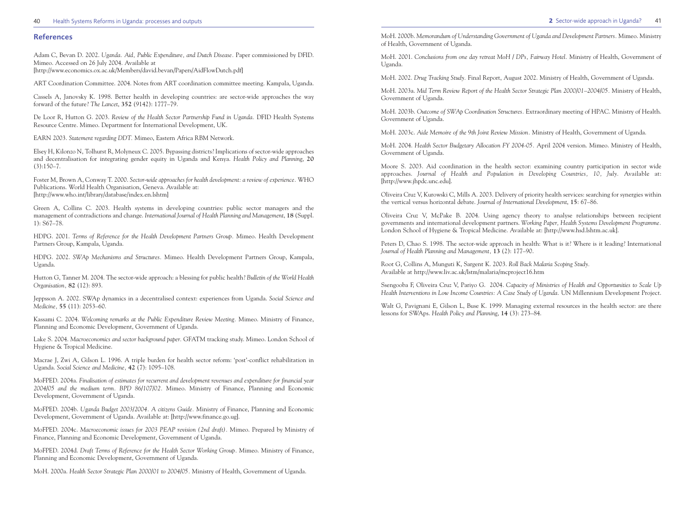#### 40 Health Systems Reforms in Uganda: processes and outputs **2** Sector-wide approach in Uganda?

#### **References**

Adam C, Bevan D. 2002. *Uganda. Aid, Public Expenditure, and Dutch Disease.* Paper commissioned by DFID. Mimeo. Accessed on 26 July 2004. Available at [http://www.economics.ox.ac.uk/Members/david.bevan/Papers/AidFlowDutch.pdf]

ART Coordination Committee. 2004. Notes from ART coordination committee meeting. Kampala, Uganda.

Cassels A, Janovsky K. 1998. Better health in developing countries: are sector-wide approaches the way forward of the future? *The Lancet*, **352** (9142): 1777–79.

De Loor R, Hutton G. 2003. *Review of the Health Sector Partnership Fund in Uganda.* DFID Health Systems Resource Centre. Mimeo. Department for International Development, UK.

EARN 2003. *Statement regarding DDT.* Mimeo, Eastern Africa RBM Network.

Elsey H, Kilonzo N, Tolhurst R, Molyneux C. 2005. Bypassing districts? Implications of sector-wide approaches and decentralisation for integrating gender equity in Uganda and Kenya. *Health Policy and Planning*, **20**  $(3):150-7$ .

Foster M, Brown A, Conway T. 2000. *Sector-wide approaches for health development: a review of experience.* WHO Publications. World Health Organisation, Geneva. Available at: [http://www.who.int/library/database/index.en.lshtm]

Green A, Collins C. 2003. Health systems in developing countries: public sector managers and the management of contradictions and change. *International Journal of Health Planning and Management*, **18** (Suppl. 1): S67–78.

HDPG. 2001. *Terms of Reference for the Health Development Partners Group.* Mimeo. Health Development Partners Group, Kampala, Uganda.

HDPG. 2002. *SWAp Mechanisms and Structures.* Mimeo. Health Development Partners Group, Kampala, Uganda.

Hutton G, Tanner M. 2004. The sector-wide approach: a blessing for public health? *Bulletin of the World Health Organisation,* **82** (12): 893.

Jeppsson A. 2002. SWAp dynamics in a decentralised context: experiences from Uganda. *Social Science and Medicine,* **55** (11): 2053–60.

Kassami C. 2004. *Welcoming remarks at the Public Expenditure Review Meeting.* Mimeo. Ministry of Finance, Planning and Economic Development, Government of Uganda.

Lake S. 2004. *Macroeconomics and sector background paper.* GFATM tracking study. Mimeo. London School of Hygiene & Tropical Medicine.

Macrae J, Zwi A, Gilson L. 1996. A triple burden for health sector reform: 'post'-conflict rehabilitation in Uganda. *Social Science and Medicine,* **42** (7): 1095–108.

MoFPED. 2004a. *Finalisation of estimates for recurrent and development revenues and expenditure for financial year 2004/05 and the medium term. BPD 86/107/02.* Mimeo. Ministry of Finance, Planning and Economic Development, Government of Uganda.

MoFPED. 2004b. *Uganda Budget 2003/2004. A citizens Guide.* Ministry of Finance, Planning and Economic Development, Government of Uganda. Available at: [http://www.finance.go.ug].

MoFPED. 2004c. *Macroeconomic issues for 2003 PEAP revision (2nd draft).* Mimeo. Prepared by Ministry of Finance, Planning and Economic Development, Government of Uganda.

MoFPED. 2004d. *Draft Terms of Reference for the Health Sector Working Group.* Mimeo. Ministry of Finance, Planning and Economic Development, Government of Uganda.

MoH. 2000a. *Health Sector Strategic Plan 2000/01 to 2004/05.* Ministry of Health, Government of Uganda.

41

of Health, Government of Uganda.

MoH. 2001. *Conclusions from one day retreat MoH / DPs, Fairway Hotel.* Ministry of Health, Government of Uganda.

MoH. 2002. *Drug Tracking Study.* Final Report, August 2002. Ministry of Health, Government of Uganda.

MoH. 2003a. *Mid Term Review Report of the Health Sector Strategic Plan 2000/01–2004/05.* Ministry of Health, Government of Uganda.

MoH. 2003b. *Outcome of SWAp Coordination Structures.* Extraordinary meeting of HPAC. Ministry of Health. Government of Uganda.

MoH. 2003c. *Aide Memoire of the 9th Joint Review Mission.* Ministry of Health, Government of Uganda.

MoH. 2004. *Health Sector Budgetary Allocation FY 2004-05.* April 2004 version. Mimeo. Ministry of Health, Government of Uganda.

Moore S. 2003. Aid coordination in the health sector: examining country participation in sector wide approaches. *Journal of Health and Population in Developing Countries, 10, July.* Available at: [http://www.jhpdc.unc.edu].

Oliveira Cruz V, Kurowski C, Mills A. 2003. Delivery of priority health services: searching for synergies within the vertical versus horizontal debate. *Journal of International Development*, **15**: 67–86.

Oliveira Cruz V, McPake B. 2004. Using agency theory to analyse relationships between recipient governments and international development partners. *Working Paper, Health Systems Development Programme.* London School of Hygiene & Tropical Medicine. Available at: [http://www.hsd.lshtm.ac.uk].

Peters D, Chao S. 1998. The sector-wide approach in health: What is it? Where is it leading? International *Journal of Health Planning and Management,* **13** (2): 177–90.

Root G, Collins A, Munguti K, Sargent K. 2003. *Roll Back Malaria Scoping Study.* Available at http://www.liv.ac.uk/lstm/malaria/mcproject16.htm

Ssengooba F, Oliveira Cruz V, Pariyo G. 2004. *Capacity of Ministries of Health and Opportunities to Scale Up Health Interventions in Low Income Countries: A Case Study of Uganda.* UN Millennium Development Project.

Walt G, Pavignani E, Gilson L, Buse K. 1999. Managing external resources in the health sector: are there lessons for SWAps. *Health Policy and Planning*, **14** (3): 273–84.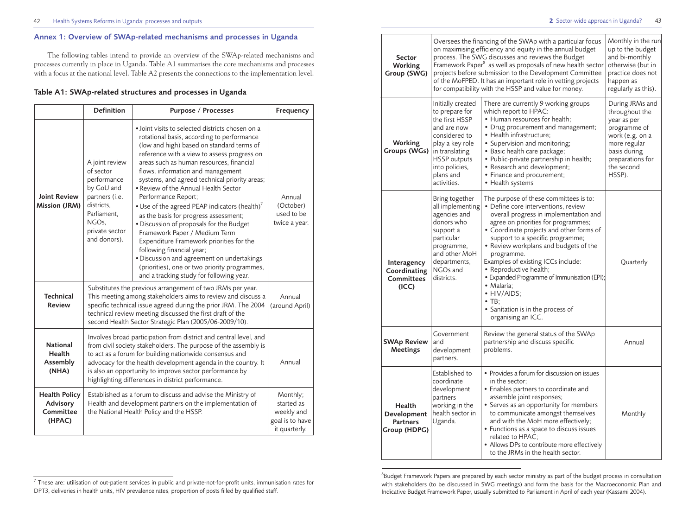#### 42 Health Systems Reforms in Uganda: processes and outputs  $\overline{a}$  43

#### **2** Sector-wide approach in Uganda?

# **Annex 1: Overview of SWAp-related mechanisms and processes in Uganda**

The following tables intend to provide an overview of the SWAp-related mechanisms and processes currently in place in Uganda. Table A1 summarises the core mechanisms and processes with a focus at the national level. Table A2 presents the connections to the implementation level.

### **Table A1: SWAp-related structures and processes in Uganda**

|                                                                                                                                                                                                                | <b>Definition</b> | <b>Purpose / Processes</b>                                                                                                                                                                                                                                                                                                                                                                                                                                                                                                                                                                                                                                                                                                                                                                 | Frequency                                                                |
|----------------------------------------------------------------------------------------------------------------------------------------------------------------------------------------------------------------|-------------------|--------------------------------------------------------------------------------------------------------------------------------------------------------------------------------------------------------------------------------------------------------------------------------------------------------------------------------------------------------------------------------------------------------------------------------------------------------------------------------------------------------------------------------------------------------------------------------------------------------------------------------------------------------------------------------------------------------------------------------------------------------------------------------------------|--------------------------------------------------------------------------|
| A joint review<br>of sector<br>performance<br>by GoU and<br><b>Joint Review</b><br>partners (i.e.<br>districts.<br><b>Mission (JRM)</b><br>Parliament.<br>NGO <sub>s</sub> .<br>private sector<br>and donors). |                   | · Joint visits to selected districts chosen on a<br>rotational basis, according to performance<br>(low and high) based on standard terms of<br>reference with a view to assess progress on<br>areas such as human resources, financial<br>flows, information and management<br>systems, and agreed technical priority areas;<br>. Review of the Annual Health Sector<br>Performance Report:<br>• Use of the agreed PEAP indicators (health) $^7$<br>as the basis for progress assessment;<br>· Discussion of proposals for the Budget<br>Framework Paper / Medium Term<br>Expenditure Framework priorities for the<br>following financial year;<br>· Discussion and agreement on undertakings<br>(priorities), one or two priority programmes,<br>and a tracking study for following year. | Annual<br>(October)<br>used to be<br>twice a year.                       |
| <b>Technical</b><br><b>Review</b>                                                                                                                                                                              |                   | Substitutes the previous arrangement of two JRMs per year.<br>This meeting among stakeholders aims to review and discuss a<br>specific technical issue agreed during the prior JRM. The 2004<br>technical review meeting discussed the first draft of the<br>second Health Sector Strategic Plan (2005/06-2009/10).                                                                                                                                                                                                                                                                                                                                                                                                                                                                        | Annual<br>(around April)                                                 |
| <b>National</b><br>Health<br>Assembly<br>(NHA)                                                                                                                                                                 |                   | Involves broad participation from district and central level, and<br>from civil society stakeholders. The purpose of the assembly is<br>to act as a forum for building nationwide consensus and<br>advocacy for the health development agenda in the country. It<br>is also an opportunity to improve sector performance by<br>highlighting differences in district performance.                                                                                                                                                                                                                                                                                                                                                                                                           | Annual                                                                   |
| <b>Health Policy</b><br><b>Advisory</b><br>Committee<br>(HPAC)                                                                                                                                                 |                   | Established as a forum to discuss and advise the Ministry of<br>Health and development partners on the implementation of<br>the National Health Policy and the HSSP.                                                                                                                                                                                                                                                                                                                                                                                                                                                                                                                                                                                                                       | Monthly;<br>started as<br>weekly and<br>goal is to have<br>it quarterly. |

|                                                                                                                                                                                                                                                                                                                                                                                                                                                | Sector<br><b>Working</b><br>Group (SWG)                   |                                                                                                                                                                      | Oversees the financing of the SWAp with a particular focus<br>on maximising efficiency and equity in the annual budget<br>process. The SWG discusses and reviews the Budget<br>Framework Paper <sup>8</sup> as well as proposals of new health sector<br>projects before submission to the Development Committee<br>of the MoFPED. It has an important role in vetting projects<br>for compatibility with the HSSP and value for money.                                                                                       | Monthly in the run<br>up to the budget<br>and bi-monthly<br>otherwise (but in<br>practice does not<br>happen as<br>regularly as this). |
|------------------------------------------------------------------------------------------------------------------------------------------------------------------------------------------------------------------------------------------------------------------------------------------------------------------------------------------------------------------------------------------------------------------------------------------------|-----------------------------------------------------------|----------------------------------------------------------------------------------------------------------------------------------------------------------------------|-------------------------------------------------------------------------------------------------------------------------------------------------------------------------------------------------------------------------------------------------------------------------------------------------------------------------------------------------------------------------------------------------------------------------------------------------------------------------------------------------------------------------------|----------------------------------------------------------------------------------------------------------------------------------------|
| Initially created<br>to prepare for<br>which report to HPAC:<br>the first HSSP<br>• Human resources for health:<br>and are now<br>considered to<br>• Health infrastructure;<br>Working<br>play a key role<br>• Supervision and monitoring;<br>Groups (WGs)<br>• Basic health care package;<br>in translating<br><b>HSSP</b> outputs<br>• Research and development;<br>into policies,<br>plans and<br>• Finance and procurement;<br>activities. |                                                           | There are currently 9 working groups<br>• Drug procurement and management;<br>• Public-private partnership in health;<br>• Health systems                            | During JRMs and<br>throughout the<br>year as per<br>programme of<br>work (e.g. on a<br>more regular<br>basis during<br>preparations for<br>the second<br>HSSP).                                                                                                                                                                                                                                                                                                                                                               |                                                                                                                                        |
|                                                                                                                                                                                                                                                                                                                                                                                                                                                | Interagency<br>Coordinating<br><b>Committees</b><br>(ICC) | Bring together<br>all implementing<br>agencies and<br>donors who<br>support a<br>particular<br>programme,<br>and other MoH<br>departments,<br>NGOs and<br>districts. | The purpose of these committees is to:<br>· Define core interventions, review<br>overall progress in implementation and<br>agree on priorities for programmes;<br>• Coordinate projects and other forms of<br>support to a specific programme;<br>• Review workplans and budgets of the<br>programme.<br>Examples of existing ICCs include:<br>• Reproductive health;<br>• Expanded Programme of Immunisation (EPI);<br>• Malaria;<br>• HIV/AIDS;<br>$\bullet$ TB;<br>• Sanitation is in the process of<br>organising an ICC. | Quarterly                                                                                                                              |
|                                                                                                                                                                                                                                                                                                                                                                                                                                                | <b>SWAp Review</b><br><b>Meetings</b>                     | Government<br>Review the general status of the SWAp<br>partnership and discuss specific<br>and<br>problems.<br>development<br>partners.                              |                                                                                                                                                                                                                                                                                                                                                                                                                                                                                                                               | Annual                                                                                                                                 |
|                                                                                                                                                                                                                                                                                                                                                                                                                                                | Health<br>Development<br><b>Partners</b><br>Group (HDPG)  | Established to<br>coordinate<br>development<br>partners<br>working in the<br>health sector in<br>Uganda.                                                             | • Provides a forum for discussion on issues<br>in the sector;<br>• Enables partners to coordinate and<br>assemble joint responses;<br>• Serves as an opportunity for members<br>to communicate amongst themselves<br>and with the MoH more effectively;<br>• Functions as a space to discuss issues<br>related to HPAC:<br>• Allows DPs to contribute more effectively<br>to the JRMs in the health sector.                                                                                                                   | Monthly                                                                                                                                |

 $<sup>7</sup>$  These are: utilisation of out-patient services in public and private-not-for-profit units, immunisation rates for</sup> DPT3, deliveries in health units, HIV prevalence rates, proportion of posts filled by qualified staff.

<sup>&</sup>lt;sup>8</sup>Budget Framework Papers are prepared by each sector ministry as part of the budget process in consultation with stakeholders (to be discussed in SWG meetings) and form the basis for the Macroeconomic Plan and Indicative Budget Framework Paper, usually submitted to Parliament in April of each year (Kassami 2004).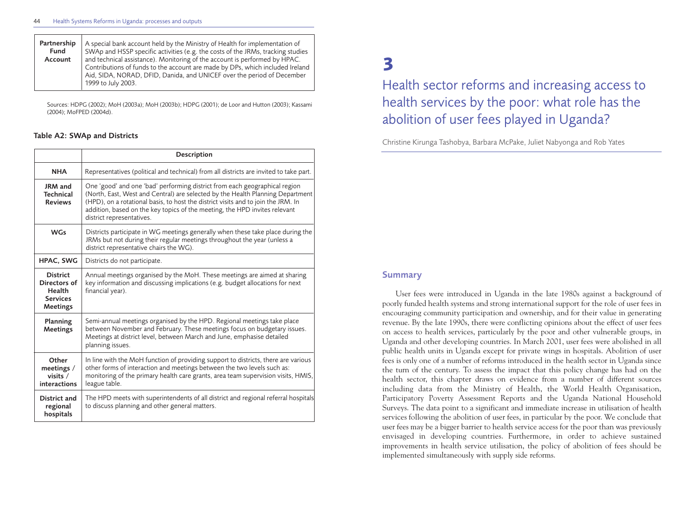| Partnership | A special bank account held by the Ministry of Health for implementation of                                                                                                                                                                                 |
|-------------|-------------------------------------------------------------------------------------------------------------------------------------------------------------------------------------------------------------------------------------------------------------|
| Fund        | SWAp and HSSP specific activities (e.g. the costs of the JRMs, tracking studies                                                                                                                                                                             |
| Account     | and technical assistance). Monitoring of the account is performed by HPAC.<br>Contributions of funds to the account are made by DPs, which included Ireland<br>Aid, SIDA, NORAD, DFID, Danida, and UNICEF over the period of December<br>1999 to July 2003. |

Sources: HDPG (2002); MoH (2003a); MoH (2003b); HDPG (2001); de Loor and Hutton (2003); Kassami (2004); MoFPED (2004d).

#### **Table A2: SWAp and Districts**

|                                                                          | Description                                                                                                                                                                                                                                                                                                                                                  |
|--------------------------------------------------------------------------|--------------------------------------------------------------------------------------------------------------------------------------------------------------------------------------------------------------------------------------------------------------------------------------------------------------------------------------------------------------|
| <b>NHA</b>                                                               | Representatives (political and technical) from all districts are invited to take part.                                                                                                                                                                                                                                                                       |
| JRM and<br><b>Technical</b><br><b>Reviews</b>                            | One 'good' and one 'bad' performing district from each geographical region<br>(North, East, West and Central) are selected by the Health Planning Department<br>(HPD), on a rotational basis, to host the district visits and to join the JRM. In<br>addition, based on the key topics of the meeting, the HPD invites relevant<br>district representatives. |
| <b>WGs</b>                                                               | Districts participate in WG meetings generally when these take place during the<br>JRMs but not during their regular meetings throughout the year (unless a<br>district representative chairs the WG).                                                                                                                                                       |
| <b>HPAC, SWG</b>                                                         | Districts do not participate.                                                                                                                                                                                                                                                                                                                                |
| <b>District</b><br>Directors of<br>Health<br><b>Services</b><br>Meetings | Annual meetings organised by the MoH. These meetings are aimed at sharing<br>key information and discussing implications (e.g. budget allocations for next<br>financial year).                                                                                                                                                                               |
| Planning<br><b>Meetings</b>                                              | Semi-annual meetings organised by the HPD. Regional meetings take place<br>between November and February. These meetings focus on budgetary issues.<br>Meetings at district level, between March and June, emphasise detailed<br>planning issues.                                                                                                            |
| Other<br>meetings /<br>visits $/$<br>interactions                        | In line with the MoH function of providing support to districts, there are various<br>other forms of interaction and meetings between the two levels such as:<br>monitoring of the primary health care grants, area team supervision visits, HMIS,<br>league table.                                                                                          |
| District and<br>regional<br>hospitals                                    | The HPD meets with superintendents of all district and regional referral hospitals<br>to discuss planning and other general matters.                                                                                                                                                                                                                         |

# **3**

Health sector reforms and increasing access to health services by the poor: what role has the abolition of user fees played in Uganda?

Christine Kirunga Tashobya, Barbara McPake, Juliet Nabyonga and Rob Yates

# **Summary**

User fees were introduced in Uganda in the late 1980s against a background of poorly funded health systems and strong international support for the role of user fees in encouraging community participation and ownership, and for their value in generating revenue. By the late 1990s, there were conflicting opinions about the effect of user fees on access to health services, particularly by the poor and other vulnerable groups, in Uganda and other developing countries. In March 2001, user fees were abolished in all public health units in Uganda except for private wings in hospitals. Abolition of user fees is only one of a number of reforms introduced in the health sector in Uganda since the turn of the century. To assess the impact that this policy change has had on the health sector, this chapter draws on evidence from a number of different sources including data from the Ministry of Health, the World Health Organisation, Participatory Poverty Assessment Reports and the Uganda National Household Surveys. The data point to a significant and immediate increase in utilisation of health services following the abolition of user fees, in particular by the poor. We conclude that user fees may be a bigger barrier to health service access for the poor than was previously envisaged in developing countries. Furthermore, in order to achieve sustained improvements in health service utilisation, the policy of abolition of fees should be implemented simultaneously with supply side reforms.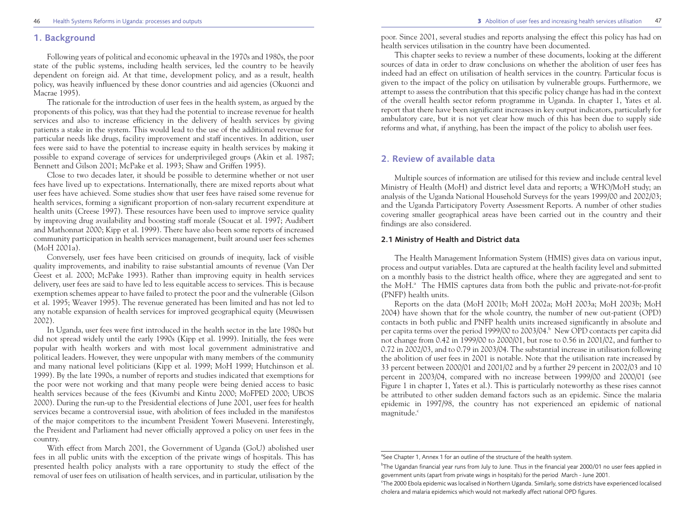#### **1. Background**

Following years of political and economic upheaval in the 1970s and 1980s, the poor state of the public systems, including health services, led the country to be heavily dependent on foreign aid. At that time, development policy, and as a result, health policy, was heavily influenced by these donor countries and aid agencies (Okuonzi and Macrae 1995).

The rationale for the introduction of user fees in the health system, as argued by the proponents of this policy, was that they had the potential to increase revenue for health services and also to increase efficiency in the delivery of health services by giving patients a stake in the system. This would lead to the use of the additional revenue for particular needs like drugs, facility improvement and staff incentives. In addition, user fees were said to have the potential to increase equity in health services by making it possible to expand coverage of services for underprivileged groups (Akin et al. 1987; Bennett and Gilson 2001; McPake et al. 1993; Shaw and Griffen 1995).

Close to two decades later, it should be possible to determine whether or not user fees have lived up to expectations. Internationally, there are mixed reports about what user fees have achieved. Some studies show that user fees have raised some revenue for health services, forming a significant proportion of non-salary recurrent expenditure at health units (Creese 1997). These resources have been used to improve service quality by improving drug availability and boosting staff morale (Soucat et al. 1997; Audibert and Mathonnat 2000; Kipp et al. 1999). There have also been some reports of increased community participation in health services management, built around user fees schemes (MoH 2001a).

Conversely, user fees have been criticised on grounds of inequity, lack of visible quality improvements, and inability to raise substantial amounts of revenue (Van Der Geest et al. 2000; McPake 1993). Rather than improving equity in health services delivery, user fees are said to have led to less equitable access to services. This is because exemption schemes appear to have failed to protect the poor and the vulnerable (Gilson et al. 1995; Weaver 1995). The revenue generated has been limited and has not led to any notable expansion of health services for improved geographical equity (Meuwissen 2002).

In Uganda, user fees were first introduced in the health sector in the late 1980s but did not spread widely until the early 1990s (Kipp et al. 1999). Initially, the fees were popular with health workers and with most local government administrative and political leaders. However, they were unpopular with many members of the community and many national level politicians (Kipp et al. 1999; MoH 1999; Hutchinson et al. 1999). By the late 1990s, a number of reports and studies indicated that exemptions for the poor were not working and that many people were being denied access to basic health services because of the fees (Kivumbi and Kintu 2000; MoFPED 2000; UBOS 2000). During the run-up to the Presidential elections of June 2001, user fees for health services became a controversial issue, with abolition of fees included in the manifestos of the major competitors to the incumbent President Yoweri Museveni. Interestingly, the President and Parliament had never officially approved a policy on user fees in the country.

With effect from March 2001, the Government of Uganda (GoU) abolished user fees in all public units with the exception of the private wings of hospitals. This has presented health policy analysts with a rare opportunity to study the effect of the removal of user fees on utilisation of health services, and in particular, utilisation by the poor. Since 2001, several studies and reports analysing the effect this policy has had on health services utilisation in the country have been documented.

This chapter seeks to review a number of these documents, looking at the different sources of data in order to draw conclusions on whether the abolition of user fees has indeed had an effect on utilisation of health services in the country. Particular focus is given to the impact of the policy on utilisation by vulnerable groups. Furthermore, we attempt to assess the contribution that this specific policy change has had in the context of the overall health sector reform programme in Uganda. In chapter 1, Yates et al. report that there have been significant increases in key output indicators, particularly for ambulatory care, but it is not yet clear how much of this has been due to supply side reforms and what, if anything, has been the impact of the policy to abolish user fees.

## **2. Review of available data**

Multiple sources of information are utilised for this review and include central level Ministry of Health (MoH) and district level data and reports; a WHO/MoH study; an analysis of the Uganda National Household Surveys for the years 1999/00 and 2002/03; and the Uganda Participatory Poverty Assessment Reports. A number of other studies covering smaller geographical areas have been carried out in the country and their findings are also considered.

#### **2.1 Ministry of Health and District data**

The Health Management Information System (HMIS) gives data on various input, process and output variables. Data are captured at the health facility level and submitted on a monthly basis to the district health office, where they are aggregated and sent to the MoH.<sup>a</sup> The HMIS captures data from both the public and private-not-for-profit (PNFP) health units.

Reports on the data (MoH 2001b; MoH 2002a; MoH 2003a; MoH 2003b; MoH 2004) have shown that for the whole country, the number of new out-patient (OPD) contacts in both public and PNFP health units increased significantly in absolute and per capita terms over the period 1999/00 to 2003/04.<sup>b</sup> New OPD contacts per capita did not change from 0.42 in 1999/00 to 2000/01, but rose to 0.56 in 2001/02, and further to 0.72 in 2002/03, and to 0.79 in 2003/04. The substantial increase in utilisation following the abolition of user fees in 2001 is notable. Note that the utilisation rate increased by 33 percent between 2000/01 and 2001/02 and by a further 29 percent in 2002/03 and 10 percent in 2003/04, compared with no increase between 1999/00 and 2000/01 (see Figure 1 in chapter 1, Yates et al.). This is particularly noteworthy as these rises cannot be attributed to other sudden demand factors such as an epidemic. Since the malaria epidemic in 1997/98, the country has not experienced an epidemic of national magnitude.<sup>c</sup>

<sup>&</sup>lt;sup>a</sup>See Chapter 1, Annex 1 for an outline of the structure of the health system.

b The Ugandan financial year runs from July to June. Thus in the financial year 2000/01 no user fees applied in government units (apart from private wings in hospitals) for the period March - June 2001.

c The 2000 Ebola epidemic was localised in Northern Uganda. Similarly, some districts have experienced localised cholera and malaria epidemics which would not markedly affect national OPD figures.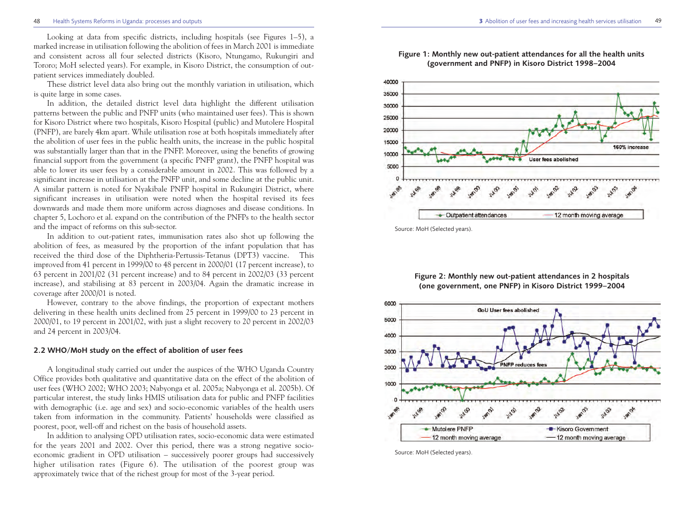Looking at data from specific districts, including hospitals (see Figures 1–5), a marked increase in utilisation following the abolition of fees in March 2001 is immediate and consistent across all four selected districts (Kisoro, Ntungamo, Rukungiri and Tororo; MoH selected years). For example, in Kisoro District, the consumption of outpatient services immediately doubled.

These district level data also bring out the monthly variation in utilisation, which is quite large in some cases.

In addition, the detailed district level data highlight the different utilisation patterns between the public and PNFP units (who maintained user fees). This is shown for Kisoro District where two hospitals, Kisoro Hospital (public) and Mutolere Hospital (PNFP), are barely 4km apart. While utilisation rose at both hospitals immediately after the abolition of user fees in the public health units, the increase in the public hospital was substantially larger than that in the PNFP. Moreover, using the benefits of growing financial support from the government (a specific PNFP grant), the PNFP hospital was able to lower its user fees by a considerable amount in 2002. This was followed by a significant increase in utilisation at the PNFP unit, and some decline at the public unit. A similar pattern is noted for Nyakibale PNFP hospital in Rukungiri District, where significant increases in utilisation were noted when the hospital revised its fees downwards and made them more uniform across diagnoses and disease conditions. In chapter 5, Lochoro et al. expand on the contribution of the PNFPs to the health sector and the impact of reforms on this sub-sector.

In addition to out-patient rates, immunisation rates also shot up following the abolition of fees, as measured by the proportion of the infant population that has received the third dose of the Diphtheria-Pertussis-Tetanus (DPT3) vaccine. This improved from 41 percent in 1999/00 to 48 percent in 2000/01 (17 percent increase), to 63 percent in 2001/02 (31 percent increase) and to 84 percent in 2002/03 (33 percent increase), and stabilising at 83 percent in 2003/04. Again the dramatic increase in coverage after 2000/01 is noted.

However, contrary to the above findings, the proportion of expectant mothers delivering in these health units declined from 25 percent in 1999/00 to 23 percent in 2000/01, to 19 percent in 2001/02, with just a slight recovery to 20 percent in 2002/03 and 24 percent in 2003/04.

#### **2.2 WHO/MoH study on the effect of abolition of user fees**

A longitudinal study carried out under the auspices of the WHO Uganda Country Office provides both qualitative and quantitative data on the effect of the abolition of user fees (WHO 2002; WHO 2003; Nabyonga et al. 2005a; Nabyonga et al. 2005b). Of particular interest, the study links HMIS utilisation data for public and PNFP facilities with demographic (i.e. age and sex) and socio-economic variables of the health users taken from information in the community. Patients' households were classified as poorest, poor, well-off and richest on the basis of household assets.

In addition to analysing OPD utilisation rates, socio-economic data were estimated for the years 2001 and 2002. Over this period, there was a strong negative socioeconomic gradient in OPD utilisation – successively poorer groups had successively higher utilisation rates (Figure 6). The utilisation of the poorest group was approximately twice that of the richest group for most of the 3-year period.



Source: MoH (Selected years).

#### **Figure 2: Monthly new out-patient attendances in 2 hospitals (one government, one PNFP) in Kisoro District 1999–2004**



Source: MoH (Selected years).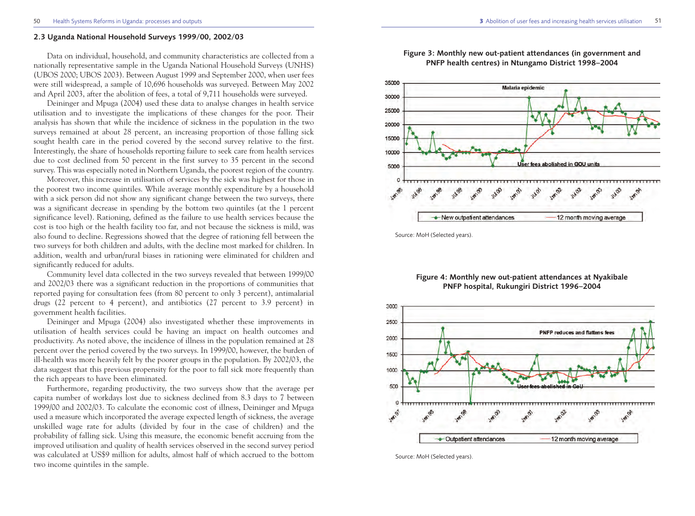#### **2.3 Uganda National Household Surveys 1999/00, 2002/03**

Data on individual, household, and community characteristics are collected from a nationally representative sample in the Uganda National Household Surveys (UNHS) (UBOS 2000; UBOS 2003). Between August 1999 and September 2000, when user fees were still widespread, a sample of 10,696 households was surveyed. Between May 2002 and April 2003, after the abolition of fees, a total of 9,711 households were surveyed.

Deininger and Mpuga (2004) used these data to analyse changes in health service utilisation and to investigate the implications of these changes for the poor. Their analysis has shown that while the incidence of sickness in the population in the two surveys remained at about 28 percent, an increasing proportion of those falling sick sought health care in the period covered by the second survey relative to the first. Interestingly, the share of households reporting failure to seek care from health services due to cost declined from 50 percent in the first survey to 35 percent in the second survey. This was especially noted in Northern Uganda, the poorest region of the country.

Moreover, this increase in utilisation of services by the sick was highest for those in the poorest two income quintiles. While average monthly expenditure by a household with a sick person did not show any significant change between the two surveys, there was a significant decrease in spending by the bottom two quintiles (at the 1 percent significance level). Rationing, defined as the failure to use health services because the cost is too high or the health facility too far, and not because the sickness is mild, was also found to decline. Regressions showed that the degree of rationing fell between the two surveys for both children and adults, with the decline most marked for children. In addition, wealth and urban/rural biases in rationing were eliminated for children and significantly reduced for adults.

Community level data collected in the two surveys revealed that between 1999/00 and 2002/03 there was a significant reduction in the proportions of communities that reported paying for consultation fees (from 80 percent to only 3 percent), antimalarial drugs (22 percent to 4 percent), and antibiotics (27 percent to 3.9 percent) in government health facilities.

Deininger and Mpuga (2004) also investigated whether these improvements in utilisation of health services could be having an impact on health outcomes and productivity. As noted above, the incidence of illness in the population remained at 28 percent over the period covered by the two surveys. In 1999/00, however, the burden of ill-health was more heavily felt by the poorer groups in the population. By 2002/03, the data suggest that this previous propensity for the poor to fall sick more frequently than the rich appears to have been eliminated.

Furthermore, regarding productivity, the two surveys show that the average per capita number of workdays lost due to sickness declined from 8.3 days to 7 between 1999/00 and 2002/03. To calculate the economic cost of illness, Deininger and Mpuga used a measure which incorporated the average expected length of sickness, the average unskilled wage rate for adults (divided by four in the case of children) and the probability of falling sick. Using this measure, the economic benefit accruing from the improved utilisation and quality of health services observed in the second survey period was calculated at US\$9 million for adults, almost half of which accrued to the bottom two income quintiles in the sample.



**Figure 3: Monthly new out-patient attendances (in government and PNFP health centres) in Ntungamo District 1998–2004**

Source: MoH (Selected years).

#### **Figure 4: Monthly new out-patient attendances at Nyakibale PNFP hospital, Rukungiri District 1996–2004**



Source: MoH (Selected years).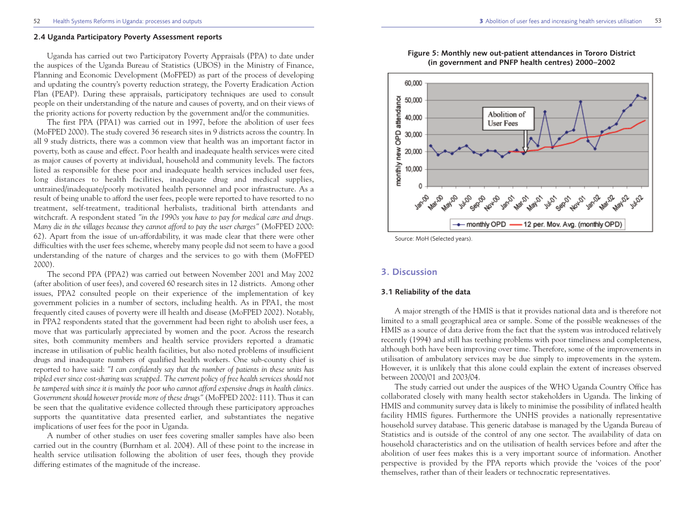#### **2.4 Uganda Participatory Poverty Assessment reports**

Uganda has carried out two Participatory Poverty Appraisals (PPA) to date under the auspices of the Uganda Bureau of Statistics (UBOS) in the Ministry of Finance, Planning and Economic Development (MoFPED) as part of the process of developing and updating the country's poverty reduction strategy, the Poverty Eradication Action Plan (PEAP). During these appraisals, participatory techniques are used to consult people on their understanding of the nature and causes of poverty, and on their views of the priority actions for poverty reduction by the government and/or the communities.

The first PPA (PPA1) was carried out in 1997, before the abolition of user fees (MoFPED 2000). The study covered 36 research sites in 9 districts across the country. In all 9 study districts, there was a common view that health was an important factor in poverty, both as cause and effect. Poor health and inadequate health services were cited as major causes of poverty at individual, household and community levels. The factors listed as responsible for these poor and inadequate health services included user fees, long distances to health facilities, inadequate drug and medical supplies, untrained/inadequate/poorly motivated health personnel and poor infrastructure. As a result of being unable to afford the user fees, people were reported to have resorted to no treatment, self-treatment, traditional herbalists, traditional birth attendants and witchcraft. A respondent stated *"in the 1990s you have to pay for medical care and drugs. Many die in the villages because they cannot afford to pay the user charges"* (MoFPED 2000: 62). Apart from the issue of un-affordability, it was made clear that there were other difficulties with the user fees scheme, whereby many people did not seem to have a good understanding of the nature of charges and the services to go with them (MoFPED 2000).

The second PPA (PPA2) was carried out between November 2001 and May 2002 (after abolition of user fees), and covered 60 research sites in 12 districts. Among other issues, PPA2 consulted people on their experience of the implementation of key government policies in a number of sectors, including health. As in PPA1, the most frequently cited causes of poverty were ill health and disease (MoFPED 2002). Notably, in PPA2 respondents stated that the government had been right to abolish user fees, a move that was particularly appreciated by women and the poor. Across the research sites, both community members and health service providers reported a dramatic increase in utilisation of public health facilities, but also noted problems of insufficient drugs and inadequate numbers of qualified health workers. One sub-county chief is reported to have said: *"I can confidently say that the number of patients in these units has tripled ever since cost-sharing was scrapped. The current policy of free health services should not be tampered with since it is mainly the poor who cannot afford expensive drugs in health clinics. Government should however provide more of these drugs"* (MoFPED 2002: 111). Thus it can be seen that the qualitative evidence collected through these participatory approaches supports the quantitative data presented earlier, and substantiates the negative implications of user fees for the poor in Uganda.

A number of other studies on user fees covering smaller samples have also been carried out in the country (Burnham et al. 2004). All of these point to the increase in health service utilisation following the abolition of user fees, though they provide differing estimates of the magnitude of the increase.



**Figure 5: Monthly new out-patient attendances in Tororo District (in government and PNFP health centres) 2000–2002** 

Source: MoH (Selected years).

#### **3. Discussion**

#### **3.1 Reliability of the data**

A major strength of the HMIS is that it provides national data and is therefore not limited to a small geographical area or sample. Some of the possible weaknesses of the HMIS as a source of data derive from the fact that the system was introduced relatively recently (1994) and still has teething problems with poor timeliness and completeness, although both have been improving over time. Therefore, some of the improvements in utilisation of ambulatory services may be due simply to improvements in the system. However, it is unlikely that this alone could explain the extent of increases observed between 2000/01 and 2003/04.

The study carried out under the auspices of the WHO Uganda Country Office has collaborated closely with many health sector stakeholders in Uganda. The linking of HMIS and community survey data is likely to minimise the possibility of inflated health facility HMIS figures. Furthermore the UNHS provides a nationally representative household survey database. This generic database is managed by the Uganda Bureau of Statistics and is outside of the control of any one sector. The availability of data on household characteristics and on the utilisation of health services before and after the abolition of user fees makes this is a very important source of information. Another perspective is provided by the PPA reports which provide the 'voices of the poor' themselves, rather than of their leaders or technocratic representatives.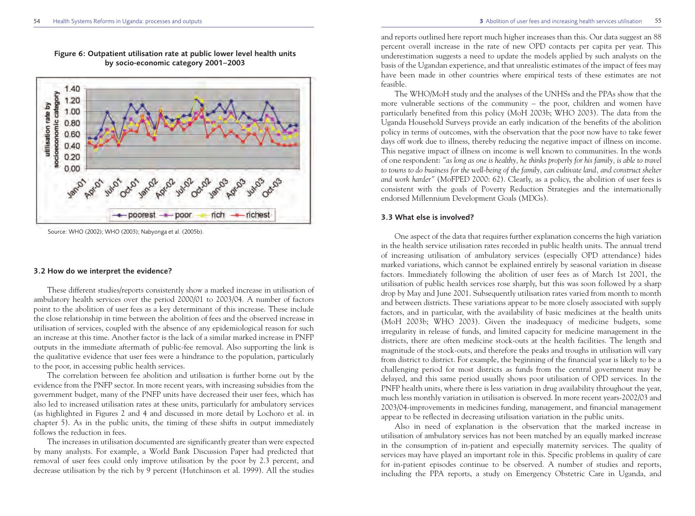

**Figure 6: Outpatient utilisation rate at public lower level health units by socio-economic category 2001–2003**

#### **3.2 How do we interpret the evidence?**

These different studies/reports consistently show a marked increase in utilisation of ambulatory health services over the period 2000/01 to 2003/04. A number of factors point to the abolition of user fees as a key determinant of this increase. These include the close relationship in time between the abolition of fees and the observed increase in utilisation of services, coupled with the absence of any epidemiological reason for such an increase at this time. Another factor is the lack of a similar marked increase in PNFP outputs in the immediate aftermath of public-fee removal. Also supporting the link is the qualitative evidence that user fees were a hindrance to the population, particularly to the poor, in accessing public health services.

The correlation between fee abolition and utilisation is further borne out by the evidence from the PNFP sector. In more recent years, with increasing subsidies from the government budget, many of the PNFP units have decreased their user fees, which has also led to increased utilisation rates at these units, particularly for ambulatory services (as highlighted in Figures 2 and 4 and discussed in more detail by Lochoro et al. in chapter 5). As in the public units, the timing of these shifts in output immediately follows the reduction in fees.

The increases in utilisation documented are significantly greater than were expected by many analysts. For example, a World Bank Discussion Paper had predicted that removal of user fees could only improve utilisation by the poor by 2.3 percent, and decrease utilisation by the rich by 9 percent (Hutchinson et al. 1999). All the studies and reports outlined here report much higher increases than this. Our data suggest an 88 percent overall increase in the rate of new OPD contacts per capita per year. This underestimation suggests a need to update the models applied by such analysts on the basis of the Ugandan experience, and that unrealistic estimates of the impact of fees may have been made in other countries where empirical tests of these estimates are not feasible.

The WHO/MoH study and the analyses of the UNHSs and the PPAs show that the more vulnerable sections of the community – the poor, children and women have particularly benefited from this policy (MoH 2003b; WHO 2003). The data from the Uganda Household Surveys provide an early indication of the benefits of the abolition policy in terms of outcomes, with the observation that the poor now have to take fewer days off work due to illness, thereby reducing the negative impact of illness on income. This negative impact of illness on income is well known to communities. In the words of one respondent: *"as long as one is healthy, he thinks properly for his family, is able to travel to towns to do business for the well-being of the family, can cultivate land, and construct shelter and work harder"* (MoFPED 2000: 62). Clearly, as a policy, the abolition of user fees is consistent with the goals of Poverty Reduction Strategies and the internationally endorsed Millennium Development Goals (MDGs).

#### **3.3 What else is involved?**

One aspect of the data that requires further explanation concerns the high variation in the health service utilisation rates recorded in public health units. The annual trend of increasing utilisation of ambulatory services (especially OPD attendance) hides marked variations, which cannot be explained entirely by seasonal variation in disease factors. Immediately following the abolition of user fees as of March 1st 2001, the utilisation of public health services rose sharply, but this was soon followed by a sharp drop by May and June 2001. Subsequently utilisation rates varied from month to month and between districts. These variations appear to be more closely associated with supply factors, and in particular, with the availability of basic medicines at the health units (MoH 2003b; WHO 2003). Given the inadequacy of medicine budgets, some irregularity in release of funds, and limited capacity for medicine management in the districts, there are often medicine stock-outs at the health facilities. The length and magnitude of the stock-outs, and therefore the peaks and troughs in utilisation will vary from district to district. For example, the beginning of the financial year is likely to be a challenging period for most districts as funds from the central government may be delayed, and this same period usually shows poor utilisation of OPD services. In the PNFP health units, where there is less variation in drug availability throughout the year, much less monthly variation in utilisation is observed. In more recent years-2002/03 and 2003/04-improvements in medicines funding, management, and financial management appear to be reflected in decreasing utilisation variation in the public units.

Also in need of explanation is the observation that the marked increase in utilisation of ambulatory services has not been matched by an equally marked increase in the consumption of in-patient and especially maternity services. The quality of services may have played an important role in this. Specific problems in quality of care for in-patient episodes continue to be observed. A number of studies and reports, including the PPA reports, a study on Emergency Obstetric Care in Uganda, and

Source: WHO (2002); WHO (2003); Nabyonga et al. (2005b).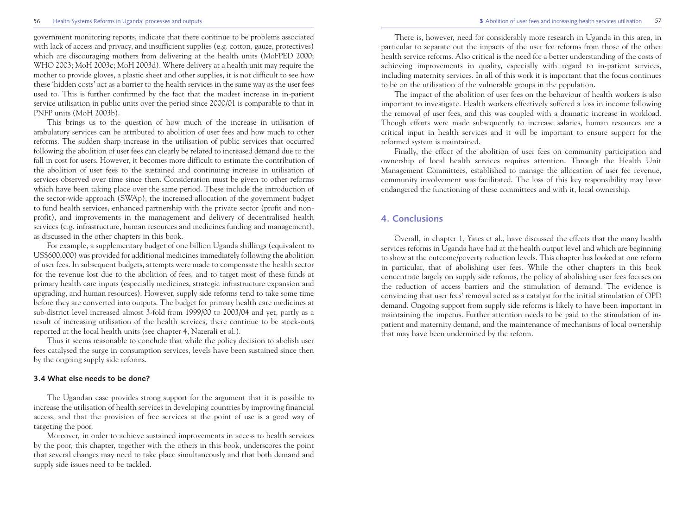#### 56 Health Systems Reforms in Uganda: processes and outputs **3** Abolition of user fees and increasing health services utilisation

government monitoring reports, indicate that there continue to be problems associated with lack of access and privacy, and insufficient supplies (e.g. cotton, gauze, protectives) which are discouraging mothers from delivering at the health units (MoFPED 2000; WHO 2003; MoH 2003c; MoH 2003d). Where delivery at a health unit may require the mother to provide gloves, a plastic sheet and other supplies, it is not difficult to see how these 'hidden costs' act as a barrier to the health services in the same way as the user fees used to. This is further confirmed by the fact that the modest increase in in-patient service utilisation in public units over the period since 2000/01 is comparable to that in PNFP units (MoH 2003b).

This brings us to the question of how much of the increase in utilisation of ambulatory services can be attributed to abolition of user fees and how much to other reforms. The sudden sharp increase in the utilisation of public services that occurred following the abolition of user fees can clearly be related to increased demand due to the fall in cost for users. However, it becomes more difficult to estimate the contribution of the abolition of user fees to the sustained and continuing increase in utilisation of services observed over time since then. Consideration must be given to other reforms which have been taking place over the same period. These include the introduction of the sector-wide approach (SWAp), the increased allocation of the government budget to fund health services, enhanced partnership with the private sector (profit and nonprofit), and improvements in the management and delivery of decentralised health services (e.g. infrastructure, human resources and medicines funding and management), as discussed in the other chapters in this book.

For example, a supplementary budget of one billion Uganda shillings (equivalent to US\$600,000) was provided for additional medicines immediately following the abolition of user fees. In subsequent budgets, attempts were made to compensate the health sector for the revenue lost due to the abolition of fees, and to target most of these funds at primary health care inputs (especially medicines, strategic infrastructure expansion and upgrading, and human resources). However, supply side reforms tend to take some time before they are converted into outputs. The budget for primary health care medicines at sub-district level increased almost 3-fold from 1999/00 to 2003/04 and yet, partly as a result of increasing utilisation of the health services, there continue to be stock-outs reported at the local health units (see chapter 4, Nazerali et al.).

Thus it seems reasonable to conclude that while the policy decision to abolish user fees catalysed the surge in consumption services, levels have been sustained since then by the ongoing supply side reforms.

#### **3.4 What else needs to be done?**

The Ugandan case provides strong support for the argument that it is possible to increase the utilisation of health services in developing countries by improving financial access, and that the provision of free services at the point of use is a good way of targeting the poor.

Moreover, in order to achieve sustained improvements in access to health services by the poor, this chapter, together with the others in this book, underscores the point that several changes may need to take place simultaneously and that both demand and supply side issues need to be tackled.

There is, however, need for considerably more research in Uganda in this area, in particular to separate out the impacts of the user fee reforms from those of the other health service reforms. Also critical is the need for a better understanding of the costs of achieving improvements in quality, especially with regard to in-patient services, including maternity services. In all of this work it is important that the focus continues to be on the utilisation of the vulnerable groups in the population.

The impact of the abolition of user fees on the behaviour of health workers is also important to investigate. Health workers effectively suffered a loss in income following the removal of user fees, and this was coupled with a dramatic increase in workload. Though efforts were made subsequently to increase salaries, human resources are a critical input in health services and it will be important to ensure support for the reformed system is maintained.

Finally, the effect of the abolition of user fees on community participation and ownership of local health services requires attention. Through the Health Unit Management Committees, established to manage the allocation of user fee revenue, community involvement was facilitated. The loss of this key responsibility may have endangered the functioning of these committees and with it, local ownership.

# **4. Conclusions**

Overall, in chapter 1, Yates et al., have discussed the effects that the many health services reforms in Uganda have had at the health output level and which are beginning to show at the outcome/poverty reduction levels. This chapter has looked at one reform in particular, that of abolishing user fees. While the other chapters in this book concentrate largely on supply side reforms, the policy of abolishing user fees focuses on the reduction of access barriers and the stimulation of demand. The evidence is convincing that user fees' removal acted as a catalyst for the initial stimulation of OPD demand. Ongoing support from supply side reforms is likely to have been important in maintaining the impetus. Further attention needs to be paid to the stimulation of inpatient and maternity demand, and the maintenance of mechanisms of local ownership that may have been undermined by the reform.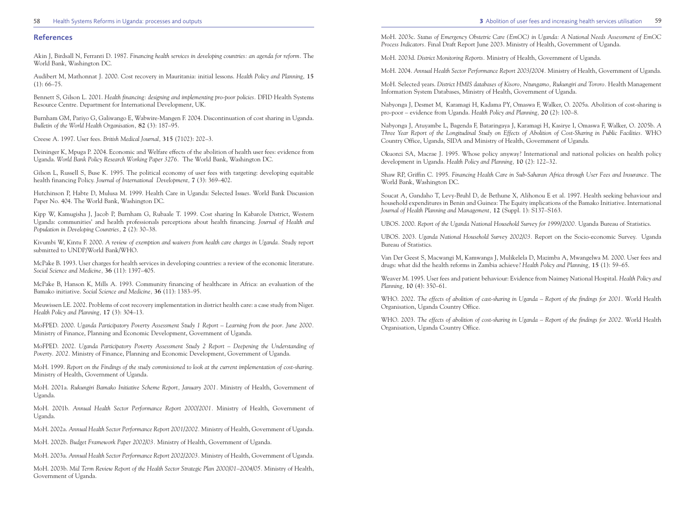#### 58 Health Systems Reforms in Uganda: processes and outputs **3** Abolition of user fees and increasing health services utilisation

59

#### **References**

Akin J, Birdsall N, Ferranti D. 1987. *Financing health services in developing countries: an agenda for reform.* The World Bank, Washington DC.

Audibert M, Mathonnat J. 2000. Cost recovery in Mauritania: initial lessons. *Health Policy and Planning,* **15**  $(1): 66-75.$ 

Bennett S, Gilson L. 2001. *Health financing: designing and implementing pro-poor policies.* DFID Health Systems Resource Centre. Department for International Development, UK.

Burnham GM, Pariyo G, Galiwango E, Wabwire-Mangen F. 2004. Discontinuation of cost sharing in Uganda. *Bulletin of the World Health Organisation,* **82** (3): 187–95.

Creese A. 1997. User fees. *British Medical Journal,* **315** (7102): 202–3.

Deininger K, Mpuga P. 2004. Economic and Welfare effects of the abolition of health user fees: evidence from Uganda. *World Bank Policy Research Working Paper 3276.* The World Bank, Washington DC.

Gilson L, Russell S, Buse K. 1995. The political economy of user fees with targeting: developing equitable health financing Policy. *Journal of International Development,* **7** (3): 369–402.

Hutchinson P, Habte D, Mulusa M. 1999. Health Care in Uganda: Selected Iss*ues*. World Bank Discussion Paper No. 404. The World Bank, Washington DC.

Kipp W, Kamugisha J, Jacob P, Burnham G, Rubaale T. 1999. Cost sharing In Kabarole District, Western Uganda: communities' and health professionals perceptions about health financing. *Journal of Health and Population in Developing Countries,* **2** (2): 30–38.

Kivumbi W, Kintu F. 2000. *A review of exemption and waivers from health care charges in Uganda.* Study report submitted to UNDP/World Bank/WHO.

McPake B. 1993. User charges for health services in developing countries: a review of the economic literature. *Social Science and Medicine,* **36** (11): 1397–405.

McPake B, Hanson K, Mills A. 1993. Community financing of healthcare in Africa: an evaluation of the Bamako initiative. *Social Science and Medicine,* **36** (11): 1383–95.

Meuwissen LE. 2002. Problems of cost recovery implementation in district health care: a case study from Niger. *Health Policy and Planning,* **17** (3): 304–13.

MoFPED. 2000. *Uganda Participatory Poverty Assessment Study 1 Report – Learning from the poor. June 2000.* Ministry of Finance, Planning and Economic Development, Government of Uganda.

MoFPED. 2002. *Uganda Participatory Poverty Assessment Study 2 Report – Deepening the Understanding of Poverty. 2002.* Ministry of Finance, Planning and Economic Development, Government of Uganda.

MoH. 1999. *Report on the Findings of the study commissioned to look at the current implementation of cost-sharing.* Ministry of Health, Government of Uganda.

MoH. 2001a. *Rukungiri Bamako Initiative Scheme Report, January 2001.* Ministry of Health, Government of Uganda.

MoH. 2001b. *Annual Health Sector Performance Report 2000/2001.* Ministry of Health, Government of Uganda.

MoH. 2002a. *Annual Health Sector Performance Report 2001/2002.* Ministry of Health, Government of Uganda.

MoH. 2002b. *Budget Framework Paper 2002/03.* Ministry of Health, Government of Uganda.

MoH. 2003a. *Annual Health Sector Performance Report 2002/2003.* Ministry of Health, Government of Uganda.

MoH. 2003b. *Mid Term Review Report of the Health Sector Strategic Plan 2000/01–2004/05.* Ministry of Health, Government of Uganda.

MoH. 2003c. *Status of Emergency Obstetric Care (EmOC) in Uganda: A National Needs Assessment of EmOC Process Indicators.* Final Draft Report June 2003. Ministry of Health, Government of Uganda.

MoH. 2003d. *District Monitoring Reports.* Ministry of Health, Government of Uganda.

MoH. 2004. *Annual Health Sector Performance Report 2003/2004.* Ministry of Health, Government of Uganda.

MoH. Selected years. *District HMIS databases of Kisoro, Ntungamo, Rukungiri and Tororo.* Health Management Information System Databases, Ministry of Health, Government of Uganda.

Nabyonga J, Desmet M, Karamagi H, Kadama PY, Omaswa F, Walker, O. 2005a. Abolition of cost-sharing is pro-poor – evidence from Uganda. *Health Policy and Planning,* **20** (2): 100–8.

Nabyonga J, Atuyambe L, Bagenda F, Bataringaya J, Karamagi H, Kasirye I, Omaswa F, Walker, O. 2005b. *A Three Year Report of the Longitudinal Study on Effects of Abolition of Cost-Sharing in Public Facilities.* WHO Country Office, Uganda, SIDA and Ministry of Health, Government of Uganda.

Okuonzi SA, Macrae J. 1995. Whose policy anyway? International and national policies on health policy development in Uganda. *Health Policy and Planning,* **10** (2): 122–32.

Shaw RP, Griffin C. 1995. *Financing Health Care in Sub-Saharan Africa through User Fees and Insurance.* The World Bank, Washington DC.

Soucat A, Gandaho T, Levy-Bruhl D, de Bethune X, Alihonou E et al. 1997. Health seeking behaviour and household expenditures in Benin and Guinea: The Equity implications of the Bamako Initiative. International *Journal of Health Planning and Management,* **12** (Suppl. 1): S137–S163.

UBOS. 2000. *Report of the Uganda National Household Survey for 1999/2000.* Uganda Bureau of Statistics.

UBOS. 2003. *Uganda National Household Survey 2002/03.* Report on the Socio-economic Survey. Uganda Bureau of Statistics.

Van Der Geest S, Macwangi M, Kamwanga J, Mulikelela D, Mazimba A, Mwangelwa M. 2000. User fees and drugs: what did the health reforms in Zambia achieve? *Health Policy and Planning,* **15** (1): 59–65.

Weaver M. 1995. User fees and patient behaviour: Evidence from Naimey National Hospital. *Health Policy and Planning,* **10** (4): 350–61.

WHO. 2002. The effects of abolition of cast-sharing in Uganda – Report of the findings for 2001. World Health Organisation, Uganda Country Office.

WHO. 2003. *The effects of abolition of cost-sharing in Uganda – Report of the findings for 2002.* World Health Organisation, Uganda Country Office.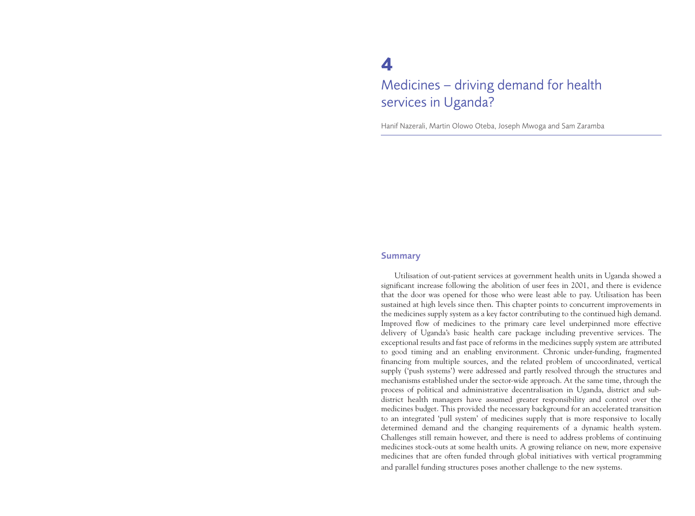# **4**

# Medicines – driving demand for health services in Uganda?

Hanif Nazerali, Martin Olowo Oteba, Joseph Mwoga and Sam Zaramba

#### **Summary**

Utilisation of out-patient services at government health units in Uganda showed a significant increase following the abolition of user fees in 2001, and there is evidence that the door was opened for those who were least able to pay. Utilisation has been sustained at high levels since then. This chapter points to concurrent improvements in the medicines supply system as a key factor contributing to the continued high demand. Improved flow of medicines to the primary care level underpinned more effective delivery of Uganda's basic health care package including preventive services. The exceptional results and fast pace of reforms in the medicines supply system are attributed to good timing and an enabling environment. Chronic under-funding, fragmented financing from multiple sources, and the related problem of uncoordinated, vertical supply ('push systems') were addressed and partly resolved through the structures and mechanisms established under the sector-wide approach. At the same time, through the process of political and administrative decentralisation in Uganda, district and subdistrict health managers have assumed greater responsibility and control over the medicines budget. This provided the necessary background for an accelerated transition to an integrated 'pull system' of medicines supply that is more responsive to locally determined demand and the changing requirements of a dynamic health system. Challenges still remain however, and there is need to address problems of continuing medicines stock-outs at some health units. A growing reliance on new, more expensive medicines that are often funded through global initiatives with vertical programming and parallel funding structures poses another challenge to the new systems.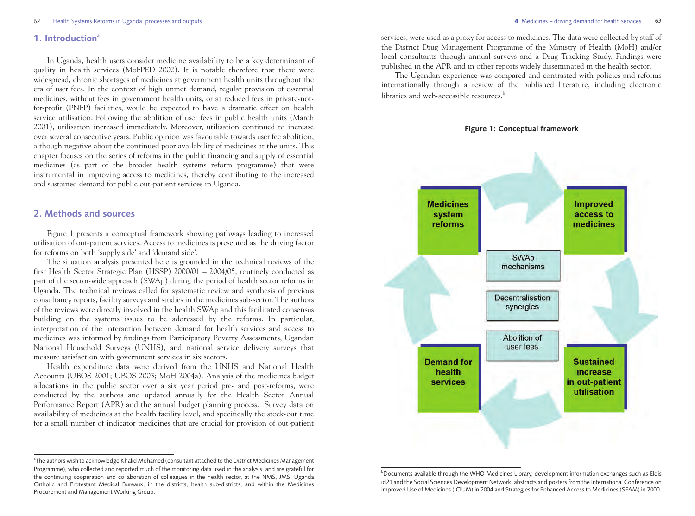#### 1. Introduction<sup>a</sup>

In Uganda, health users consider medicine availability to be a key determinant of quality in health services (MoFPED 2002). It is notable therefore that there were widespread, chronic shortages of medicines at government health units throughout the era of user fees. In the context of high unmet demand, regular provision of essential medicines, without fees in government health units, or at reduced fees in private-notfor-profit (PNFP) facilities, would be expected to have a dramatic effect on health service utilisation. Following the abolition of user fees in public health units (March 2001), utilisation increased immediately. Moreover, utilisation continued to increase over several consecutive years. Public opinion was favourable towards user fee abolition, although negative about the continued poor availability of medicines at the units. This chapter focuses on the series of reforms in the public financing and supply of essential medicines (as part of the broader health systems reform programme) that were instrumental in improving access to medicines, thereby contributing to the increased and sustained demand for public out-patient services in Uganda.

# **2. Methods and sources**

Figure 1 presents a conceptual framework showing pathways leading to increased utilisation of out-patient services. Access to medicines is presented as the driving factor for reforms on both 'supply side' and 'demand side'.

The situation analysis presented here is grounded in the technical reviews of the first Health Sector Strategic Plan (HSSP) 2000/01 – 2004/05, routinely conducted as part of the sector-wide approach (SWAp) during the period of health sector reforms in Uganda. The technical reviews called for systematic review and synthesis of previous consultancy reports, facility surveys and studies in the medicines sub-sector. The authors of the reviews were directly involved in the health SWAp and this facilitated consensus building on the systems issues to be addressed by the reforms. In particular, interpretation of the interaction between demand for health services and access to medicines was informed by findings from Participatory Poverty Assessments, Ugandan National Household Surveys (UNHS), and national service delivery surveys that measure satisfaction with government services in six sectors.

Health expenditure data were derived from the UNHS and National Health Accounts (UBOS 2001; UBOS 2003; MoH 2004a). Analysis of the medicines budget allocations in the public sector over a six year period pre- and post-reforms, were conducted by the authors and updated annually for the Health Sector Annual Performance Report (APR) and the annual budget planning process. Survey data on availability of medicines at the health facility level, and specifically the stock-out time for a small number of indicator medicines that are crucial for provision of out-patient services, were used as a proxy for access to medicines. The data were collected by staff of the District Drug Management Programme of the Ministry of Health (MoH) and/or local consultants through annual surveys and a Drug Tracking Study. Findings were published in the APR and in other reports widely disseminated in the health sector.

The Ugandan experience was compared and contrasted with policies and reforms internationally through a review of the published literature, including electronic libraries and web-accessible resources.<sup>b</sup>





b Documents available through the WHO Medicines Library, development information exchanges such as Eldis id21 and the Social Sciences Development Network; abstracts and posters from the International Conference on Improved Use of Medicines (ICIUM) in 2004 and Strategies for Enhanced Access to Medicines (SEAM) in 2000.

a The authors wish to acknowledge Khalid Mohamed (consultant attached to the District Medicines Management Programme), who collected and reported much of the monitoring data used in the analysis, and are grateful for the continuing cooperation and collaboration of colleagues in the health sector, at the NMS, JMS, Uganda Catholic and Protestant Medical Bureaux, in the districts, health sub-districts, and within the Medicines Procurement and Management Working Group.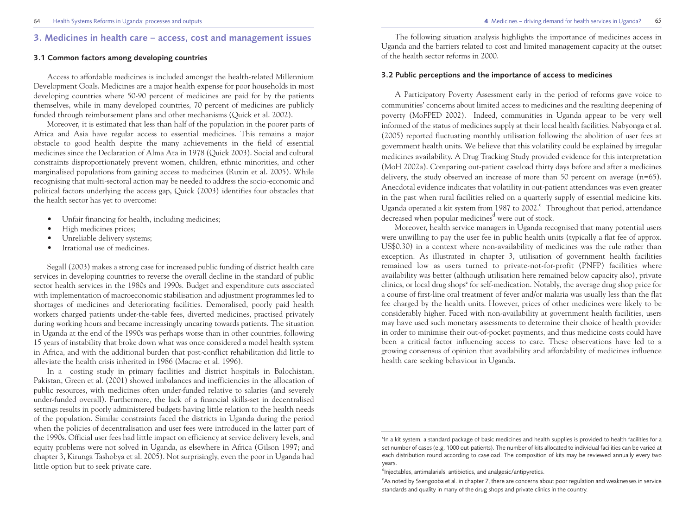# **3. Medicines in health care – access, cost and management issues**

#### **3.1 Common factors among developing countries**

Access to affordable medicines is included amongst the health-related Millennium Development Goals. Medicines are a major health expense for poor households in most developing countries where 50-90 percent of medicines are paid for by the patients themselves, while in many developed countries, 70 percent of medicines are publicly funded through reimbursement plans and other mechanisms (Quick et al. 2002).

Moreover, it is estimated that less than half of the population in the poorer parts of Africa and Asia have regular access to essential medicines. This remains a major obstacle to good health despite the many achievements in the field of essential medicines since the Declaration of Alma Ata in 1978 (Quick 2003). Social and cultural constraints disproportionately prevent women, children, ethnic minorities, and other marginalised populations from gaining access to medicines (Ruxin et al. 2005). While recognising that multi-sectoral action may be needed to address the socio-economic and political factors underlying the access gap, Quick (2003) identifies four obstacles that the health sector has yet to overcome:

- Unfair financing for health, including medicines;
- High medicines prices;
- Unreliable delivery systems;
- Irrational use of medicines.

Segall (2003) makes a strong case for increased public funding of district health care services in developing countries to reverse the overall decline in the standard of public sector health services in the 1980s and 1990s. Budget and expenditure cuts associated with implementation of macroeconomic stabilisation and adjustment programmes led to shortages of medicines and deteriorating facilities. Demoralised, poorly paid health workers charged patients under-the-table fees, diverted medicines, practised privately during working hours and became increasingly uncaring towards patients. The situation in Uganda at the end of the 1990s was perhaps worse than in other countries, following 15 years of instability that broke down what was once considered a model health system in Africa, and with the additional burden that post-conflict rehabilitation did little to alleviate the health crisis inherited in 1986 (Macrae et al. 1996).

In a costing study in primary facilities and district hospitals in Balochistan, Pakistan, Green et al. (2001) showed imbalances and inefficiencies in the allocation of public resources, with medicines often under-funded relative to salaries (and severely under-funded overall). Furthermore, the lack of a financial skills-set in decentralised settings results in poorly administered budgets having little relation to the health needs of the population. Similar constraints faced the districts in Uganda during the period when the policies of decentralisation and user fees were introduced in the latter part of the 1990s. Official user fees had little impact on efficiency at service delivery levels, and equity problems were not solved in Uganda, as elsewhere in Africa (Gilson 1997; and chapter 3, Kirunga Tashobya et al. 2005). Not surprisingly, even the poor in Uganda had little option but to seek private care.

The following situation analysis highlights the importance of medicines access in Uganda and the barriers related to cost and limited management capacity at the outset of the health sector reforms in 2000.

#### **3.2 Public perceptions and the importance of access to medicines**

A Participatory Poverty Assessment early in the period of reforms gave voice to communities' concerns about limited access to medicines and the resulting deepening of poverty (MoFPED 2002). Indeed, communities in Uganda appear to be very well informed of the status of medicines supply at their local health facilities. Nabyonga et al. (2005) reported fluctuating monthly utilisation following the abolition of user fees at government health units. We believe that this volatility could be explained by irregular medicines availability. A Drug Tracking Study provided evidence for this interpretation (MoH 2002a). Comparing out-patient caseload thirty days before and after a medicines delivery, the study observed an increase of more than 50 percent on average (n=65). Anecdotal evidence indicates that volatility in out-patient attendances was even greater in the past when rural facilities relied on a quarterly supply of essential medicine kits. Uganda operated a kit system from 1987 to 2002. <sup>C</sup> Throughout that period, attendance decreased when popular medicines<sup>d</sup> were out of stock.

Moreover, health service managers in Uganda recognised that many potential users were unwilling to pay the user fee in public health units (typically a flat fee of approx. US\$0.30) in a context where non-availability of medicines was the rule rather than exception. As illustrated in chapter 3, utilisation of government health facilities remained low as users turned to private-not-for-profit (PNFP) facilities where availability was better (although utilisation here remained below capacity also), private clinics, or local drug shopse for self-medication. Notably, the average drug shop price for a course of first-line oral treatment of fever and/or malaria was usually less than the flat fee charged by the health units. However, prices of other medicines were likely to be considerably higher. Faced with non-availability at government health facilities, users may have used such monetary assessments to determine their choice of health provider in order to minimise their out-of-pocket payments, and thus medicine costs could have been a critical factor influencing access to care. These observations have led to a growing consensus of opinion that availability and affordability of medicines influence health care seeking behaviour in Uganda.

<sup>&</sup>lt;sup>c</sup>In a kit system, a standard package of basic medicines and health supplies is provided to health facilities for a set number of cases (e.g. 1000 out-patients). The number of kits allocated to individual facilities can be varied at each distribution round according to caseload. The composition of kits may be reviewed annually every two years.

<sup>&</sup>lt;sup>d</sup>Injectables, antimalarials, antibiotics, and analgesic/antipyretics.

e As noted by Ssengooba et al. in chapter 7, there are concerns about poor regulation and weaknesses in service standards and quality in many of the drug shops and private clinics in the country.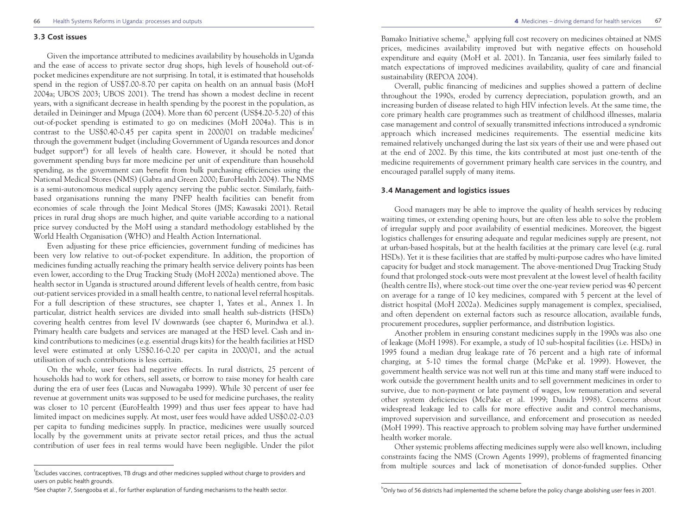#### **3.3 Cost issues**

Given the importance attributed to medicines availability by households in Uganda and the ease of access to private sector drug shops, high levels of household out-ofpocket medicines expenditure are not surprising. In total, it is estimated that households spend in the region of US\$7.00-8.70 per capita on health on an annual basis (MoH 2004a; UBOS 2003; UBOS 2001). The trend has shown a modest decline in recent years, with a significant decrease in health spending by the poorest in the population, as detailed in Deininger and Mpuga (2004). More than 60 percent (US\$4.20-5.20) of this out-of-pocket spending is estimated to go on medicines (MoH 2004a). This is in contrast to the US\$0.40-0.45 per capita spent in  $2000/01$  on tradable medicines through the government budget (including Government of Uganda resources and donor budget support<sup>g</sup>) for all levels of health care. However, it should be noted that government spending buys far more medicine per unit of expenditure than household spending, as the government can benefit from bulk purchasing efficiencies using the National Medical Stores (NMS) (Gabra and Green 2000; EuroHealth 2004). The NMS is a semi-autonomous medical supply agency serving the public sector. Similarly, faithbased organisations running the many PNFP health facilities can benefit from economies of scale through the Joint Medical Stores (JMS; Kawasaki 2001). Retail prices in rural drug shops are much higher, and quite variable according to a national price survey conducted by the MoH using a standard methodology established by the World Health Organisation (WHO) and Health Action International.

Even adjusting for these price efficiencies, government funding of medicines has been very low relative to out-of-pocket expenditure. In addition, the proportion of medicines funding actually reaching the primary health service delivery points has been even lower, according to the Drug Tracking Study (MoH 2002a) mentioned above. The health sector in Uganda is structured around different levels of health centre, from basic out-patient services provided in a small health centre, to national level referral hospitals. For a full description of these structures, see chapter 1, Yates et al., Annex 1. In particular, district health services are divided into small health sub-districts (HSDs) covering health centres from level IV downwards (see chapter 6, Murindwa et al.). Primary health care budgets and services are managed at the HSD level. Cash and inkind contributions to medicines (e.g. essential drugs kits) for the health facilities at HSD level were estimated at only US\$0.16-0.20 per capita in 2000/01, and the actual utilisation of such contributions is less certain.

On the whole, user fees had negative effects. In rural districts, 25 percent of households had to work for others, sell assets, or borrow to raise money for health care during the era of user fees (Lucas and Nuwagaba 1999). While 30 percent of user fee revenue at government units was supposed to be used for medicine purchases, the reality was closer to 10 percent (EuroHealth 1999) and thus user fees appear to have had limited impact on medicines supply. At most, user fees would have added US\$0.02-0.03 per capita to funding medicines supply. In practice, medicines were usually sourced locally by the government units at private sector retail prices, and thus the actual contribution of user fees in real terms would have been negligible. Under the pilot

Bamako Initiative scheme, $h$  applying full cost recovery on medicines obtained at NMS prices, medicines availability improved but with negative effects on household expenditure and equity (MoH et al. 2001). In Tanzania, user fees similarly failed to match expectations of improved medicines availability, quality of care and financial sustainability (REPOA 2004).

Overall, public financing of medicines and supplies showed a pattern of decline throughout the 1990s, eroded by currency depreciation, population growth, and an increasing burden of disease related to high HIV infection levels. At the same time, the core primary health care programmes such as treatment of childhood illnesses, malaria case management and control of sexually transmitted infections introduced a syndromic approach which increased medicines requirements. The essential medicine kits remained relatively unchanged during the last six years of their use and were phased out at the end of 2002. By this time, the kits contributed at most just one-tenth of the medicine requirements of government primary health care services in the country, and encouraged parallel supply of many items.

#### **3.4 Management and logistics issues**

Good managers may be able to improve the quality of health services by reducing waiting times, or extending opening hours, but are often less able to solve the problem of irregular supply and poor availability of essential medicines. Moreover, the biggest logistics challenges for ensuring adequate and regular medicines supply are present, not at urban-based hospitals, but at the health facilities at the primary care level (e.g. rural HSDs). Yet it is these facilities that are staffed by multi-purpose cadres who have limited capacity for budget and stock management. The above-mentioned Drug Tracking Study found that prolonged stock-outs were most prevalent at the lowest level of health facility (health centre IIs), where stock-out time over the one-year review period was 40 percent on average for a range of 10 key medicines, compared with 5 percent at the level of district hospital (MoH 2002a). Medicines supply management is complex, specialised, and often dependent on external factors such as resource allocation, available funds, procurement procedures, supplier performance, and distribution logistics.

Another problem in ensuring constant medicines supply in the 1990s was also one of leakage (MoH 1998). For example, a study of 10 sub-hospital facilities (i.e. HSDs) in 1995 found a median drug leakage rate of 76 percent and a high rate of informal charging, at 5-10 times the formal charge (McPake et al. 1999). However, the government health service was not well run at this time and many staff were induced to work outside the government health units and to sell government medicines in order to survive, due to non-payment or late payment of wages, low remuneration and several other system deficiencies (McPake et al. 1999; Danida 1998). Concerns about widespread leakage led to calls for more effective audit and control mechanisms, improved supervision and surveillance, and enforcement and prosecution as needed (MoH 1999). This reactive approach to problem solving may have further undermined health worker morale.

Other systemic problems affecting medicines supply were also well known, including constraints facing the NMS (Crown Agents 1999), problems of fragmented financing from multiple sources and lack of monetisation of donor-funded supplies. Other

f Excludes vaccines, contraceptives, TB drugs and other medicines supplied without charge to providers and users on public health grounds.

<sup>&</sup>lt;sup>g</sup>See chapter 7, Ssengooba et al., for further explanation of funding mechanisms to the health sector.

<sup>&</sup>lt;sup>h</sup>Only two of 56 districts had implemented the scheme before the policy change abolishing user fees in 2001.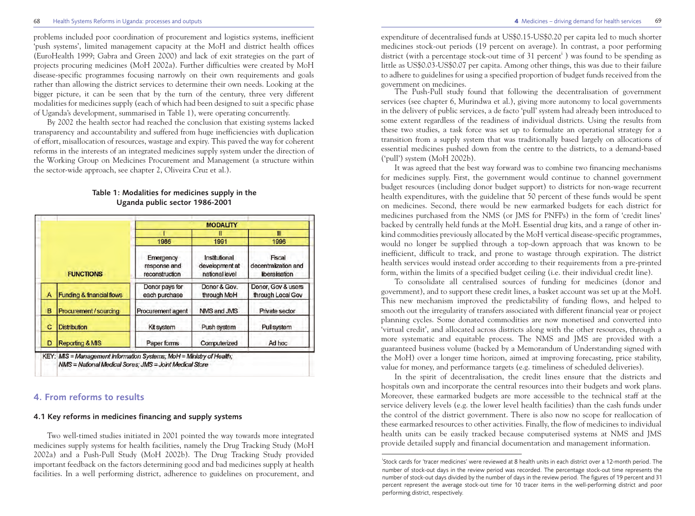#### 68 Health Systems Reforms in Uganda: processes and outputs **4** Medicines – driving demand for health services

problems included poor coordination of procurement and logistics systems, inefficient 'push systems', limited management capacity at the MoH and district health offices (EuroHealth 1999; Gabra and Green 2000) and lack of exit strategies on the part of projects procuring medicines (MoH 2002a). Further difficulties were created by MoH disease-specific programmes focusing narrowly on their own requirements and goals rather than allowing the district services to determine their own needs. Looking at the bigger picture, it can be seen that by the turn of the century, three very different modalities for medicines supply (each of which had been designed to suit a specific phase of Uganda's development, summarised in Table 1), were operating concurrently.

By 2002 the health sector had reached the conclusion that existing systems lacked transparency and accountability and suffered from huge inefficiencies with duplication of effort, misallocation of resources, wastage and expiry. This paved the way for coherent reforms in the interests of an integrated medicines supply system under the direction of the Working Group on Medicines Procurement and Management (a structure within the sector-wide approach, see chapter 2, Oliveira Cruz et al.).

|   |                                      |                                             | <b>MODALITY</b>                                   |                                                  |
|---|--------------------------------------|---------------------------------------------|---------------------------------------------------|--------------------------------------------------|
|   |                                      |                                             |                                                   | m                                                |
|   |                                      | 1986                                        | 1991                                              | 1996                                             |
|   | <b>FUNCTIONS</b>                     | Emergency<br>response and<br>reconstruction | Institutional<br>development at<br>national level | Fiscal<br>decentralization and<br>liberalisation |
| A | <b>Funding &amp; financial flows</b> | Donor pays for<br>each purchase             | Donor & Gov.<br>through MoH                       | Donor, Gov & users<br>through Local Gov          |
| B | Procurement / sourcing               | Procurement agent                           | NMS and JMS                                       | Private sector                                   |
| с | <b>Distribution</b>                  | Kit system                                  | Push system                                       | Pull system                                      |
| D | <b>Reporting &amp; MIS</b>           | Paper forms                                 | Computerized                                      | Ad hoc                                           |

#### **Table 1: Modalities for medicines supply in the Uganda public sector 1986-2001**

# **4. From reforms to results**

#### **4.1 Key reforms in medicines financing and supply systems**

Two well-timed studies initiated in 2001 pointed the way towards more integrated medicines supply systems for health facilities, namely the Drug Tracking Study (MoH 2002a) and a Push-Pull Study (MoH 2002b). The Drug Tracking Study provided important feedback on the factors determining good and bad medicines supply at health facilities. In a well performing district, adherence to guidelines on procurement, and expenditure of decentralised funds at US\$0.15-US\$0.20 per capita led to much shorter medicines stock-out periods (19 percent on average). In contrast, a poor performing district (with a percentage stock-out time of 31 percent<sup>1</sup>) was found to be spending as little as US\$0.03-US\$0.07 per capita. Among other things, this was due to their failure to adhere to guidelines for using a specified proportion of budget funds received from the government on medicines.

The Push-Pull study found that following the decentralisation of government services (see chapter 6, Murindwa et al.), giving more autonomy to local governments in the delivery of public services, a de facto 'pull' system had already been introduced to some extent regardless of the readiness of individual districts. Using the results from these two studies, a task force was set up to formulate an operational strategy for a transition from a supply system that was traditionally based largely on allocations of essential medicines pushed down from the centre to the districts, to a demand-based ('pull') system (MoH 2002b).

It was agreed that the best way forward was to combine two financing mechanisms for medicines supply. First, the government would continue to channel government budget resources (including donor budget support) to districts for non-wage recurrent health expenditures, with the guideline that 50 percent of these funds would be spent on medicines. Second, there would be new earmarked budgets for each district for medicines purchased from the NMS (or JMS for PNFPs) in the form of 'credit lines' backed by centrally held funds at the MoH. Essential drug kits, and a range of other inkind commodities previously allocated by the MoH vertical disease-specific programmes, would no longer be supplied through a top-down approach that was known to be inefficient, difficult to track, and prone to wastage through expiration. The district health services would instead order according to their requirements from a pre-printed form, within the limits of a specified budget ceiling (i.e. their individual credit line).

To consolidate all centralised sources of funding for medicines (donor and government), and to support these credit lines, a basket account was set up at the MoH. This new mechanism improved the predictability of funding flows, and helped to smooth out the irregularity of transfers associated with different financial year or project planning cycles. Some donated commodities are now monetised and converted into 'virtual credit', and allocated across districts along with the other resources, through a more systematic and equitable process. The NMS and JMS are provided with a guaranteed business volume (backed by a Memorandum of Understanding signed with the MoH) over a longer time horizon, aimed at improving forecasting, price stability, value for money, and performance targets (e.g. timeliness of scheduled deliveries).

In the spirit of decentralisation, the credit lines ensure that the districts and hospitals own and incorporate the central resources into their budgets and work plans. Moreover, these earmarked budgets are more accessible to the technical staff at the service delivery levels (e.g. the lower level health facilities) than the cash funds under the control of the district government. There is also now no scope for reallocation of these earmarked resources to other activities. Finally, the flow of medicines to individual health units can be easily tracked because computerised systems at NMS and JMS provide detailed supply and financial documentation and management information.

i Stock cards for 'tracer medicines' were reviewed at 8 health units in each district over a 12-month period. The number of stock-out days in the review period was recorded. The percentage stock-out time represents the number of stock-out days divided by the number of days in the review period. The figures of 19 percent and 31 percent represent the average stock-out time for 10 tracer items in the well-performing district and poor performing district, respectively.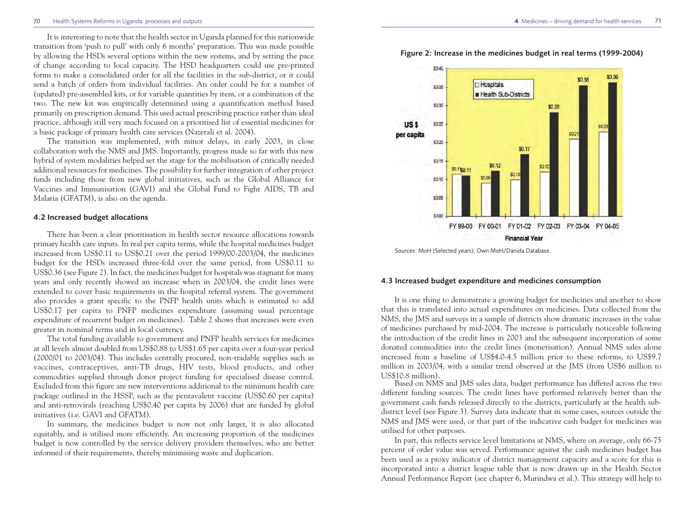It is interesting to note that the health sector in Uganda planned for this nationwide transition from 'push to pull' with only 6 months' preparation. This was made possible by allowing the HSDs several options within the new systems, and by setting the pace of change according to local capacity. The HSD headquarters could use pre-printed forms to make a consolidated order for all the facilities in the sub-district, or it could send a batch of orders from individual facilities. An order could be for a number of (updated) pre-assembled kits, or for variable quantities by item, or a combination of the two. The new kit was empirically determined using a quantification method based primarily on prescription demand. This used actual prescribing practice rather than ideal practice, although still very much focused on a prioritised list of essential medicines for a basic package of primary health care services (Nazerali et al. 2004).

The transition was implemented, with minor delays, in early 2003, in close collaboration with the NMS and JMS. Importantly, progress made so far with this new hybrid of system modalities helped set the stage for the mobilisation of critically needed additional resources for medicines. The possibility for further integration of other project funds including those from new global initiatives, such as the Global Alliance for Vaccines and Immunisation (GAVI) and the Global Fund to Fight AIDS, TB and Malaria (GFATM), is also on the agenda.

#### **4.2 Increased budget allocations**

There has been a clear prioritisation in health sector resource allocations towards primary health care inputs. In real per capita terms, while the hospital medicines budget increased from US\$0.11 to US\$0.21 over the period 1999/00-2003/04, the medicines budget for the HSDs increased three-fold over the same period, from US\$0.11 to US\$0.36 (see Figure 2). In fact, the medicines budget for hospitals was stagnant for many years and only recently showed an increase when in 2003/04, the credit lines were extended to cover basic requirements in the hospital referral system. The government also provides a grant specific to the PNFP health units which is estimated to add US\$0.17 per capita to PNFP medicines expenditure (assuming usual percentage expenditure of recurrent budget on medicines). Table 2 shows that increases were even greater in nominal terms and in local currency.

The total funding available to government and PNFP health services for medicines at all levels almost doubled from US\$0.88 to US\$1.65 per capita over a four-year period (2000/01 to 2003/04). This includes centrally procured, non-tradable supplies such as vaccines, contraceptives, anti-TB drugs, HIV tests, blood products, and other commodities supplied through donor project funding for specialised disease control. Excluded from this figure are new interventions additional to the minimum health care package outlined in the HSSP, such as the pentavalent vaccine (US\$0.60 per capita) and anti-retrovirals (reaching US\$0.40 per capita by 2006) that are funded by global initiatives (i.e. GAVI and GFATM).

In summary, the medicines budget is now not only larger, it is also allocated equitably, and is utilised more efficiently. An increasing proportion of the medicines budget is now controlled by the service delivery providers themselves, who are better informed of their requirements, thereby minimising waste and duplication.

**Figure 2: Increase in the medicines budget in real terms (1999-2004)**



Sources: MoH (Selected years); Own MoH/Danida Database.

#### **4.3 Increased budget expenditure and medicines consumption**

It is one thing to demonstrate a growing budget for medicines and another to show that this is translated into actual expenditures on medicines. Data collected from the NMS, the JMS and surveys in a sample of districts show dramatic increases in the value of medicines purchased by mid-2004. The increase is particularly noticeable following the introduction of the credit lines in 2003 and the subsequent incorporation of some donated commodities into the credit lines (monetisation). Annual NMS sales alone increased from a baseline of US\$4.0-4.5 million prior to these reforms, to US\$9.7 million in 2003/04, with a similar trend observed at the JMS (from US\$6 million to US\$10.8 million).

Based on NMS and JMS sales data, budget performance has differed across the two different funding sources. The credit lines have performed relatively better than the government cash funds released directly to the districts, particularly at the health subdistrict level (see Figure 3). Survey data indicate that in some cases, sources outside the NMS and JMS were used, or that part of the indicative cash budget for medicines was utilised for other purposes.

In part, this reflects service level limitations at NMS, where on average, only 66-75 percent of order value was served. Performance against the cash medicines budget has been used as a proxy indicator of district management capacity and a score for this is incorporated into a district league table that is now drawn up in the Health Sector Annual Performance Report (see chapter 6, Murindwa et al.). This strategy will help to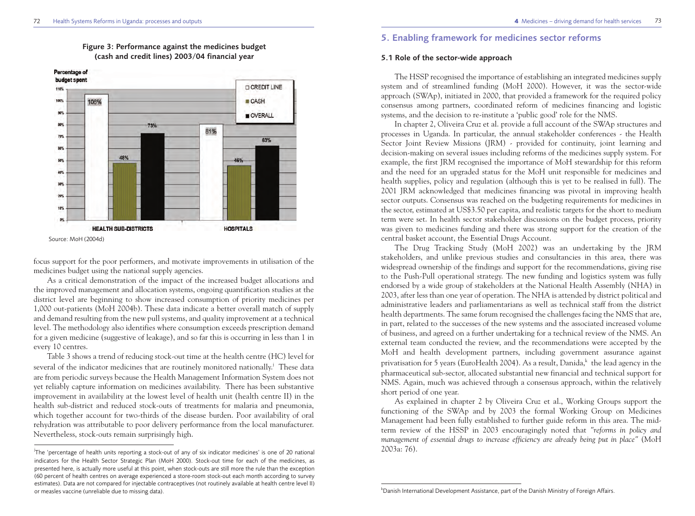

### **Figure 3: Performance against the medicines budget (cash and credit lines) 2003/04 financial year**

focus support for the poor performers, and motivate improvements in utilisation of the medicines budget using the national supply agencies.

As a critical demonstration of the impact of the increased budget allocations and the improved management and allocation systems, ongoing quantification studies at the district level are beginning to show increased consumption of priority medicines per 1,000 out-patients (MoH 2004b). These data indicate a better overall match of supply and demand resulting from the new pull systems, and quality improvement at a technical level. The methodology also identifies where consumption exceeds prescription demand for a given medicine (suggestive of leakage), and so far this is occurring in less than 1 in every 10 centres.

Table 3 shows a trend of reducing stock-out time at the health centre (HC) level for several of the indicator medicines that are routinely monitored nationally.<sup>j</sup> These data are from periodic surveys because the Health Management Information System does not yet reliably capture information on medicines availability. There has been substantive improvement in availability at the lowest level of health unit (health centre II) in the health sub-district and reduced stock-outs of treatments for malaria and pneumonia, which together account for two-thirds of the disease burden. Poor availability of oral rehydration was attributable to poor delivery performance from the local manufacturer. Nevertheless, stock-outs remain surprisingly high.

# **5. Enabling framework for medicines sector reforms**

#### **5.1 Role of the sector-wide approach**

The HSSP recognised the importance of establishing an integrated medicines supply system and of streamlined funding (MoH 2000). However, it was the sector-wide approach (SWAp), initiated in 2000, that provided a framework for the required policy consensus among partners, coordinated reform of medicines financing and logistic systems, and the decision to re-institute a 'public good' role for the NMS.

In chapter 2, Oliveira Cruz et al. provide a full account of the SWAp structures and processes in Uganda. In particular, the annual stakeholder conferences - the Health Sector Joint Review Missions (JRM) - provided for continuity, joint learning and decision-making on several issues including reforms of the medicines supply system. For example, the first JRM recognised the importance of MoH stewardship for this reform and the need for an upgraded status for the MoH unit responsible for medicines and health supplies, policy and regulation (although this is yet to be realised in full). The 2001 JRM acknowledged that medicines financing was pivotal in improving health sector outputs. Consensus was reached on the budgeting requirements for medicines in the sector, estimated at US\$3.50 per capita, and realistic targets for the short to medium term were set. In health sector stakeholder discussions on the budget process, priority was given to medicines funding and there was strong support for the creation of the central basket account, the Essential Drugs Account.

The Drug Tracking Study (MoH 2002) was an undertaking by the JRM stakeholders, and unlike previous studies and consultancies in this area, there was widespread ownership of the findings and support for the recommendations, giving rise to the Push-Pull operational strategy. The new funding and logistics system was fully endorsed by a wide group of stakeholders at the National Health Assembly (NHA) in 2003, after less than one year of operation. The NHA is attended by district political and administrative leaders and parliamentarians as well as technical staff from the district health departments. The same forum recognised the challenges facing the NMS that are, in part, related to the successes of the new systems and the associated increased volume of business, and agreed on a further undertaking for a technical review of the NMS. An external team conducted the review, and the recommendations were accepted by the MoH and health development partners, including government assurance against privatisation for 5 years (EuroHealth 2004). As a result, Danida,  $k$  the lead agency in the pharmaceutical sub-sector, allocated substantial new financial and technical support for NMS. Again, much was achieved through a consensus approach, within the relatively short period of one year.

As explained in chapter 2 by Oliveira Cruz et al., Working Groups support the functioning of the SWAp and by 2003 the formal Working Group on Medicines Management had been fully established to further guide reform in this area. The midterm review of the HSSP in 2003 encouragingly noted that *"reforms in policy and management of essential drugs to increase efficiency are already being put in place"* (MoH 2003a: 76).

<sup>&</sup>lt;sub>.</sub><br>The 'percentage of health units reporting a stock-out of any of six indicator medicines' is one of 20 national indicators for the Health Sector Strategic Plan (MoH 2000). Stock-out time for each of the medicines, as presented here, is actually more useful at this point, when stock-outs are still more the rule than the exception (60 percent of health centres on average experienced a store-room stock-out each month according to survey estimates). Data are not compared for injectable contraceptives (not routinely available at health centre level II) or measles vaccine (unreliable due to missing data).

 $^k$ Danish International Development Assistance, part of the Danish Ministry of Foreign Affairs.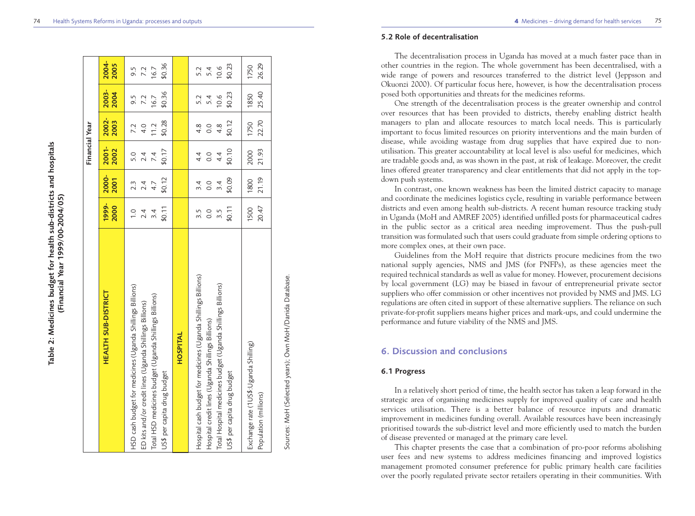|                                                                |               |                  | Financial Year |        |        |         |
|----------------------------------------------------------------|---------------|------------------|----------------|--------|--------|---------|
| <b>HEALTH SUB-DISTRICT</b>                                     | 1999-         | 2000-            | $2001 -$       | 2002-  | 2003-  | 2004-   |
|                                                                | 2000          | 2001             | 2002           | 2003   | 2004   | 2005    |
| HSD cash budget for medicines (Uganda Shillings Billions)      | \$0.11        | \$0.12           | \$0.17         | \$0.28 | \$0.36 | \$0.36  |
| Total HSD medicines budget (Uganda Shillings Billions)         | $\frac{0}{1}$ | 2.4              | 5.0            | 11.2   | 16.7   | 16.7    |
| ED kits and/or credit lines (Uganda Shillings Billions)        | 2.4           | 4.7              | 7.4            | 7.2    | 9.5    | 9.5     |
| US\$ per capita drug budget                                    | 3.4           | $2.\overline{3}$ | 2.4            | 4.0    | 7.2    | 7.2     |
| HOSPITAL                                                       |               |                  |                |        |        |         |
| Hospital cash budget for medicines (Uganda Shillings Billions) | \$0.11        | \$0.09           | \$0.10         | \$0.12 | \$0.23 | \$0.23  |
| Total Hospital medicines budget (Uganda Shillings Billions)    | 3.5           | 3.4              | 4.4            | 4.8    | 10.6   | $-10.6$ |
| Hospital credit lines (Uganda Shillings Billions)              | 0.0           | 0.0              | 4.4            | 4.8    | 5.2    | 5.2     |
| US\$ per capita drug budget                                    | 3.5           | $\overline{3.4}$ | 0.0            | 0.0    | 5.4    | 5.4     |
| Exchange rate (1US\$:Uganda Shilling)                          | 20.47         | 21.19            | 21.93          | 22.70  | 25.40  | 26.29   |
| Population (millions)                                          | 1500          | 1800             | 2000           | 1750   | 1850   | 1750    |

Sources: MoH (Selected years); Own MoH/Danida Database Sources: MoH (Selected years); Own MoH/Danida Database.

#### **5.2 Role of decentralisation**

The decentralisation process in Uganda has moved at a much faster pace than in other countries in the region. The whole government has been decentralised, with a wide range of powers and resources transferred to the district level (Jeppsson and Okuonzi 2000). Of particular focus here, however, is how the decentralisation process posed both opportunities and threats for the medicines reforms.

One strength of the decentralisation process is the greater ownership and control over resources that has been provided to districts, thereby enabling district health managers to plan and allocate resources to match local needs. This is particularly important to focus limited resources on priority interventions and the main burden of disease, while avoiding wastage from drug supplies that have expired due to nonutilisation. This greater accountability at local level is also useful for medicines, which are tradable goods and, as was shown in the past, at risk of leakage. Moreover, the credit lines offered greater transparency and clear entitlements that did not apply in the topdown push systems.

In contrast, one known weakness has been the limited district capacity to manage and coordinate the medicines logistics cycle, resulting in variable performance between districts and even among health sub-districts. A recent human resource tracking study in Uganda (MoH and AMREF 2005) identified unfilled posts for pharmaceutical cadres in the public sector as a critical area needing improvement. Thus the push-pull transition was formulated such that users could graduate from simple ordering options to more complex ones, at their own pace.

Guidelines from the MoH require that districts procure medicines from the two national supply agencies, NMS and JMS (for PNFPs), as these agencies meet the required technical standards as well as value for money. However, procurement decisions by local government (LG) may be biased in favour of entrepreneurial private sector suppliers who offer commission or other incentives not provided by NMS and JMS. LG regulations are often cited in support of these alternative suppliers. The reliance on such private-for-profit suppliers means higher prices and mark-ups, and could undermine the performance and future viability of the NMS and JMS.

# **6. Discussion and conclusions**

#### **6.1 Progress**

In a relatively short period of time, the health sector has taken a leap forward in the strategic area of organising medicines supply for improved quality of care and health services utilisation. There is a better balance of resource inputs and dramatic improvement in medicines funding overall. Available resources have been increasingly prioritised towards the sub-district level and more efficiently used to match the burden of disease prevented or managed at the primary care level.

This chapter presents the case that a combination of pro-poor reforms abolishing user fees and new systems to address medicines financing and improved logistics management promoted consumer preference for public primary health care facilities over the poorly regulated private sector retailers operating in their communities. With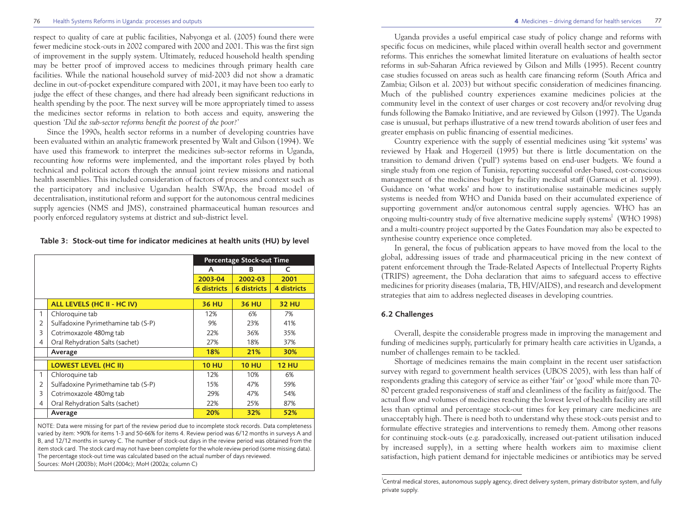respect to quality of care at public facilities, Nabyonga et al. (2005) found there were fewer medicine stock-outs in 2002 compared with 2000 and 2001. This was the first sign of improvement in the supply system. Ultimately, reduced household health spending may be better proof of improved access to medicines through primary health care facilities. While the national household survey of mid-2003 did not show a dramatic decline in out-of-pocket expenditure compared with 2001, it may have been too early to judge the effect of these changes, and there had already been significant reductions in health spending by the poor. The next survey will be more appropriately timed to assess the medicines sector reforms in relation to both access and equity, answering the question *'Did the sub-sector reforms benefit the poorest of the poor?'*

Since the 1990s, health sector reforms in a number of developing countries have been evaluated within an analytic framework presented by Walt and Gilson (1994). We have used this framework to interpret the medicines sub-sector reforms in Uganda, recounting *how* reforms were implemented, and the important roles played by both technical and political actors through the annual joint review missions and national health assemblies. This included consideration of factors of process and context such as the participatory and inclusive Ugandan health SWAp, the broad model of decentralisation, institutional reform and support for the autonomous central medicines supply agencies (NMS and JMS), constrained pharmaceutical human resources and poorly enforced regulatory systems at district and sub-district level.

#### **Table 3: Stock-out time for indicator medicines at health units (HU) by level**

|   |                                     |                    | <b>Percentage Stock-out Time</b> |              |
|---|-------------------------------------|--------------------|----------------------------------|--------------|
|   |                                     | A                  | B                                | C            |
|   |                                     | 2003-04            | 2002-03                          | 2001         |
|   |                                     | <b>6 districts</b> | <b>6 districts</b>               | 4 districts  |
|   |                                     |                    |                                  |              |
|   | ALL LEVELS (HC II - HC IV)          | <b>36 HU</b>       | <b>36 HU</b>                     | <b>32 HU</b> |
| 1 | Chloroquine tab                     | 12%                | 6%                               | 7%           |
| 2 | Sulfadoxine Pyrimethamine tab (S-P) | 9%                 | 23%                              | 41%          |
| 3 | Cotrimoxazole 480mg tab             | 22%                | 36%                              | 35%          |
| 4 | Oral Rehydration Salts (sachet)     | 27%                | 18%                              | 37%          |
|   | Average                             | 18%                | 21%                              | 30%          |
|   | <b>LOWEST LEVEL (HC II)</b>         | <b>10 HU</b>       | <b>10 HU</b>                     | <b>12 HU</b> |
| 1 | Chloroquine tab                     | 12%                | 10%                              | 6%           |
| 2 | Sulfadoxine Pyrimethamine tab (S-P) | 15%                | 47%                              | 59%          |
| 3 | Cotrimoxazole 480mg tab             | 29%                | 47%                              | 54%          |
| 4 | Oral Rehydration Salts (sachet)     | 22%                | 25%                              | 87%          |
|   | Average                             | 20%                | 32%                              | 52%          |

NOTE: Data were missing for part of the review period due to incomplete stock records. Data completeness varied by item: >90% for items 1-3 and 50-66% for items 4. Review period was 6/12 months in surveys A and B, and 12/12 months in survey C. The number of stock-out days in the review period was obtained from the item stock card. The stock card may not have been complete for the whole review period (some missing data). The percentage stock-out time was calculated based on the actual number of days reviewed. Sources: MoH (2003b); MoH (2004c); MoH (2002a; column C)

Uganda provides a useful empirical case study of policy change and reforms with specific focus on medicines, while placed within overall health sector and government reforms. This enriches the somewhat limited literature on evaluations of health sector reforms in sub-Saharan Africa reviewed by Gilson and Mills (1995). Recent country case studies focussed on areas such as health care financing reform (South Africa and Zambia; Gilson et al. 2003) but without specific consideration of medicines financing. Much of the published country experiences examine medicines policies at the community level in the context of user charges or cost recovery and/or revolving drug funds following the Bamako Initiative, and are reviewed by Gilson (1997). The Uganda case is unusual, but perhaps illustrative of a new trend towards abolition of user fees and greater emphasis on public financing of essential medicines.

Country experience with the supply of essential medicines using 'kit systems' was reviewed by Haak and Hogerzeil (1995) but there is little documentation on the transition to demand driven ('pull') systems based on end-user budgets. We found a single study from one region of Tunisia, reporting successful order-based, cost-conscious management of the medicines budget by facility medical staff (Garraoui et al. 1999). Guidance on 'what works' and how to institutionalise sustainable medicines supply systems is needed from WHO and Danida based on their accumulated experience of supporting government and/or autonomous central supply agencies. WHO has an ongoing multi-country study of five alternative medicine supply systems<sup>1</sup> (WHO 1998) and a multi-country project supported by the Gates Foundation may also be expected to synthesise country experience once completed.

In general, the focus of publication appears to have moved from the local to the global, addressing issues of trade and pharmaceutical pricing in the new context of patent enforcement through the Trade-Related Aspects of Intellectual Property Rights (TRIPS) agreement, the Doha declaration that aims to safeguard access to effective medicines for priority diseases (malaria, TB, HIV/AIDS), and research and development strategies that aim to address neglected diseases in developing countries.

### **6.2 Challenges**

Overall, despite the considerable progress made in improving the management and funding of medicines supply, particularly for primary health care activities in Uganda, a number of challenges remain to be tackled.

Shortage of medicines remains the main complaint in the recent user satisfaction survey with regard to government health services (UBOS 2005), with less than half of respondents grading this category of service as either 'fair' or 'good' while more than 70- 80 percent graded responsiveness of staff and cleanliness of the facility as fair/good. The actual flow and volumes of medicines reaching the lowest level of health facility are still less than optimal and percentage stock-out times for key primary care medicines are unacceptably high. There is need both to understand why these stock-outs persist and to formulate effective strategies and interventions to remedy them. Among other reasons for continuing stock-outs (e.g. paradoxically, increased out-patient utilisation induced by increased supply), in a setting where health workers aim to maximise client satisfaction, high patient demand for injectable medicines or antibiotics may be served

l Central medical stores, autonomous supply agency, direct delivery system, primary distributor system, and fully private supply.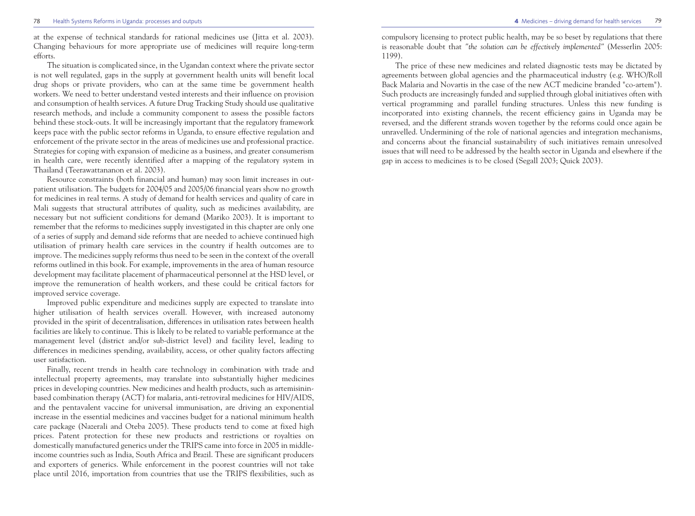at the expense of technical standards for rational medicines use (Jitta et al. 2003). Changing behaviours for more appropriate use of medicines will require long-term efforts.

The situation is complicated since, in the Ugandan context where the private sector is not well regulated, gaps in the supply at government health units will benefit local drug shops or private providers, who can at the same time be government health workers. We need to better understand vested interests and their influence on provision and consumption of health services. A future Drug Tracking Study should use qualitative research methods, and include a community component to assess the possible factors behind these stock-outs. It will be increasingly important that the regulatory framework keeps pace with the public sector reforms in Uganda, to ensure effective regulation and enforcement of the private sector in the areas of medicines use and professional practice. Strategies for coping with expansion of medicine as a business, and greater consumerism in health care, were recently identified after a mapping of the regulatory system in Thailand (Teerawattananon et al. 2003).

Resource constraints (both financial and human) may soon limit increases in outpatient utilisation. The budgets for 2004/05 and 2005/06 financial years show no growth for medicines in real terms. A study of demand for health services and quality of care in Mali suggests that structural attributes of quality, such as medicines availability, are necessary but not sufficient conditions for demand (Mariko 2003). It is important to remember that the reforms to medicines supply investigated in this chapter are only one of a series of supply and demand side reforms that are needed to achieve continued high utilisation of primary health care services in the country if health outcomes are to improve. The medicines supply reforms thus need to be seen in the context of the overall reforms outlined in this book. For example, improvements in the area of human resource development may facilitate placement of pharmaceutical personnel at the HSD level, or improve the remuneration of health workers, and these could be critical factors for improved service coverage.

Improved public expenditure and medicines supply are expected to translate into higher utilisation of health services overall. However, with increased autonomy provided in the spirit of decentralisation, differences in utilisation rates between health facilities are likely to continue. This is likely to be related to variable performance at the management level (district and/or sub-district level) and facility level, leading to differences in medicines spending, availability, access, or other quality factors affecting user satisfaction.

Finally, recent trends in health care technology in combination with trade and intellectual property agreements, may translate into substantially higher medicines prices in developing countries. New medicines and health products, such as artemisininbased combination therapy (ACT) for malaria, anti-retroviral medicines for HIV/AIDS, and the pentavalent vaccine for universal immunisation, are driving an exponential increase in the essential medicines and vaccines budget for a national minimum health care package (Nazerali and Oteba 2005). These products tend to come at fixed high prices. Patent protection for these new products and restrictions or royalties on domestically manufactured generics under the TRIPS came into force in 2005 in middleincome countries such as India, South Africa and Brazil. These are significant producers and exporters of generics. While enforcement in the poorest countries will not take place until 2016, importation from countries that use the TRIPS flexibilities, such as

compulsory licensing to protect public health, may be so beset by regulations that there is reasonable doubt that *"the solution can be effectively implemented"* (Messerlin 2005: 1199).

The price of these new medicines and related diagnostic tests may be dictated by agreements between global agencies and the pharmaceutical industry (e.g. WHO/Roll Back Malaria and Novartis in the case of the new ACT medicine branded "co-artem"). Such products are increasingly funded and supplied through global initiatives often with vertical programming and parallel funding structures. Unless this new funding is incorporated into existing channels, the recent efficiency gains in Uganda may be reversed, and the different strands woven together by the reforms could once again be unravelled. Undermining of the role of national agencies and integration mechanisms, and concerns about the financial sustainability of such initiatives remain unresolved issues that will need to be addressed by the health sector in Uganda and elsewhere if the gap in access to medicines is to be closed (Segall 2003; Quick 2003).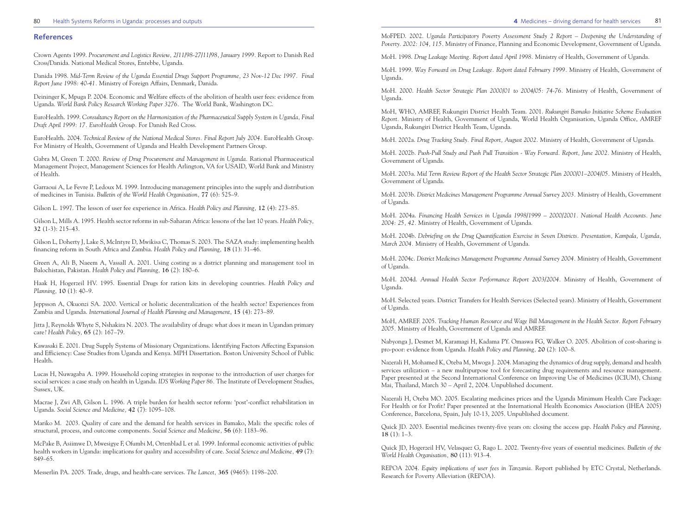#### 80 Health Systems Reforms in Uganda: processes and outputs **81 4** Medicines – driving demand for health services 81

#### **References**

Crown Agents 1999. *Procurement and Logistics Review, 2/11/98-27/11/98, January 1999.* Report to Danish Red Cross/Danida. National Medical Stores, Entebbe, Uganda.

Danida 1998. *Mid-Term Review of the Uganda Essential Drugs Support Programme, 23 Nov-12 Dec 1997. Final Report June 1998: 40-41.* Ministry of Foreign Affairs, Denmark, Danida.

Deininger K, Mpuga P. 2004. Economic and Welfare effects of the abolition of health user fees: evidence from Uganda. *World Bank Policy Research Working Paper 3276.* The World Bank, Washington DC.

EuroHealth. 1999. *Consultancy Report on the Harmonization of the Pharmaceutical Supply System in Uganda, Final Draft April 1999: 17. EuroHealth Group.* For Danish Red Cross.

EuroHealth. 2004. *Technical Review of the National Medical Stores. Final Report July 2004.* EuroHealth Group. For Ministry of Health, Government of Uganda and Health Development Partners Group.

Gabra M, Green T. 2000. *Review of Drug Procurement and Management in Uganda.* Rational Pharmaceutical Management Project, Management Sciences for Health Arlington, VA for USAID, World Bank and Ministry of Health.

Garraoui A, Le Fevre P, Ledoux M. 1999. Introducing management principles into the supply and distribution of medicines in Tunisia. *Bulletin of the World Health Organisation,* **77** (6): 525–9.

Gilson L. 1997. The lesson of user fee experience in Africa. *Health Policy and Planning,* **12** (4): 273–85.

Gilson L, Mills A. 1995. Health sector reforms in sub-Saharan Africa: lessons of the last 10 years. *Health Policy,* **32** (1-3): 215–43.

Gilson L, Doherty J, Lake S, McIntyre D, Mwikisa C, Thomas S. 2003. The SAZA study: implementing health financing reform in South Africa and Zambia. *Health Policy and Planning,* **18** (1): 31–46.

Green A, Ali B, Naeem A, Vassall A. 2001. Using costing as a district planning and management tool in Balochistan, Pakistan. *Health Policy and Planning,* **16** (2): 180–6.

Haak H, Hogerzeil HV. 1995. Essential Drugs for ration kits in developing countries. *Health Policy and Planning,* **10** (1): 40–9.

Jeppsson A, Okuonzi SA. 2000. Vertical or holistic decentralization of the health sector? Experiences from Zambia and Uganda. *International Journal of Health Planning and Management,* **15** (4): 273–89.

Jitta J, Reynolds Whyte S, Nshakira N. 2003. The availability of drugs: what does it mean in Ugandan primary care? *Health Policy,* **65** (2): 167–79.

Kawasaki E. 2001. Drug Supply Systems of Missionary Organizations. Identifying Factors Affecting Expansion and Efficiency: Case Studies from Uganda and Kenya. MPH Dissertation. Boston University School of Public Health.

Lucas H, Nuwagaba A. 1999. Household coping strategies in response to the introduction of user charges for social services: a case study on health in Uganda. *IDS Working Paper 86.* The Institute of Development Studies, Sussex, UK.

Macrae J, Zwi AB, Gilson L. 1996. A triple burden for health sector reform: 'post'-conflict rehabilitation in Uganda. *Social Science and Medicine,* **42** (7): 1095–108.

Mariko M. 2003. Quality of care and the demand for health services in Bamako, Mali: the specific roles of structural, process, and outcome components. *Social Science and Medicine,* **56** (6): 1183–96.

McPake B, Asiimwe D, Mwesigye F, Ofumbi M, Ortenblad L et al. 1999. Informal economic activities of public health workers in Uganda: implications for quality and accessibility of care. *Social Science and Medicine,* **49** (7): 849–65.

Messerlin PA. 2005. Trade, drugs, and health-care services. *The Lancet,* **365** (9465): 1198–200.

MoFPED. 2002. *Uganda Participatory Poverty Assessment Study 2 Report – Deepening the Understanding of Poverty. 2002: 104, 115.* Ministry of Finance, Planning and Economic Development, Government of Uganda.

MoH. 1998. *Drug Leakage Meeting. Report dated April 1998.* Ministry of Health, Government of Uganda.

MoH. 1999. *Way Forward on Drug Leakage. Report dated February 1999.* Ministry of Health, Government of Uganda.

MoH. 2000. *Health Sector Strategic Plan 2000/01 to 2004/05: 74-76.* Ministry of Health, Government of Uganda.

MoH, WHO, AMREF, Rukungiri District Health Team. 2001. *Rukungiri Bamako Initiative Scheme Evaluation Report.* Ministry of Health, Government of Uganda, World Health Organisation, Uganda Office, AMREF Uganda, Rukungiri District Health Team, Uganda.

MoH. 2002a. *Drug Tracking Study. Final Report, August 2002.* Ministry of Health, Government of Uganda.

MoH. 2002b. *Push-Pull Study and Push Pull Transition - Way Forward. Report, June 2002.* Ministry of Health, Government of Uganda.

MoH. 2003a. *Mid Term Review Report of the Health Sector Strategic Plan 2000/01–2004/05.* Ministry of Health, Government of Uganda.

MoH. 2003b. *District Medicines Management Programme Annual Survey 2003.* Ministry of Health, Government of Uganda.

MoH. 2004a. *Financing Health Services in Uganda 1998/1999 – 2000/2001. National Health Accounts. June 2004: 25, 42.* Ministry of Health, Government of Uganda.

MoH. 2004b. *Debriefing on the Drug Quantification Exercise in Seven Districts. Presentation, Kampala, Uganda, March 2004.* Ministry of Health, Government of Uganda.

MoH. 2004c. *District Medicines Management Programme Annual Survey 2004.* Ministry of Health, Government of Uganda.

MoH. 2004d. *Annual Health Sector Performance Report 2003/2004.* Ministry of Health, Government of Uganda.

MoH. Selected years. District Transfers for Health Services (Selected years). Ministry of Health, Government of Uganda.

MoH, AMREF. 2005. *Tracking Human Resource and Wage Bill Management in the Health Sector. Report February 2005.* Ministry of Health, Government of Uganda and AMREF.

Nabyonga J, Desmet M, Karamagi H, Kadama PY. Omaswa FG, Walker O. 2005. Abolition of cost-sharing is pro-poor: evidence from Uganda. *Health Policy and Planning,* **20** (2): 100–8.

Nazerali H, Mohamed K, Oteba M, Mwoga J. 2004. Managing the dynamics of drug supply, demand and health services utilization – a new multipurpose tool for forecasting drug requirements and resource management. Paper presented at the Second International Conference on Improving Use of Medicines (ICIUM), Chiang Mai, Thailand, March 30 – April 2, 2004. Unpublished document.

Nazerali H, Oteba MO. 2005. Escalating medicines prices and the Uganda Minimum Health Care Package: For Health or for Profit? Paper presented at the International Health Economics Association (IHEA 2005) Conference, Barcelona, Spain, July 10-13, 2005. Unpublished document.

Quick JD. 2003. Essential medicines twenty-five years on: closing the access gap. *Health Policy and Planning,* **18** (1): 1–3.

Quick JD, Hogerzeil HV, Velasquez G, Rago L. 2002. Twenty-five years of essential medicines. *Bulletin of the World Health Organisation,* **80** (11): 913–4.

REPOA 2004. *Equity implications of user fees in Tanzania.* Report published by ETC Crystal, Netherlands. Research for Poverty Alleviation (REPOA).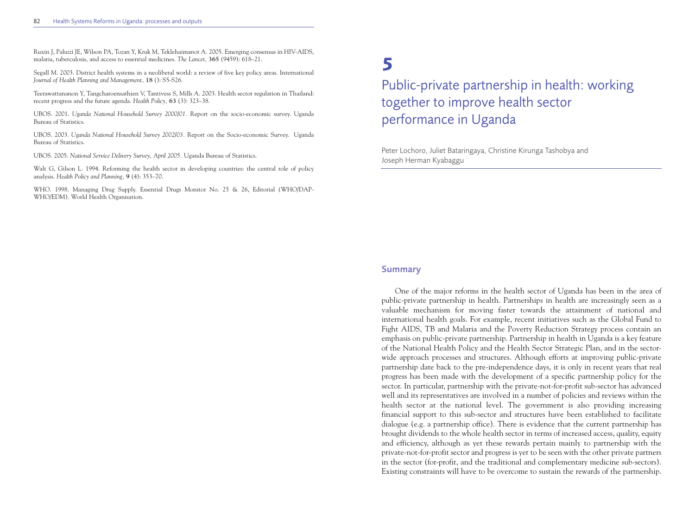Ruxin J, Paluzzi JE, Wilson PA, Tozan Y, Kruk M, Teklehaimanot A. 2005. Emerging consensus in HIV-AIDS, malaria, tuberculosis, and access to essential medicines. *The Lancet,* **365** (9459): 618–21.

Segall M. 2003. District health systems in a neoliberal world: a review of five key policy areas. International *Journal of Health Planning and Management,* **18** (): S5-S26.

Teerawattananon Y, Tangcharoensathien V, Tantivess S, Mills A. 2003. Health sector regulation in Thailand: recent progress and the future agenda. *Health Policy,* **63** (3): 323–38.

UBOS. 2001. *Uganda National Household Survey 2000/01.* Report on the socio-economic survey. Uganda Bureau of Statistics.

UBOS. 2003. *Uganda National Household Survey 2002/03.* Report on the Socio-economic Survey. Uganda Bureau of Statistics.

UBOS. 2005. *National Service Delivery Survey, April 2005.* Uganda Bureau of Statistics.

Walt G, Gilson L. 1994. Reforming the health sector in developing countries: the central role of policy analysis. *Health Policy and Planning,* **9** (4): 353–70.

WHO. 1998. Managing Drug Supply. Essential Drugs Monitor No. 25 & 26, Editorial (WHO/DAP-WHO/EDM). World Health Organisation.

# **5**

Public-private partnership in health: working together to improve health sector performance in Uganda

Peter Lochoro, Juliet Bataringaya, Christine Kirunga Tashobya and Joseph Herman Kyabaggu

#### **Summary**

One of the major reforms in the health sector of Uganda has been in the area of public-private partnership in health. Partnerships in health are increasingly seen as a valuable mechanism for moving faster towards the attainment of national and international health goals. For example, recent initiatives such as the Global Fund to Fight AIDS, TB and Malaria and the Poverty Reduction Strategy process contain an emphasis on public-private partnership. Partnership in health in Uganda is a key feature of the National Health Policy and the Health Sector Strategic Plan, and in the sectorwide approach processes and structures. Although efforts at improving public-private partnership date back to the pre-independence days, it is only in recent years that real progress has been made with the development of a specific partnership policy for the sector. In particular, partnership with the private-not-for-profit sub-sector has advanced well and its representatives are involved in a number of policies and reviews within the health sector at the national level. The government is also providing increasing financial support to this sub-sector and structures have been established to facilitate dialogue (e.g. a partnership office). There is evidence that the current partnership has brought dividends to the whole health sector in terms of increased access, quality, equity and efficiency, although as yet these rewards pertain mainly to partnership with the private-not-for-profit sector and progress is yet to be seen with the other private partners in the sector (for-profit, and the traditional and complementary medicine sub-sectors). Existing constraints will have to be overcome to sustain the rewards of the partnership.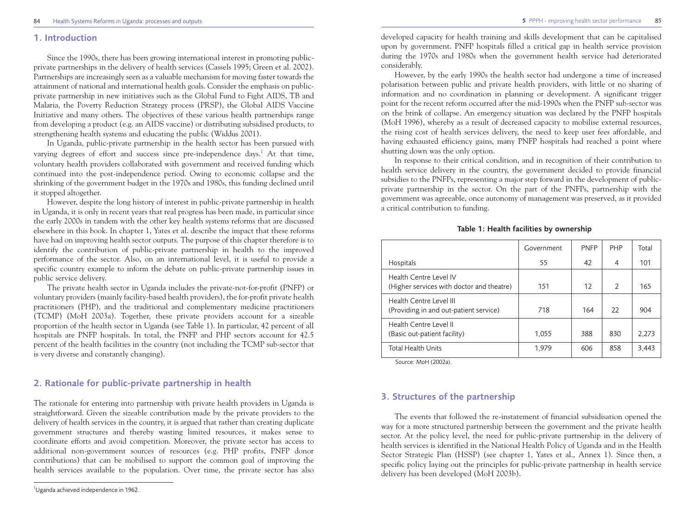### **1. Introduction**

Since the 1990s, there has been growing international interest in promoting publicprivate partnerships in the delivery of health services (Cassels 1995; Green et al. 2002). Partnerships are increasingly seen as a valuable mechanism for moving faster towards the attainment of national and international health goals. Consider the emphasis on publicprivate partnership in new initiatives such as the Global Fund to Fight AIDS, TB and Malaria, the Poverty Reduction Strategy process (PRSP), the Global AIDS Vaccine Initiative and many others. The objectives of these various health partnerships range from developing a product (e.g. an AIDS vaccine) or distributing subsidised products, to strengthening health systems and educating the public (Widdus 2001).

In Uganda, public-private partnership in the health sector has been pursued with varying degrees of effort and success since pre-independence days.<sup>1</sup> At that time, voluntary health providers collaborated with government and received funding which continued into the post-independence period. Owing to economic collapse and the shrinking of the government budget in the 1970s and 1980s, this funding declined until it stopped altogether.

However, despite the long history of interest in public-private partnership in health in Uganda, it is only in recent years that real progress has been made, in particular since the early 2000s in tandem with the other key health systems reforms that are discussed elsewhere in this book. In chapter 1, Yates et al. describe the impact that these reforms have had on improving health sector outputs. The purpose of this chapter therefore is to identify the contribution of public-private partnership in health to the improved performance of the sector. Also, on an international level, it is useful to provide a specific country example to inform the debate on public-private partnership issues in public service delivery.

The private health sector in Uganda includes the private-not-for-profit (PNFP) or voluntary providers (mainly facility-based health providers), the for-profit private health practitioners (PHP), and the traditional and complementary medicine practitioners (TCMP) (MoH 2003a). Together, these private providers account for a sizeable proportion of the health sector in Uganda (see Table 1). In particular, 42 percent of all hospitals are PNFP hospitals. In total, the PNFP and PHP sectors account for 42.5 percent of the health facilities in the country (not including the TCMP sub-sector that is very diverse and constantly changing).

# **2. Rationale for public-private partnership in health**

The rationale for entering into partnership with private health providers in Uganda is straightforward. Given the sizeable contribution made by the private providers to the delivery of health services in the country, it is argued that rather than creating duplicate government structures and thereby wasting limited resources, it makes sense to coordinate efforts and avoid competition. Moreover, the private sector has access to additional non-government sources of resources (e.g. PHP profits, PNFP donor contributions) that can be mobilised to support the common goal of improving the health services available to the population. Over time, the private sector has also developed capacity for health training and skills development that can be capitalised upon by government. PNFP hospitals filled a critical gap in health service provision during the 1970s and 1980s when the government health service had deteriorated considerably.

However, by the early 1990s the health sector had undergone a time of increased polarisation between public and private health providers, with little or no sharing of information and no coordination in planning or development. A significant trigger point for the recent reform occurred after the mid-1990s when the PNFP sub-sector was on the brink of collapse. An emergency situation was declared by the PNFP hospitals (MoH 1996), whereby as a result of decreased capacity to mobilise external resources, the rising cost of health services delivery, the need to keep user fees affordable, and having exhausted efficiency gains, many PNFP hospitals had reached a point where shutting down was the only option.

In response to their critical condition, and in recognition of their contribution to health service delivery in the country, the government decided to provide financial subsidies to the PNFPs, representing a major step forward in the development of publicprivate partnership in the sector. On the part of the PNFPs, partnership with the government was agreeable, once autonomy of management was preserved, as it provided a critical contribution to funding.

|                                                                     | Government | <b>PNFP</b> | <b>PHP</b>    | Total |
|---------------------------------------------------------------------|------------|-------------|---------------|-------|
| Hospitals                                                           | 55         | 42          | 4             | 101   |
| Health Centre Level IV<br>(Higher services with doctor and theatre) | 151        | 12          | $\mathcal{L}$ | 165   |
| Health Centre Level III<br>(Providing in and out-patient service)   | 718        | 164         | 22            | 904   |
| Health Centre Level II<br>(Basic out-patient facility)              | 1.055      | 388         | 830           | 2,273 |
| <b>Total Health Units</b>                                           | 1.979      | 606         | 858           | 3,443 |

**Table 1: Health facilities by ownership**

Source: MoH (2002a).

# **3. Structures of the partnership**

The events that followed the re-instatement of financial subsidisation opened the way for a more structured partnership between the government and the private health sector. At the policy level, the need for public-private partnership in the delivery of health services is identified in the National Health Policy of Uganda and in the Health Sector Strategic Plan (HSSP) (see chapter 1, Yates et al., Annex 1). Since then, a specific policy laying out the principles for public-private partnership in health service delivery has been developed (MoH 2003b).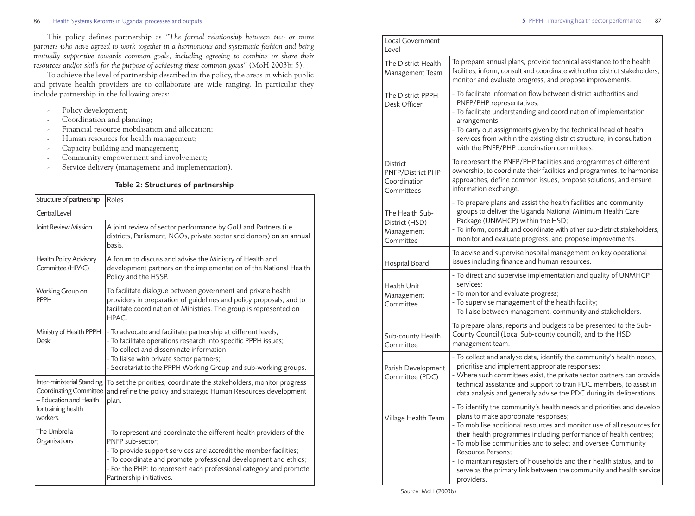This policy defines partnership as *"The formal relationship between two or more partners who have agreed to work together in a harmonious and systematic fashion and being mutually supportive towards common goals, including agreeing to combine or share their resources and/or skills for the purpose of achieving these common goals"* (MoH 2003b: 5).

To achieve the level of partnership described in the policy, the areas in which public and private health providers are to collaborate are wide ranging. In particular they include partnership in the following areas:

- Policy development;
- Coordination and planning;
- Financial resource mobilisation and allocation;
- Human resources for health management;
- Capacity building and management;
- Community empowerment and involvement;
- Service delivery (management and implementation).

# **Table 2: Structures of partnership**

| Structure of partnership                                                                                                 | Roles                                                                                                                                                                                                                                                                                                                              |
|--------------------------------------------------------------------------------------------------------------------------|------------------------------------------------------------------------------------------------------------------------------------------------------------------------------------------------------------------------------------------------------------------------------------------------------------------------------------|
| Central Level                                                                                                            |                                                                                                                                                                                                                                                                                                                                    |
| Joint Review Mission                                                                                                     | A joint review of sector performance by GoU and Partners (i.e.<br>districts, Parliament, NGOs, private sector and donors) on an annual<br>hasis.                                                                                                                                                                                   |
| <b>Health Policy Advisory</b><br>Committee (HPAC)                                                                        | A forum to discuss and advise the Ministry of Health and<br>development partners on the implementation of the National Health<br>Policy and the HSSP.                                                                                                                                                                              |
| Working Group on<br>PPPH                                                                                                 | To facilitate dialogue between government and private health<br>providers in preparation of guidelines and policy proposals, and to<br>facilitate coordination of Ministries. The group is represented on<br>HPAC.                                                                                                                 |
| Ministry of Health PPPH<br>Desk                                                                                          | - To advocate and facilitate partnership at different levels;<br>- To facilitate operations research into specific PPPH issues;<br>- To collect and disseminate information;<br>- To liaise with private sector partners;<br>- Secretariat to the PPPH Working Group and sub-working groups.                                       |
| Inter-ministerial Standing<br><b>Coordinating Committee</b><br>- Education and Health<br>for training health<br>workers. | To set the priorities, coordinate the stakeholders, monitor progress<br>and refine the policy and strategic Human Resources development<br>plan.                                                                                                                                                                                   |
| The Umbrella<br>Organisations                                                                                            | - To represent and coordinate the different health providers of the<br>PNFP sub-sector:<br>- To provide support services and accredit the member facilities;<br>- To coordinate and promote professional development and ethics;<br>- For the PHP: to represent each professional category and promote<br>Partnership initiatives. |

| Local Government<br>Level                                          |                                                                                                                                                                                                                                                                                                                                                                                                                                                                                                                 |
|--------------------------------------------------------------------|-----------------------------------------------------------------------------------------------------------------------------------------------------------------------------------------------------------------------------------------------------------------------------------------------------------------------------------------------------------------------------------------------------------------------------------------------------------------------------------------------------------------|
| The District Health<br>Management Team                             | To prepare annual plans, provide technical assistance to the health<br>facilities, inform, consult and coordinate with other district stakeholders,<br>monitor and evaluate progress, and propose improvements.                                                                                                                                                                                                                                                                                                 |
| The District PPPH<br>Desk Officer                                  | - To facilitate information flow between district authorities and<br>PNFP/PHP representatives;<br>- To facilitate understanding and coordination of implementation<br>arrangements;<br>- To carry out assignments given by the technical head of health<br>services from within the existing district structure, in consultation<br>with the PNFP/PHP coordination committees.                                                                                                                                  |
| <b>District</b><br>PNFP/District PHP<br>Coordination<br>Committees | To represent the PNFP/PHP facilities and programmes of different<br>ownership, to coordinate their facilities and programmes, to harmonise<br>approaches, define common issues, propose solutions, and ensure<br>information exchange.                                                                                                                                                                                                                                                                          |
| The Health Sub-<br>District (HSD)<br>Management<br>Committee       | - To prepare plans and assist the health facilities and community<br>groups to deliver the Uganda National Minimum Health Care<br>Package (UNMHCP) within the HSD;<br>- To inform, consult and coordinate with other sub-district stakeholders,<br>monitor and evaluate progress, and propose improvements.                                                                                                                                                                                                     |
| Hospital Board                                                     | To advise and supervise hospital management on key operational<br>issues including finance and human resources.                                                                                                                                                                                                                                                                                                                                                                                                 |
| <b>Health Unit</b><br>Management<br>Committee                      | - To direct and supervise implementation and quality of UNMHCP<br>services;<br>- To monitor and evaluate progress;<br>- To supervise management of the health facility;<br>- To liaise between management, community and stakeholders.                                                                                                                                                                                                                                                                          |
| Sub-county Health<br>Committee                                     | To prepare plans, reports and budgets to be presented to the Sub-<br>County Council (Local Sub-county council), and to the HSD<br>management team.                                                                                                                                                                                                                                                                                                                                                              |
| Parish Development<br>Committee (PDC)                              | - To collect and analyse data, identify the community's health needs,<br>prioritise and implement appropriate responses;<br>- Where such committees exist, the private sector partners can provide<br>technical assistance and support to train PDC members, to assist in<br>data analysis and generally advise the PDC during its deliberations.                                                                                                                                                               |
| Village Health Team                                                | - To identify the community's health needs and priorities and develop<br>plans to make appropriate responses;<br>- To mobilise additional resources and monitor use of all resources for<br>their health programmes including performance of health centres;<br>- To mobilise communities and to select and oversee Community<br>Resource Persons;<br>- To maintain registers of households and their health status, and to<br>serve as the primary link between the community and health service<br>providers. |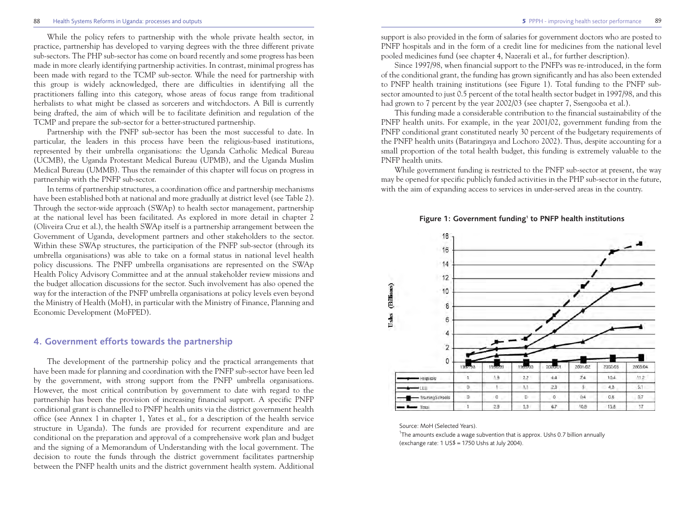#### 88 Health Systems Reforms in Uganda: processes and outputs **5** PPPH - improving health sector performance

While the policy refers to partnership with the whole private health sector, in practice, partnership has developed to varying degrees with the three different private sub-sectors. The PHP sub-sector has come on board recently and some progress has been made in more clearly identifying partnership activities. In contrast, minimal progress has been made with regard to the TCMP sub-sector. While the need for partnership with this group is widely acknowledged, there are difficulties in identifying all the practitioners falling into this category, whose areas of focus range from traditional herbalists to what might be classed as sorcerers and witchdoctors. A Bill is currently being drafted, the aim of which will be to facilitate definition and regulation of the TCMP and prepare the sub-sector for a better-structured partnership.

Partnership with the PNFP sub-sector has been the most successful to date. In particular, the leaders in this process have been the religious-based institutions, represented by their umbrella organisations: the Uganda Catholic Medical Bureau (UCMB), the Uganda Protestant Medical Bureau (UPMB), and the Uganda Muslim Medical Bureau (UMMB). Thus the remainder of this chapter will focus on progress in partnership with the PNFP sub-sector.

In terms of partnership structures, a coordination office and partnership mechanisms have been established both at national and more gradually at district level (see Table 2). Through the sector-wide approach (SWAp) to health sector management, partnership at the national level has been facilitated. As explored in more detail in chapter 2 (Oliveira Cruz et al.), the health SWAp itself is a partnership arrangement between the Government of Uganda, development partners and other stakeholders to the sector. Within these SWAp structures, the participation of the PNFP sub-sector (through its umbrella organisations) was able to take on a formal status in national level health policy discussions. The PNFP umbrella organisations are represented on the SWAp Health Policy Advisory Committee and at the annual stakeholder review missions and the budget allocation discussions for the sector. Such involvement has also opened the way for the interaction of the PNFP umbrella organisations at policy levels even beyond the Ministry of Health (MoH), in particular with the Ministry of Finance, Planning and Economic Development (MoFPED).

# **4. Government efforts towards the partnership**

The development of the partnership policy and the practical arrangements that have been made for planning and coordination with the PNFP sub-sector have been led by the government, with strong support from the PNFP umbrella organisations. However, the most critical contribution by government to date with regard to the partnership has been the provision of increasing financial support. A specific PNFP conditional grant is channelled to PNFP health units via the district government health office (see Annex 1 in chapter 1, Yates et al., for a description of the health service structure in Uganda). The funds are provided for recurrent expenditure and are conditional on the preparation and approval of a comprehensive work plan and budget and the signing of a Memorandum of Understanding with the local government. The decision to route the funds through the district government facilitates partnership between the PNFP health units and the district government health system. Additional

support is also provided in the form of salaries for government doctors who are posted to PNFP hospitals and in the form of a credit line for medicines from the national level pooled medicines fund (see chapter 4, Nazerali et al., for further description).

Since 1997/98, when financial support to the PNFPs was re-introduced, in the form of the conditional grant, the funding has grown significantly and has also been extended to PNFP health training institutions (see Figure 1). Total funding to the PNFP subsector amounted to just 0.5 percent of the total health sector budget in 1997/98, and this had grown to 7 percent by the year 2002/03 (see chapter 7, Ssengooba et al.).

This funding made a considerable contribution to the financial sustainability of the PNFP health units. For example, in the year 2001/02, government funding from the PNFP conditional grant constituted nearly 30 percent of the budgetary requirements of the PNFP health units (Bataringaya and Lochoro 2002). Thus, despite accounting for a small proportion of the total health budget, this funding is extremely valuable to the PNFP health units.

While government funding is restricted to the PNFP sub-sector at present, the way may be opened for specific publicly funded activities in the PHP sub-sector in the future, with the aim of expanding access to services in under-served areas in the country.

#### Figure 1: Government funding<sup>1</sup> to PNFP health institutions



#### Source: MoH (Selected Years).

<sup>1</sup>The amounts exclude a wage subvention that is approx. Ushs 0.7 billion annually (exchange rate: 1 US\$ = 1750 Ushs at July 2004).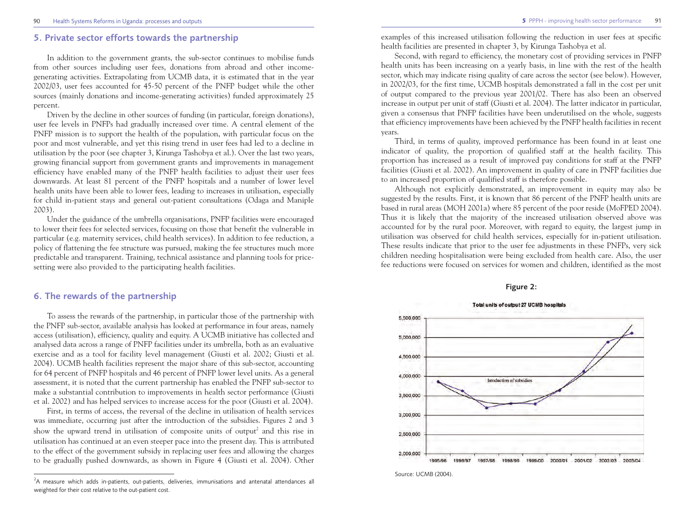# **5. Private sector efforts towards the partnership**

In addition to the government grants, the sub-sector continues to mobilise funds from other sources including user fees, donations from abroad and other incomegenerating activities. Extrapolating from UCMB data, it is estimated that in the year 2002/03, user fees accounted for 45-50 percent of the PNFP budget while the other sources (mainly donations and income-generating activities) funded approximately 25 percent.

Driven by the decline in other sources of funding (in particular, foreign donations), user fee levels in PNFPs had gradually increased over time. A central element of the PNFP mission is to support the health of the population, with particular focus on the poor and most vulnerable, and yet this rising trend in user fees had led to a decline in utilisation by the poor (see chapter 3, Kirunga Tashobya et al.). Over the last two years, growing financial support from government grants and improvements in management efficiency have enabled many of the PNFP health facilities to adjust their user fees downwards. At least 81 percent of the PNFP hospitals and a number of lower level health units have been able to lower fees, leading to increases in utilisation, especially for child in-patient stays and general out-patient consultations (Odaga and Maniple 2003).

Under the guidance of the umbrella organisations, PNFP facilities were encouraged to lower their fees for selected services, focusing on those that benefit the vulnerable in particular (e.g. maternity services, child health services). In addition to fee reduction, a policy of flattening the fee structure was pursued, making the fee structures much more predictable and transparent. Training, technical assistance and planning tools for pricesetting were also provided to the participating health facilities.

# **6. The rewards of the partnership**

To assess the rewards of the partnership, in particular those of the partnership with the PNFP sub-sector, available analysis has looked at performance in four areas, namely access (utilisation), efficiency, quality and equity. A UCMB initiative has collected and analysed data across a range of PNFP facilities under its umbrella, both as an evaluative exercise and as a tool for facility level management (Giusti et al. 2002; Giusti et al. 2004). UCMB health facilities represent the major share of this sub-sector, accounting for 64 percent of PNFP hospitals and 46 percent of PNFP lower level units. As a general assessment, it is noted that the current partnership has enabled the PNFP sub-sector to make a substantial contribution to improvements in health sector performance (Giusti et al. 2002) and has helped services to increase access for the poor (Giusti et al. 2004).

First, in terms of access, the reversal of the decline in utilisation of health services was immediate, occurring just after the introduction of the subsidies. Figures 2 and 3 show the upward trend in utilisation of composite units of output<sup>2</sup> and this rise in utilisation has continued at an even steeper pace into the present day. This is attributed to the effect of the government subsidy in replacing user fees and allowing the charges to be gradually pushed downwards, as shown in Figure 4 (Giusti et al. 2004). Other examples of this increased utilisation following the reduction in user fees at specific health facilities are presented in chapter 3, by Kirunga Tashobya et al.

Second, with regard to efficiency, the monetary cost of providing services in PNFP health units has been increasing on a yearly basis, in line with the rest of the health sector, which may indicate rising quality of care across the sector (see below). However, in 2002/03, for the first time, UCMB hospitals demonstrated a fall in the cost per unit of output compared to the previous year 2001/02. There has also been an observed increase in output per unit of staff (Giusti et al. 2004). The latter indicator in particular, given a consensus that PNFP facilities have been underutilised on the whole, suggests that efficiency improvements have been achieved by the PNFP health facilities in recent years.

Third, in terms of quality, improved performance has been found in at least one indicator of quality, the proportion of qualified staff at the health facility. This proportion has increased as a result of improved pay conditions for staff at the PNFP facilities (Giusti et al. 2002). An improvement in quality of care in PNFP facilities due to an increased proportion of qualified staff is therefore possible.

Although not explicitly demonstrated, an improvement in equity may also be suggested by the results. First, it is known that 86 percent of the PNFP health units are based in rural areas (MOH 2001a) where 85 percent of the poor reside (MoFPED 2004). Thus it is likely that the majority of the increased utilisation observed above was accounted for by the rural poor. Moreover, with regard to equity, the largest jump in utilisation was observed for child health services, especially for in-patient utilisation. These results indicate that prior to the user fee adjustments in these PNFPs, very sick children needing hospitalisation were being excluded from health care. Also, the user fee reductions were focused on services for women and children, identified as the most

#### **Figure 2:**



Source: UCMB (2004)

<sup>&</sup>lt;sup>2</sup>A measure which adds in-patients, out-patients, deliveries, immunisations and antenatal attendances all weighted for their cost relative to the out-patient cost.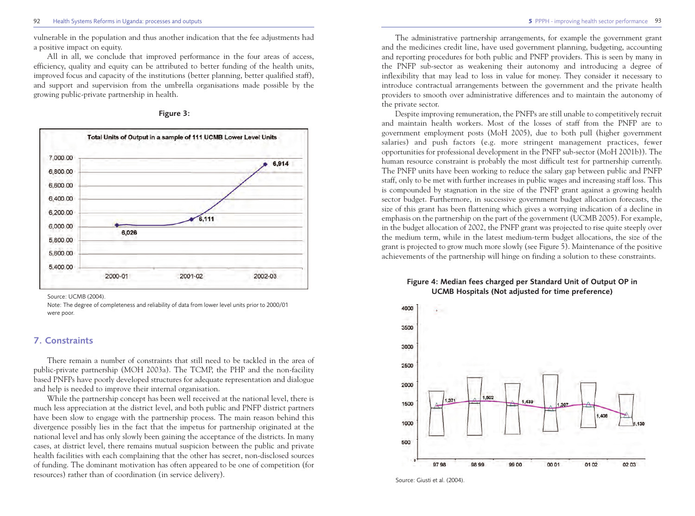vulnerable in the population and thus another indication that the fee adjustments had a positive impact on equity.

All in all, we conclude that improved performance in the four areas of access, efficiency, quality and equity can be attributed to better funding of the health units, improved focus and capacity of the institutions (better planning, better qualified staff), and support and supervision from the umbrella organisations made possible by the growing public-private partnership in health.





Source: UCMB (2004).

Note: The degree of completeness and reliability of data from lower level units prior to 2000/01 were poor.

### **7. Constraints**

There remain a number of constraints that still need to be tackled in the area of public-private partnership (MOH 2003a). The TCMP, the PHP and the non-facility based PNFPs have poorly developed structures for adequate representation and dialogue and help is needed to improve their internal organisation.

While the partnership concept has been well received at the national level, there is much less appreciation at the district level, and both public and PNFP district partners have been slow to engage with the partnership process. The main reason behind this divergence possibly lies in the fact that the impetus for partnership originated at the national level and has only slowly been gaining the acceptance of the districts. In many cases, at district level, there remains mutual suspicion between the public and private health facilities with each complaining that the other has secret, non-disclosed sources of funding. The dominant motivation has often appeared to be one of competition (for resources) rather than of coordination (in service delivery).

The administrative partnership arrangements, for example the government grant and the medicines credit line, have used government planning, budgeting, accounting and reporting procedures for both public and PNFP providers. This is seen by many in the PNFP sub-sector as weakening their autonomy and introducing a degree of inflexibility that may lead to loss in value for money. They consider it necessary to introduce contractual arrangements between the government and the private health providers to smooth over administrative differences and to maintain the autonomy of the private sector.

Despite improving remuneration, the PNFPs are still unable to competitively recruit and maintain health workers. Most of the losses of staff from the PNFP are to government employment posts (MoH 2005), due to both pull (higher government salaries) and push factors (e.g. more stringent management practices, fewer opportunities for professional development in the PNFP sub-sector (MoH 2001b)). The human resource constraint is probably the most difficult test for partnership currently. The PNFP units have been working to reduce the salary gap between public and PNFP staff, only to be met with further increases in public wages and increasing staff loss. This is compounded by stagnation in the size of the PNFP grant against a growing health sector budget. Furthermore, in successive government budget allocation forecasts, the size of this grant has been flattening which gives a worrying indication of a decline in emphasis on the partnership on the part of the government (UCMB 2005). For example, in the budget allocation of 2002, the PNFP grant was projected to rise quite steeply over the medium term, while in the latest medium-term budget allocations, the size of the grant is projected to grow much more slowly (see Figure 5). Maintenance of the positive achievements of the partnership will hinge on finding a solution to these constraints.

### **Figure 4: Median fees charged per Standard Unit of Output OP in UCMB Hospitals (Not adjusted for time preference)**



Source: Giusti et al. (2004).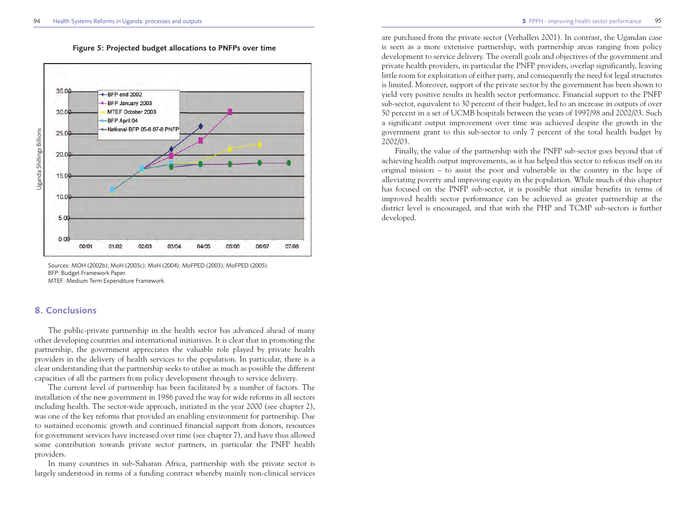

**Figure 5: Projected budget allocations to PNFPs over time**

Sources: MOH (2002b); MoH (2003c); MoH (2004); MoFPED (2003); MoFPED (2005). BFP: Budget Framework Paper. MTEF: Medium Term Expenditure Framework.

## **8. Conclusions**

The public-private partnership in the health sector has advanced ahead of many other developing countries and international initiatives. It is clear that in promoting the partnership, the government appreciates the valuable role played by private health providers in the delivery of health services to the population. In particular, there is a clear understanding that the partnership seeks to utilise as much as possible the different capacities of all the partners from policy development through to service delivery.

The current level of partnership has been facilitated by a number of factors. The installation of the new government in 1986 paved the way for wide reforms in all sectors including health. The sector-wide approach, initiated in the year 2000 (see chapter 2), was one of the key reforms that provided an enabling environment for partnership. Due to sustained economic growth and continued financial support from donors, resources for government services have increased over time (see chapter 7), and have thus allowed some contribution towards private sector partners, in particular the PNFP health providers.

In many countries in sub-Saharan Africa, partnership with the private sector is largely understood in terms of a funding contract whereby mainly non-clinical services

are purchased from the private sector (Verhallen 2001). In contrast, the Ugandan case is seen as a more extensive partnership, with partnership areas ranging from policy development to service delivery. The overall goals and objectives of the government and private health providers, in particular the PNFP providers, overlap significantly, leaving little room for exploitation of either party, and consequently the need for legal structures is limited. Moreover, support of the private sector by the government has been shown to yield very positive results in health sector performance. Financial support to the PNFP sub-sector, equivalent to 30 percent of their budget, led to an increase in outputs of over 50 percent in a set of UCMB hospitals between the years of 1997/98 and 2002/03. Such a significant output improvement over time was achieved despite the growth in the government grant to this sub-sector to only 7 percent of the total health budget by 2002/03.

Finally, the value of the partnership with the PNFP sub-sector goes beyond that of achieving health output improvements, as it has helped this sector to refocus itself on its original mission – to assist the poor and vulnerable in the country in the hope of alleviating poverty and improving equity in the population. While much of this chapter has focused on the PNFP sub-sector, it is possible that similar benefits in terms of improved health sector performance can be achieved as greater partnership at the district level is encouraged, and that with the PHP and TCMP sub-sectors is further developed.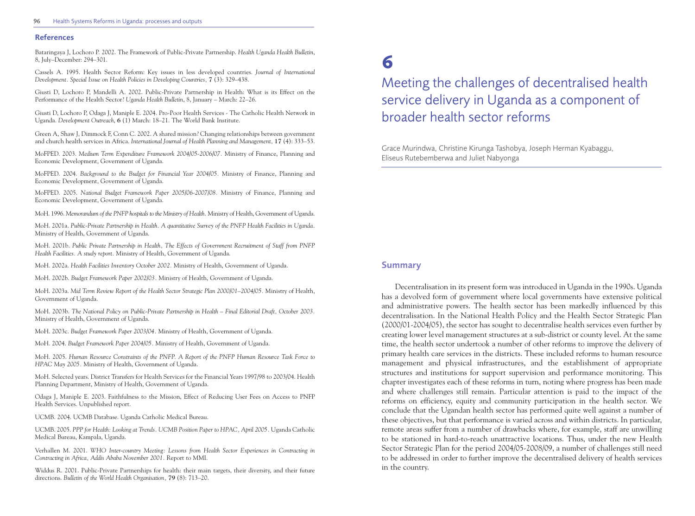#### **References**

Bataringaya J, Lochoro P. 2002. The Framework of Public-Private Partnership. *Health Uganda Health Bulletin*, 8, July–December: 294–301.

Cassels A. 1995. Health Sector Reform: Key issues in less developed countries. *Journal of International Development. Special Issue on Health Policies in Developing Countries,* **7** (3): 329–438.

Giusti D, Lochoro P, Mandelli A. 2002. Public-Private Partnership in Health: What is its Effect on the Performance of the Health Sector? *Uganda Health Bulletin*, 8, January – March: 22–26.

Giusti D, Lochoro P, Odaga J, Maniple E. 2004. Pro-Poor Health Services - The Catholic Health Network in Uganda. *Development Outreach*, **6** (1) March: 18–21. The World Bank Institute.

Green A, Shaw J, Dimmock F, Conn C. 2002. A shared mission? Changing relationships between government and church health services in Africa. *International Journal of Health Planning and Management,* **17** (4): 333–53.

MoFPED. 2003. *Medium Term Expenditure Framework 2004/05-2006/07.* Ministry of Finance, Planning and Economic Development, Government of Uganda.

MoFPED. 2004. *Background to the Budget for Financial Year 2004/05.* Ministry of Finance, Planning and Economic Development, Government of Uganda.

MoFPED. 2005. *National Budget Framework Paper 2005/06-2007/08.* Ministry of Finance, Planning and Economic Development, Government of Uganda.

MoH. 1996. *Memorandum of the PNFP hospitals to the Ministry of Health.* Ministry of Health, Government of Uganda.

MoH. 2001a. *Public-Private Partnership in Health. A quantitative Survey of the PNFP Health Facilities in Uganda.* Ministry of Health, Government of Uganda.

MoH. 2001b. *Public Private Partnership in Health, The Effects of Government Recruitment of Staff from PNFP Health Facilities. A study report.* Ministry of Health, Government of Uganda.

MoH. 2002a. *Health Facilities Inventory October 2002.* Ministry of Health, Government of Uganda.

MoH. 2002b. *Budget Framework Paper 2002/03.* Ministry of Health, Government of Uganda.

MoH. 2003a. *Mid Term Review Report of the Health Sector Strategic Plan 2000/01–2004/05.* Ministry of Health, Government of Uganda.

MoH. 2003b. *The National Policy on Public-Private Partnership in Health – Final Editorial Draft, October 2003.* Ministry of Health, Government of Uganda.

MoH. 2003c. *Budget Framework Paper 2003/04.* Ministry of Health, Government of Uganda.

MoH. 2004. *Budget Framework Paper 2004/05.* Ministry of Health, Government of Uganda.

MoH. 2005. *Human Resource Constraints of the PNFP. A Report of the PNFP Human Resource Task Force to HPAC May 2005.* Ministry of Health, Government of Uganda.

MoH. Selected years. District Transfers for Health Services for the Financial Years 1997/98 to 2003/04. Health Planning Department, Ministry of Health, Government of Uganda.

Odaga J, Maniple E. 2003. Faithfulness to the Mission, Effect of Reducing User Fees on Access to PNFP Health Services. Unpublished report.

UCMB. 2004. UCMB Database. Uganda Catholic Medical Bureau.

UCMB. 2005. *PPP for Health: Looking at Trends. UCMB Position Paper to HPAC, April 2005.* Uganda Catholic Medical Bureau, Kampala, Uganda.

Verhallen M. 2001. *WHO Inter-country Meeting: Lessons from Health Sector Experiences in Contracting in Contracting in Africa, Addis Ababa November 2001.* Report to MMI.

Widdus R. 2001. Public-Private Partnerships for health: their main targets, their diversity, and their future directions. *Bulletin of the World Health Organisation,* **79** (8): 713–20.

# **6**

Meeting the challenges of decentralised health service delivery in Uganda as a component of broader health sector reforms

Grace Murindwa, Christine Kirunga Tashobya, Joseph Herman Kyabaggu, Eliseus Rutebemberwa and Juliet Nabyonga

# **Summary**

Decentralisation in its present form was introduced in Uganda in the 1990s. Uganda has a devolved form of government where local governments have extensive political and administrative powers. The health sector has been markedly influenced by this decentralisation. In the National Health Policy and the Health Sector Strategic Plan (2000/01-2004/05), the sector has sought to decentralise health services even further by creating lower level management structures at a sub-district or county level. At the same time, the health sector undertook a number of other reforms to improve the delivery of primary health care services in the districts. These included reforms to human resource management and physical infrastructures, and the establishment of appropriate structures and institutions for support supervision and performance monitoring. This chapter investigates each of these reforms in turn, noting where progress has been made and where challenges still remain. Particular attention is paid to the impact of the reforms on efficiency, equity and community participation in the health sector. We conclude that the Ugandan health sector has performed quite well against a number of these objectives, but that performance is varied across and within districts. In particular, remote areas suffer from a number of drawbacks where, for example, staff are unwilling to be stationed in hard-to-reach unattractive locations. Thus, under the new Health Sector Strategic Plan for the period 2004/05-2008/09, a number of challenges still need to be addressed in order to further improve the decentralised delivery of health services in the country.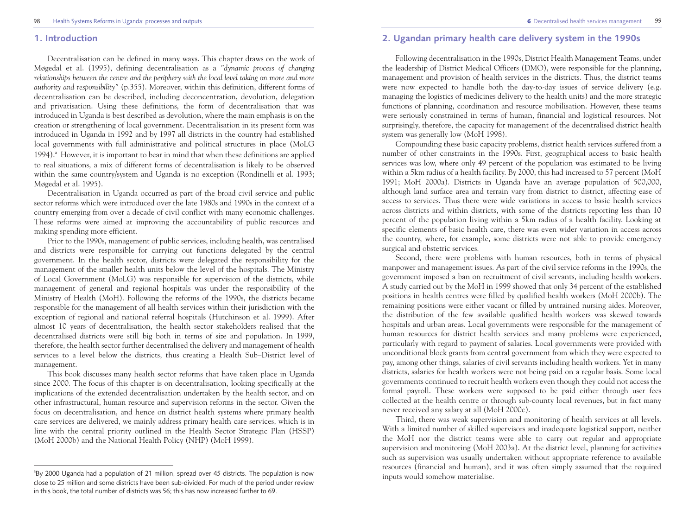### **1. Introduction**

Decentralisation can be defined in many ways. This chapter draws on the work of Møgedal et al. (1995), defining decentralisation as a *"dynamic process of changing relationships between the centre and the periphery with the local level taking on more and more authority and responsibility"* (p.355). Moreover, within this definition, different forms of decentralisation can be described, including deconcentration, devolution, delegation and privatisation. Using these definitions, the form of decentralisation that was introduced in Uganda is best described as devolution, where the main emphasis is on the creation or strengthening of local government. Decentralisation in its present form was introduced in Uganda in 1992 and by 1997 all districts in the country had established local governments with full administrative and political structures in place (MoLG  $1994$ ).<sup>a</sup> However, it is important to bear in mind that when these definitions are applied to real situations, a mix of different forms of decentralisation is likely to be observed within the same country/system and Uganda is no exception (Rondinelli et al. 1993; Møgedal et al. 1995).

Decentralisation in Uganda occurred as part of the broad civil service and public sector reforms which were introduced over the late 1980s and 1990s in the context of a country emerging from over a decade of civil conflict with many economic challenges. These reforms were aimed at improving the accountability of public resources and making spending more efficient.

Prior to the 1990s, management of public services, including health, was centralised and districts were responsible for carrying out functions delegated by the central government. In the health sector, districts were delegated the responsibility for the management of the smaller health units below the level of the hospitals. The Ministry of Local Government (MoLG) was responsible for supervision of the districts, while management of general and regional hospitals was under the responsibility of the Ministry of Health (MoH). Following the reforms of the 1990s, the districts became responsible for the management of all health services within their jurisdiction with the exception of regional and national referral hospitals (Hutchinson et al. 1999). After almost 10 years of decentralisation, the health sector stakeholders realised that the decentralised districts were still big both in terms of size and population. In 1999, therefore, the health sector further decentralised the delivery and management of health services to a level below the districts, thus creating a Health Sub–District level of management.

This book discusses many health sector reforms that have taken place in Uganda since 2000. The focus of this chapter is on decentralisation, looking specifically at the implications of the extended decentralisation undertaken by the health sector, and on other infrastructural, human resource and supervision reforms in the sector. Given the focus on decentralisation, and hence on district health systems where primary health care services are delivered, we mainly address primary health care services, which is in line with the central priority outlined in the Health Sector Strategic Plan (HSSP) (MoH 2000b) and the National Health Policy (NHP) (MoH 1999).

# **2. Ugandan primary health care delivery system in the 1990s**

Following decentralisation in the 1990s, District Health Management Teams, under the leadership of District Medical Officers (DMO), were responsible for the planning, management and provision of health services in the districts. Thus, the district teams were now expected to handle both the day-to-day issues of service delivery (e.g. managing the logistics of medicines delivery to the health units) and the more strategic functions of planning, coordination and resource mobilisation. However, these teams were seriously constrained in terms of human, financial and logistical resources. Not surprisingly, therefore, the capacity for management of the decentralised district health system was generally low (MoH 1998).

Compounding these basic capacity problems, district health services suffered from a number of other constraints in the 1990s. First, geographical access to basic health services was low, where only 49 percent of the population was estimated to be living within a 5km radius of a health facility. By 2000, this had increased to 57 percent (MoH 1991; MoH 2000a). Districts in Uganda have an average population of 500,000, although land surface area and terrain vary from district to district, affecting ease of access to services. Thus there were wide variations in access to basic health services across districts and within districts, with some of the districts reporting less than 10 percent of the population living within a 5km radius of a health facility. Looking at specific elements of basic health care, there was even wider variation in access across the country, where, for example, some districts were not able to provide emergency surgical and obstetric services.

Second, there were problems with human resources, both in terms of physical manpower and management issues. As part of the civil service reforms in the 1990s, the government imposed a ban on recruitment of civil servants, including health workers. A study carried out by the MoH in 1999 showed that only 34 percent of the established positions in health centres were filled by qualified health workers (MoH 2000b). The remaining positions were either vacant or filled by untrained nursing aides. Moreover, the distribution of the few available qualified health workers was skewed towards hospitals and urban areas. Local governments were responsible for the management of human resources for district health services and many problems were experienced, particularly with regard to payment of salaries. Local governments were provided with unconditional block grants from central government from which they were expected to pay, among other things, salaries of civil servants including health workers. Yet in many districts, salaries for health workers were not being paid on a regular basis. Some local governments continued to recruit health workers even though they could not access the formal payroll. These workers were supposed to be paid either through user fees collected at the health centre or through sub-county local revenues, but in fact many never received any salary at all (MoH 2000c).

Third, there was weak supervision and monitoring of health services at all levels. With a limited number of skilled supervisors and inadequate logistical support, neither the MoH nor the district teams were able to carry out regular and appropriate supervision and monitoring (MoH 2003a). At the district level, planning for activities such as supervision was usually undertaken without appropriate reference to available resources (financial and human), and it was often simply assumed that the required inputs would somehow materialise.

<sup>&</sup>lt;sup>a</sup>By 2000 Uganda had a population of 21 million, spread over 45 districts. The population is now close to 25 million and some districts have been sub-divided. For much of the period under review in this book, the total number of districts was 56; this has now increased further to 69.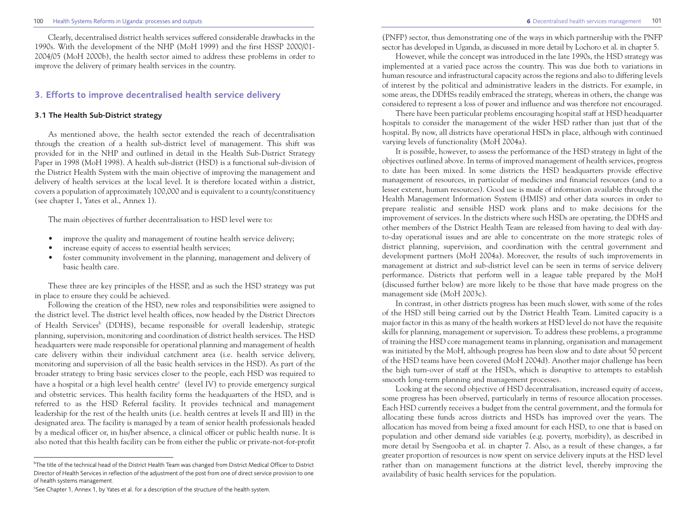#### 100 Health Systems Reforms in Uganda: processes and outputs 101

Clearly, decentralised district health services suffered considerable drawbacks in the 1990s. With the development of the NHP (MoH 1999) and the first HSSP 2000/01- 2004/05 (MoH 2000b), the health sector aimed to address these problems in order to improve the delivery of primary health services in the country.

# **3. Efforts to improve decentralised health service delivery**

#### **3.1 The Health Sub-District strategy**

As mentioned above, the health sector extended the reach of decentralisation through the creation of a health sub-district level of management. This shift was provided for in the NHP and outlined in detail in the Health Sub-District Strategy Paper in 1998 (MoH 1998). A health sub-district (HSD) is a functional sub-division of the District Health System with the main objective of improving the management and delivery of health services at the local level. It is therefore located within a district, covers a population of approximately 100,000 and is equivalent to a county/constituency (see chapter 1, Yates et al., Annex 1).

The main objectives of further decentralisation to HSD level were to:

- improve the quality and management of routine health service delivery;
- increase equity of access to essential health services;
- foster community involvement in the planning, management and delivery of basic health care.

These three are key principles of the HSSP, and as such the HSD strategy was put in place to ensure they could be achieved.

Following the creation of the HSD, new roles and responsibilities were assigned to the district level. The district level health offices, now headed by the District Directors of Health Services<sup>b</sup> (DDHS), became responsible for overall leadership, strategic planning, supervision, monitoring and coordination of district health services. The HSD headquarters were made responsible for operational planning and management of health care delivery within their individual catchment area (i.e. health service delivery, monitoring and supervision of all the basic health services in the HSD). As part of the broader strategy to bring basic services closer to the people, each HSD was required to have a hospital or a high level health centre<sup>c</sup> (level IV) to provide emergency surgical and obstetric services. This health facility forms the headquarters of the HSD, and is referred to as the HSD Referral facility. It provides technical and management leadership for the rest of the health units (i.e. health centres at levels II and III) in the designated area. The facility is managed by a team of senior health professionals headed by a medical officer or, in his/her absence, a clinical officer or public health nurse. It is also noted that this health facility can be from either the public or private-not-for-profit

(PNFP) sector, thus demonstrating one of the ways in which partnership with the PNFP sector has developed in Uganda, as discussed in more detail by Lochoro et al. in chapter 5.

However, while the concept was introduced in the late 1990s, the HSD strategy was implemented at a varied pace across the country. This was due both to variations in human resource and infrastructural capacity across the regions and also to differing levels of interest by the political and administrative leaders in the districts. For example, in some areas, the DDHSs readily embraced the strategy, whereas in others, the change was considered to represent a loss of power and influence and was therefore not encouraged.

There have been particular problems encouraging hospital staff at HSD headquarter hospitals to consider the management of the wider HSD rather than just that of the hospital. By now, all districts have operational HSDs in place, although with continued varying levels of functionality (MoH 2004a).

It is possible, however, to assess the performance of the HSD strategy in light of the objectives outlined above. In terms of improved management of health services, progress to date has been mixed. In some districts the HSD headquarters provide effective management of resources, in particular of medicines and financial resources (and to a lesser extent, human resources). Good use is made of information available through the Health Management Information System (HMIS) and other data sources in order to prepare realistic and sensible HSD work plans and to make decisions for the improvement of services. In the districts where such HSDs are operating, the DDHS and other members of the District Health Team are released from having to deal with dayto-day operational issues and are able to concentrate on the more strategic roles of district planning, supervision, and coordination with the central government and development partners (MoH 2004a). Moreover, the results of such improvements in management at district and sub-district level can be seen in terms of service delivery performance. Districts that perform well in a league table prepared by the MoH (discussed further below) are more likely to be those that have made progress on the management side (MoH 2003c).

In contrast, in other districts progress has been much slower, with some of the roles of the HSD still being carried out by the District Health Team. Limited capacity is a major factor in this as many of the health workers at HSD level do not have the requisite skills for planning, management or supervision. To address these problems, a programme of training the HSD core management teams in planning, organisation and management was initiated by the MoH, although progress has been slow and to date about 50 percent of the HSD teams have been covered (MoH 2004d). Another major challenge has been the high turn-over of staff at the HSDs, which is disruptive to attempts to establish smooth long-term planning and management processes.

Looking at the second objective of HSD decentralisation, increased equity of access, some progress has been observed, particularly in terms of resource allocation processes. Each HSD currently receives a budget from the central government, and the formula for allocating these funds across districts and HSDs has improved over the years. The allocation has moved from being a fixed amount for each HSD, to one that is based on population and other demand side variables (e.g. poverty, morbidity), as described in more detail by Ssengooba et al. in chapter 7. Also, as a result of these changes, a far greater proportion of resources is now spent on service delivery inputs at the HSD level rather than on management functions at the district level, thereby improving the availability of basic health services for the population.

 $^{\rm b}$ The title of the technical head of the District Health Team was changed from District Medical Officer to District Director of Health Services in reflection of the adjustment of the post from one of direct service provision to one of health systems management.

<sup>&</sup>lt;sup>c</sup>See Chapter 1, Annex 1, by Yates et al. for a description of the structure of the health system.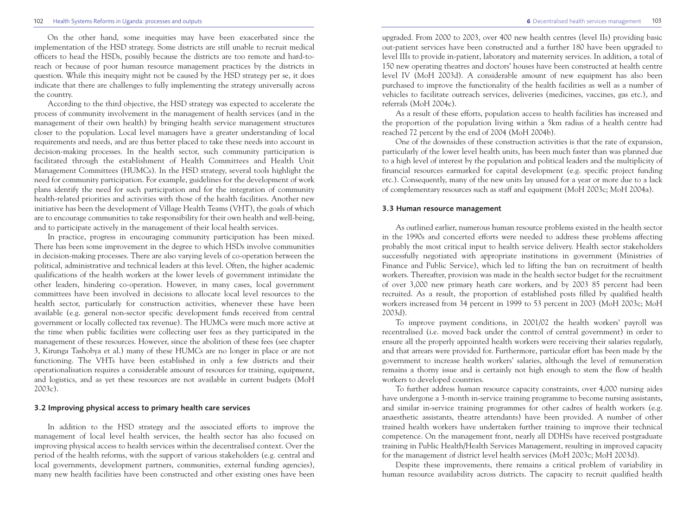#### 102 Health Systems Reforms in Uganda: processes and outputs **6** Decentralised health services management 103

On the other hand, some inequities may have been exacerbated since the implementation of the HSD strategy. Some districts are still unable to recruit medical officers to head the HSDs, possibly because the districts are too remote and hard-toreach or because of poor human resource management practices by the districts in question. While this inequity might not be caused by the HSD strategy per se, it does indicate that there are challenges to fully implementing the strategy universally across the country.

According to the third objective, the HSD strategy was expected to accelerate the process of community involvement in the management of health services (and in the management of their own health) by bringing health service management structures closer to the population. Local level managers have a greater understanding of local requirements and needs, and are thus better placed to take these needs into account in decision-making processes. In the health sector, such community participation is facilitated through the establishment of Health Committees and Health Unit Management Committees (HUMCs). In the HSD strategy, several tools highlight the need for community participation. For example, guidelines for the development of work plans identify the need for such participation and for the integration of community health-related priorities and activities with those of the health facilities. Another new initiative has been the development of Village Health Teams (VHT), the goals of which are to encourage communities to take responsibility for their own health and well-being, and to participate actively in the management of their local health services.

In practice, progress in encouraging community participation has been mixed. There has been some improvement in the degree to which HSDs involve communities in decision-making processes. There are also varying levels of co-operation between the political, administrative and technical leaders at this level. Often, the higher academic qualifications of the health workers at the lower levels of government intimidate the other leaders, hindering co-operation. However, in many cases, local government committees have been involved in decisions to allocate local level resources to the health sector, particularly for construction activities, whenever these have been available (e.g. general non-sector specific development funds received from central government or locally collected tax revenue). The HUMCs were much more active at the time when public facilities were collecting user fees as they participated in the management of these resources. However, since the abolition of these fees (see chapter 3, Kirunga Tashobya et al.) many of these HUMCs are no longer in place or are not functioning. The VHTs have been established in only a few districts and their operationalisation requires a considerable amount of resources for training, equipment, and logistics, and as yet these resources are not available in current budgets (MoH 2003c).

#### **3.2 Improving physical access to primary health care services**

In addition to the HSD strategy and the associated efforts to improve the management of local level health services, the health sector has also focused on improving physical access to health services within the decentralised context. Over the period of the health reforms, with the support of various stakeholders (e.g. central and local governments, development partners, communities, external funding agencies), many new health facilities have been constructed and other existing ones have been

upgraded. From 2000 to 2003, over 400 new health centres (level IIs) providing basic out-patient services have been constructed and a further 180 have been upgraded to level IIIs to provide in-patient, laboratory and maternity services. In addition, a total of 150 new operating theatres and doctors' houses have been constructed at health centre level IV (MoH 2003d). A considerable amount of new equipment has also been purchased to improve the functionality of the health facilities as well as a number of vehicles to facilitate outreach services, deliveries (medicines, vaccines, gas etc.), and referrals (MoH 2004c).

As a result of these efforts, population access to health facilities has increased and the proportion of the population living within a 5km radius of a health centre had reached 72 percent by the end of 2004 (MoH 2004b).

One of the downsides of these construction activities is that the rate of expansion, particularly of the lower level health units, has been much faster than was planned due to a high level of interest by the population and political leaders and the multiplicity of financial resources earmarked for capital development (e.g. specific project funding etc.). Consequently, many of the new units lay unused for a year or more due to a lack of complementary resources such as staff and equipment (MoH 2003c; MoH 2004a).

#### **3.3 Human resource management**

As outlined earlier, numerous human resource problems existed in the health sector in the 1990s and concerted efforts were needed to address these problems affecting probably the most critical input to health service delivery. Health sector stakeholders successfully negotiated with appropriate institutions in government (Ministries of Finance and Public Service), which led to lifting the ban on recruitment of health workers. Thereafter, provision was made in the health sector budget for the recruitment of over 3,000 new primary heath care workers, and by 2003 85 percent had been recruited. As a result, the proportion of established posts filled by qualified health workers increased from 34 percent in 1999 to 53 percent in 2003 (MoH 2003c; MoH 2003d).

To improve payment conditions, in 2001/02 the health workers' payroll was recentralised (i.e. moved back under the control of central government) in order to ensure all the properly appointed health workers were receiving their salaries regularly, and that arrears were provided for. Furthermore, particular effort has been made by the government to increase health workers' salaries, although the level of remuneration remains a thorny issue and is certainly not high enough to stem the flow of health workers to developed countries.

To further address human resource capacity constraints, over 4,000 nursing aides have undergone a 3-month in-service training programme to become nursing assistants, and similar in-service training programmes for other cadres of health workers (e.g. anaesthetic assistants, theatre attendants) have been provided. A number of other trained health workers have undertaken further training to improve their technical competence. On the management front, nearly all DDHSs have received postgraduate training in Public Health/Health Services Management, resulting in improved capacity for the management of district level health services (MoH 2003c; MoH 2003d).

Despite these improvements, there remains a critical problem of variability in human resource availability across districts. The capacity to recruit qualified health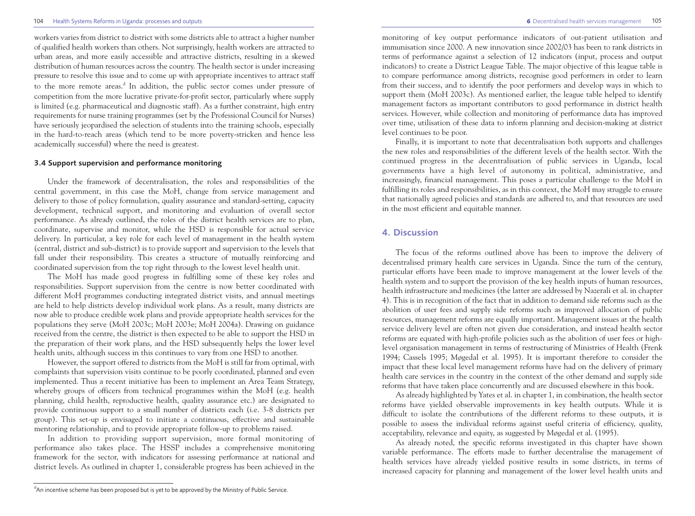workers varies from district to district with some districts able to attract a higher number of qualified health workers than others. Not surprisingly, health workers are attracted to urban areas, and more easily accessible and attractive districts, resulting in a skewed distribution of human resources across the country. The health sector is under increasing pressure to resolve this issue and to come up with appropriate incentives to attract staff to the more remote areas.<sup>d</sup> In addition, the public sector comes under pressure of competition from the more lucrative private-for-profit sector, particularly where supply is limited (e.g. pharmaceutical and diagnostic staff). As a further constraint, high entry requirements for nurse training programmes (set by the Professional Council for Nurses) have seriously jeopardised the selection of students into the training schools, especially in the hard-to-reach areas (which tend to be more poverty-stricken and hence less academically successful) where the need is greatest.

#### **3.4 Support supervision and performance monitoring**

Under the framework of decentralisation, the roles and responsibilities of the central government, in this case the MoH, change from service management and delivery to those of policy formulation, quality assurance and standard-setting, capacity development, technical support, and monitoring and evaluation of overall sector performance. As already outlined, the roles of the district health services are to plan, coordinate, supervise and monitor, while the HSD is responsible for actual service delivery. In particular, a key role for each level of management in the health system (central, district and sub-district) is to provide support and supervision to the levels that fall under their responsibility. This creates a structure of mutually reinforcing and coordinated supervision from the top right through to the lowest level health unit.

The MoH has made good progress in fulfilling some of these key roles and responsibilities. Support supervision from the centre is now better coordinated with different MoH programmes conducting integrated district visits, and annual meetings are held to help districts develop individual work plans. As a result, many districts are now able to produce credible work plans and provide appropriate health services for the populations they serve (MoH 2003c; MoH 2003e; MoH 2004a). Drawing on guidance received from the centre, the district is then expected to be able to support the HSD in the preparation of their work plans, and the HSD subsequently helps the lower level health units, although success in this continues to vary from one HSD to another.

However, the support offered to districts from the MoH is still far from optimal, with complaints that supervision visits continue to be poorly coordinated, planned and even implemented. Thus a recent initiative has been to implement an Area Team Strategy, whereby groups of officers from technical programmes within the MoH (e.g. health planning, child health, reproductive health, quality assurance etc.) are designated to provide continuous support to a small number of districts each (i.e. 3-8 districts per group). This set-up is envisaged to initiate a continuous, effective and sustainable mentoring relationship, and to provide appropriate follow-up to problems raised.

In addition to providing support supervision, more formal monitoring of performance also takes place. The HSSP includes a comprehensive monitoring framework for the sector, with indicators for assessing performance at national and district levels. As outlined in chapter 1, considerable progress has been achieved in the

monitoring of key output performance indicators of out-patient utilisation and immunisation since 2000. A new innovation since 2002/03 has been to rank districts in terms of performance against a selection of 12 indicators (input, process and output indicators) to create a District League Table. The major objective of this league table is to compare performance among districts, recognise good performers in order to learn from their success, and to identify the poor performers and develop ways in which to support them (MoH 2003c). As mentioned earlier, the league table helped to identify management factors as important contributors to good performance in district health services. However, while collection and monitoring of performance data has improved over time, utilisation of these data to inform planning and decision-making at district level continues to be poor.

Finally, it is important to note that decentralisation both supports and challenges the new roles and responsibilities of the different levels of the health sector. With the continued progress in the decentralisation of public services in Uganda, local governments have a high level of autonomy in political, administrative, and increasingly, financial management. This poses a particular challenge to the MoH in fulfilling its roles and responsibilities, as in this context, the MoH may struggle to ensure that nationally agreed policies and standards are adhered to, and that resources are used in the most efficient and equitable manner.

### **4. Discussion**

The focus of the reforms outlined above has been to improve the delivery of decentralised primary health care services in Uganda. Since the turn of the century, particular efforts have been made to improve management at the lower levels of the health system and to support the provision of the key health inputs of human resources, health infrastructure and medicines (the latter are addressed by Nazerali et al. in chapter 4). This is in recognition of the fact that in addition to demand side reforms such as the abolition of user fees and supply side reforms such as improved allocation of public resources, management reforms are equally important. Management issues at the health service delivery level are often not given due consideration, and instead health sector reforms are equated with high-profile policies such as the abolition of user fees or highlevel organisation management in terms of restructuring of Ministries of Health (Frenk 1994; Cassels 1995; Møgedal et al. 1995). It is important therefore to consider the impact that these local level management reforms have had on the delivery of primary health care services in the country in the context of the other demand and supply side reforms that have taken place concurrently and are discussed elsewhere in this book.

As already highlighted by Yates et al. in chapter 1, in combination, the health sector reforms have yielded observable improvements in key health outputs. While it is difficult to isolate the contributions of the different reforms to these outputs, it is possible to assess the individual reforms against useful criteria of efficiency, quality, acceptability, relevance and equity, as suggested by Møgedal et al. (1995).

As already noted, the specific reforms investigated in this chapter have shown variable performance. The efforts made to further decentralise the management of health services have already yielded positive results in some districts, in terms of increased capacity for planning and management of the lower level health units and

<sup>&</sup>lt;sup>d</sup>An incentive scheme has been proposed but is yet to be approved by the Ministry of Public Service.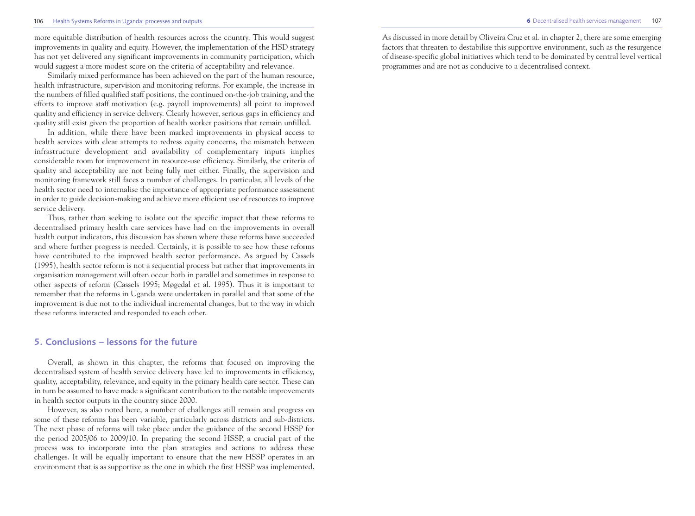#### 106 Health Systems Reforms in Uganda: processes and outputs **6** Decentralised health services management 107

more equitable distribution of health resources across the country. This would suggest improvements in quality and equity. However, the implementation of the HSD strategy has not yet delivered any significant improvements in community participation, which would suggest a more modest score on the criteria of acceptability and relevance.

Similarly mixed performance has been achieved on the part of the human resource, health infrastructure, supervision and monitoring reforms. For example, the increase in the numbers of filled qualified staff positions, the continued on-the-job training, and the efforts to improve staff motivation (e.g. payroll improvements) all point to improved quality and efficiency in service delivery. Clearly however, serious gaps in efficiency and quality still exist given the proportion of health worker positions that remain unfilled.

In addition, while there have been marked improvements in physical access to health services with clear attempts to redress equity concerns, the mismatch between infrastructure development and availability of complementary inputs implies considerable room for improvement in resource-use efficiency. Similarly, the criteria of quality and acceptability are not being fully met either. Finally, the supervision and monitoring framework still faces a number of challenges. In particular, all levels of the health sector need to internalise the importance of appropriate performance assessment in order to guide decision-making and achieve more efficient use of resources to improve service delivery.

Thus, rather than seeking to isolate out the specific impact that these reforms to decentralised primary health care services have had on the improvements in overall health output indicators, this discussion has shown where these reforms have succeeded and where further progress is needed. Certainly, it is possible to see how these reforms have contributed to the improved health sector performance. As argued by Cassels (1995), health sector reform is not a sequential process but rather that improvements in organisation management will often occur both in parallel and sometimes in response to other aspects of reform (Cassels 1995; Møgedal et al. 1995). Thus it is important to remember that the reforms in Uganda were undertaken in parallel and that some of the improvement is due not to the individual incremental changes, but to the way in which these reforms interacted and responded to each other.

# **5. Conclusions – lessons for the future**

Overall, as shown in this chapter, the reforms that focused on improving the decentralised system of health service delivery have led to improvements in efficiency, quality, acceptability, relevance, and equity in the primary health care sector. These can in turn be assumed to have made a significant contribution to the notable improvements in health sector outputs in the country since 2000.

However, as also noted here, a number of challenges still remain and progress on some of these reforms has been variable, particularly across districts and sub-districts. The next phase of reforms will take place under the guidance of the second HSSP for the period 2005/06 to 2009/10. In preparing the second HSSP, a crucial part of the process was to incorporate into the plan strategies and actions to address these challenges. It will be equally important to ensure that the new HSSP operates in an environment that is as supportive as the one in which the first HSSP was implemented.

As discussed in more detail by Oliveira Cruz et al. in chapter 2, there are some emerging factors that threaten to destabilise this supportive environment, such as the resurgence of disease-specific global initiatives which tend to be dominated by central level vertical programmes and are not as conducive to a decentralised context.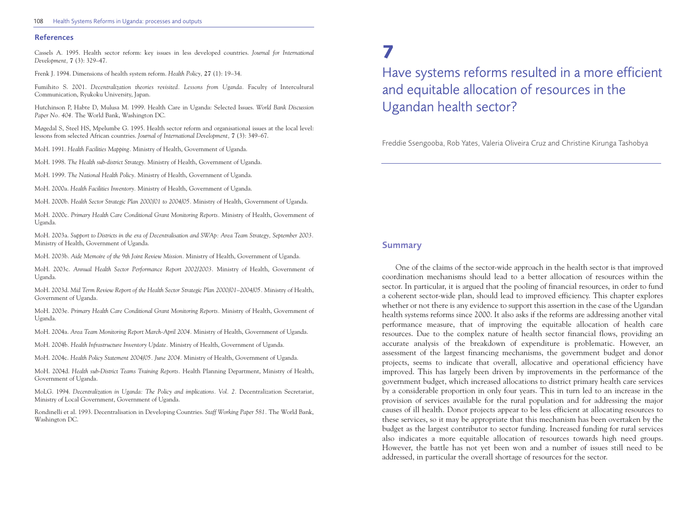#### 108 Health Systems Reforms in Uganda: processes and outputs

#### **References**

Cassels A. 1995. Health sector reform: key issues in less developed countries. *Journal for International Development,* **7** (3): 329–47.

Frenk J. 1994. Dimensions of health system reform. *Health Policy,* **27** (1): 19–34.

Fumihito S. 2001. *Decentralization theories revisited. Lessons from Uganda.* Faculty of Intercultural Communication, Ryukoku University, Japan.

Hutchinson P, Habte D, Mulusa M. 1999. Health Care in Uganda: Selected Issues. *World Bank Discussion Paper No. 404.* The World Bank, Washington DC.

Møgedal S, Steel HS, Mpelumbe G. 1995. Health sector reform and organisational issues at the local level: lessons from selected African countries. *Journal of International Development,* **7** (3): 349–67.

MoH. 1991. *Health Facilities Mapping.* Ministry of Health, Government of Uganda.

MoH. 1998. *The Health sub-district Strategy.* Ministry of Health, Government of Uganda.

MoH. 1999. *The National Health Policy.* Ministry of Health, Government of Uganda.

MoH. 2000a. *Health Facilities Inventory.* Ministry of Health, Government of Uganda.

MoH. 2000b. *Health Sector Strategic Plan 2000/01 to 2004/05.* Ministry of Health, Government of Uganda.

MoH. 2000c. *Primary Health Care Conditional Grant Monitoring Reports.* Ministry of Health, Government of Uganda.

MoH. 2003a. *Support to Districts in the era of Decentralisation and SWAp: Area Team Strategy, September 2003.* Ministry of Health, Government of Uganda.

MoH. 2003b. *Aide Memoire of the 9th Joint Review Mission.* Ministry of Health, Government of Uganda.

MoH. 2003c. *Annual Health Sector Performance Report 2002/2003.* Ministry of Health, Government of Uganda.

MoH. 2003d. *Mid Term Review Report of the Health Sector Strategic Plan 2000/01–2004/05.* Ministry of Health, Government of Uganda.

MoH. 2003e. *Primary Health Care Conditional Grant Monitoring Reports.* Ministry of Health, Government of Uganda.

MoH. 2004a. *Area Team Monitoring Report March-April 2004.* Ministry of Health, Government of Uganda.

MoH. 2004b. *Health Infrastructure Inventory Update.* Ministry of Health, Government of Uganda.

MoH. 2004c. *Health Policy Statement 2004/05. June 2004.* Ministry of Health, Government of Uganda.

MoH. 2004d. *Health sub-District Teams Training Reports.* Health Planning Department, Ministry of Health, Government of Uganda.

MoLG. 1994. *Decentralization in Uganda: The Policy and implications. Vol. 2.* Decentralization Secretariat, Ministry of Local Government, Government of Uganda.

Rondinelli et al. 1993. Decentralisation in Developing Countries. *Staff Working Paper 581.* The World Bank, Washington DC.

# **7**

Have systems reforms resulted in a more efficient and equitable allocation of resources in the Ugandan health sector?

Freddie Ssengooba, Rob Yates, Valeria Oliveira Cruz and Christine Kirunga Tashobya

### **Summary**

One of the claims of the sector-wide approach in the health sector is that improved coordination mechanisms should lead to a better allocation of resources within the sector. In particular, it is argued that the pooling of financial resources, in order to fund a coherent sector-wide plan, should lead to improved efficiency. This chapter explores whether or not there is any evidence to support this assertion in the case of the Ugandan health systems reforms since 2000. It also asks if the reforms are addressing another vital performance measure, that of improving the equitable allocation of health care resources. Due to the complex nature of health sector financial flows, providing an accurate analysis of the breakdown of expenditure is problematic. However, an assessment of the largest financing mechanisms, the government budget and donor projects, seems to indicate that overall, allocative and operational efficiency have improved. This has largely been driven by improvements in the performance of the government budget, which increased allocations to district primary health care services by a considerable proportion in only four years. This in turn led to an increase in the provision of services available for the rural population and for addressing the major causes of ill health. Donor projects appear to be less efficient at allocating resources to these services, so it may be appropriate that this mechanism has been overtaken by the budget as the largest contributor to sector funding. Increased funding for rural services also indicates a more equitable allocation of resources towards high need groups. However, the battle has not yet been won and a number of issues still need to be addressed, in particular the overall shortage of resources for the sector.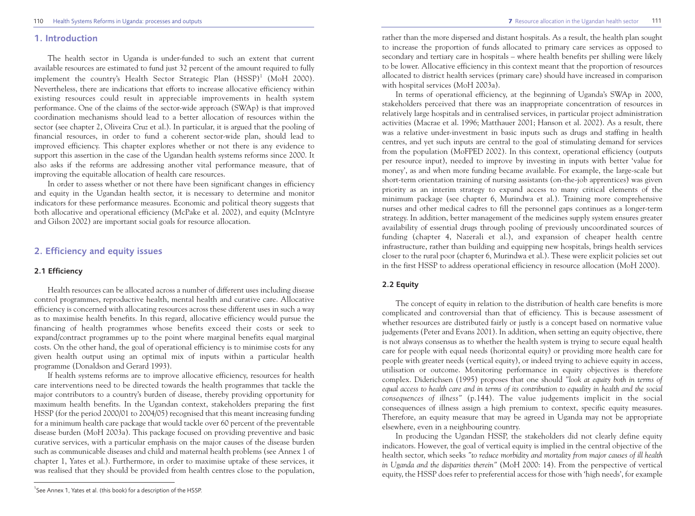## **1. Introduction**

The health sector in Uganda is under-funded to such an extent that current available resources are estimated to fund just 32 percent of the amount required to fully implement the country's Health Sector Strategic Plan  $(HSSP)^1$  (MoH 2000). Nevertheless, there are indications that efforts to increase allocative efficiency within existing resources could result in appreciable improvements in health system performance. One of the claims of the sector-wide approach (SWAp) is that improved coordination mechanisms should lead to a better allocation of resources within the sector (see chapter 2, Oliveira Cruz et al.). In particular, it is argued that the pooling of financial resources, in order to fund a coherent sector-wide plan, should lead to improved efficiency. This chapter explores whether or not there is any evidence to support this assertion in the case of the Ugandan health systems reforms since 2000. It also asks if the reforms are addressing another vital performance measure, that of improving the equitable allocation of health care resources.

In order to assess whether or not there have been significant changes in efficiency and equity in the Ugandan health sector, it is necessary to determine and monitor indicators for these performance measures. Economic and political theory suggests that both allocative and operational efficiency (McPake et al. 2002), and equity (McIntyre and Gilson 2002) are important social goals for resource allocation.

# **2. Efficiency and equity issues**

# **2.1 Efficiency**

Health resources can be allocated across a number of different uses including disease control programmes, reproductive health, mental health and curative care. Allocative efficiency is concerned with allocating resources across these different uses in such a way as to maximise health benefits. In this regard, allocative efficiency would pursue the financing of health programmes whose benefits exceed their costs or seek to expand/contract programmes up to the point where marginal benefits equal marginal costs. On the other hand, the goal of operational efficiency is to minimise costs for any given health output using an optimal mix of inputs within a particular health programme (Donaldson and Gerard 1993).

If health systems reforms are to improve allocative efficiency, resources for health care interventions need to be directed towards the health programmes that tackle the major contributors to a country's burden of disease, thereby providing opportunity for maximum health benefits. In the Ugandan context, stakeholders preparing the first HSSP (for the period 2000/01 to 2004/05) recognised that this meant increasing funding for a minimum health care package that would tackle over 60 percent of the preventable disease burden (MoH 2003a). This package focused on providing preventive and basic curative services, with a particular emphasis on the major causes of the disease burden such as communicable diseases and child and maternal health problems (see Annex 1 of chapter 1, Yates et al.). Furthermore, in order to maximise uptake of these services, it was realised that they should be provided from health centres close to the population,

rather than the more dispersed and distant hospitals. As a result, the health plan sought to increase the proportion of funds allocated to primary care services as opposed to secondary and tertiary care in hospitals – where health benefits per shilling were likely to be lower. Allocative efficiency in this context meant that the proportion of resources allocated to district health services (primary care) should have increased in comparison with hospital services (MoH 2003a).

In terms of operational efficiency, at the beginning of Uganda's SWAp in 2000, stakeholders perceived that there was an inappropriate concentration of resources in relatively large hospitals and in centralised services, in particular project administration activities (Macrae et al. 1996; Matthauer 2001; Hanson et al. 2002). As a result, there was a relative under-investment in basic inputs such as drugs and staffing in health centres, and yet such inputs are central to the goal of stimulating demand for services from the population (MoFPED 2002). In this context, operational efficiency (outputs per resource input), needed to improve by investing in inputs with better 'value for money', as and when more funding became available. For example, the large-scale but short-term orientation training of nursing assistants (on-the-job apprentices) was given priority as an interim strategy to expand access to many critical elements of the minimum package (see chapter 6, Murindwa et al.). Training more comprehensive nurses and other medical cadres to fill the personnel gaps continues as a longer-term strategy. In addition, better management of the medicines supply system ensures greater availability of essential drugs through pooling of previously uncoordinated sources of funding (chapter 4, Nazerali et al.), and expansion of cheaper health centre infrastructure, rather than building and equipping new hospitals, brings health services closer to the rural poor (chapter 6, Murindwa et al.). These were explicit policies set out in the first HSSP to address operational efficiency in resource allocation (MoH 2000).

# **2.2 Equity**

The concept of equity in relation to the distribution of health care benefits is more complicated and controversial than that of efficiency. This is because assessment of whether resources are distributed fairly or justly is a concept based on normative value judgements (Peter and Evans 2001). In addition, when setting an equity objective, there is not always consensus as to whether the health system is trying to secure equal health care for people with equal needs (horizontal equity) or providing more health care for people with greater needs (vertical equity), or indeed trying to achieve equity in access, utilisation or outcome. Monitoring performance in equity objectives is therefore complex. Diderichsen (1995) proposes that one should *"look at equity both in terms of equal access to health care and in terms of its contribution to equality in health and the social consequences of illness"* (p.144). The value judgements implicit in the social consequences of illness assign a high premium to context, specific equity measures. Therefore, an equity measure that may be agreed in Uganda may not be appropriate elsewhere, even in a neighbouring country.

In producing the Ugandan HSSP, the stakeholders did not clearly define equity indicators. However, the goal of vertical equity is implied in the central objective of the health sector, which seeks *"to reduce morbidity and mortality from major causes of ill health in Uganda and the disparities therein"* (MoH 2000: 14). From the perspective of vertical equity, the HSSP does refer to preferential access for those with 'high needs', for example

<sup>&</sup>lt;sup>1</sup>See Annex 1, Yates et al. (this book) for a description of the HSSP.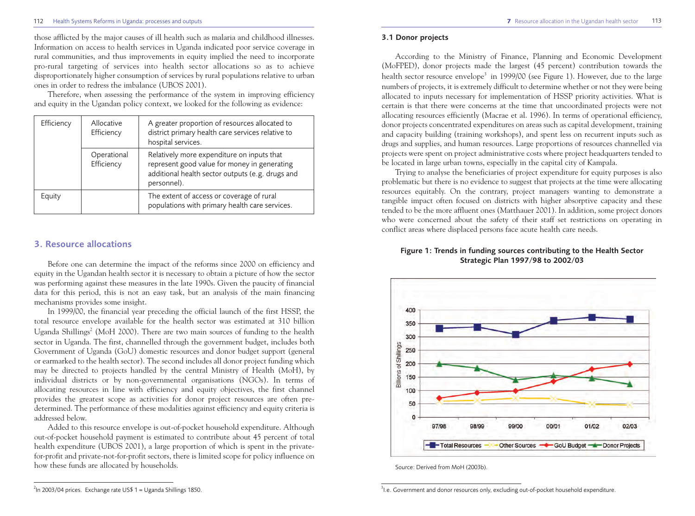#### 112 Health Systems Reforms in Uganda: processes and outputs 113 and the Uganda: processes and outputs 113

those afflicted by the major causes of ill health such as malaria and childhood illnesses. Information on access to health services in Uganda indicated poor service coverage in rural communities, and thus improvements in equity implied the need to incorporate pro-rural targeting of services into health sector allocations so as to achieve disproportionately higher consumption of services by rural populations relative to urban ones in order to redress the imbalance (UBOS 2001).

Therefore, when assessing the performance of the system in improving efficiency and equity in the Ugandan policy context, we looked for the following as evidence:

| Efficiency |  | Allocative<br>Efficiency  | A greater proportion of resources allocated to<br>district primary health care services relative to<br>hospital services.                                     |
|------------|--|---------------------------|---------------------------------------------------------------------------------------------------------------------------------------------------------------|
|            |  | Operational<br>Efficiency | Relatively more expenditure on inputs that<br>represent good value for money in generating<br>additional health sector outputs (e.g. drugs and<br>personnel). |
| Equity     |  |                           | The extent of access or coverage of rural<br>populations with primary health care services.                                                                   |

### **3. Resource allocations**

Before one can determine the impact of the reforms since 2000 on efficiency and equity in the Ugandan health sector it is necessary to obtain a picture of how the sector was performing against these measures in the late 1990s. Given the paucity of financial data for this period, this is not an easy task, but an analysis of the main financing mechanisms provides some insight.

In 1999/00, the financial year preceding the official launch of the first HSSP, the total resource envelope available for the health sector was estimated at 310 billion Uganda Shillings<sup>2</sup> (MoH 2000). There are two main sources of funding to the health sector in Uganda. The first, channelled through the government budget, includes both Government of Uganda (GoU) domestic resources and donor budget support (general or earmarked to the health sector). The second includes all donor project funding which may be directed to projects handled by the central Ministry of Health (MoH), by individual districts or by non-governmental organisations (NGOs). In terms of allocating resources in line with efficiency and equity objectives, the first channel provides the greatest scope as activities for donor project resources are often predetermined. The performance of these modalities against efficiency and equity criteria is addressed below.

Added to this resource envelope is out-of-pocket household expenditure. Although out-of-pocket household payment is estimated to contribute about 45 percent of total health expenditure (UBOS 2001), a large proportion of which is spent in the privatefor-profit and private-not-for-profit sectors, there is limited scope for policy influence on how these funds are allocated by households.

#### **3.1 Donor projects**

According to the Ministry of Finance, Planning and Economic Development (MoFPED), donor projects made the largest (45 percent) contribution towards the health sector resource envelope<sup>3</sup> in 1999/00 (see Figure 1). However, due to the large numbers of projects, it is extremely difficult to determine whether or not they were being allocated to inputs necessary for implementation of HSSP priority activities. What is certain is that there were concerns at the time that uncoordinated projects were not allocating resources efficiently (Macrae et al. 1996). In terms of operational efficiency, donor projects concentrated expenditures on areas such as capital development, training and capacity building (training workshops), and spent less on recurrent inputs such as drugs and supplies, and human resources. Large proportions of resources channelled via projects were spent on project administrative costs where project headquarters tended to be located in large urban towns, especially in the capital city of Kampala.

Trying to analyse the beneficiaries of project expenditure for equity purposes is also problematic but there is no evidence to suggest that projects at the time were allocating resources equitably. On the contrary, project managers wanting to demonstrate a tangible impact often focused on districts with higher absorptive capacity and these tended to be the more affluent ones (Matthauer 2001). In addition, some project donors who were concerned about the safety of their staff set restrictions on operating in conflict areas where displaced persons face acute health care needs.

#### **Figure 1: Trends in funding sources contributing to the Health Sector Strategic Plan 1997/98 to 2002/03**



Source: Derived from MoH (2003b).

 $^2$ ln 2003/04 prices. Exchange rate US\$ 1 = Uganda Shillings 1850.  $^3$ 

<sup>&</sup>lt;sup>3</sup> I.e. Government and donor resources only, excluding out-of-pocket household expenditure.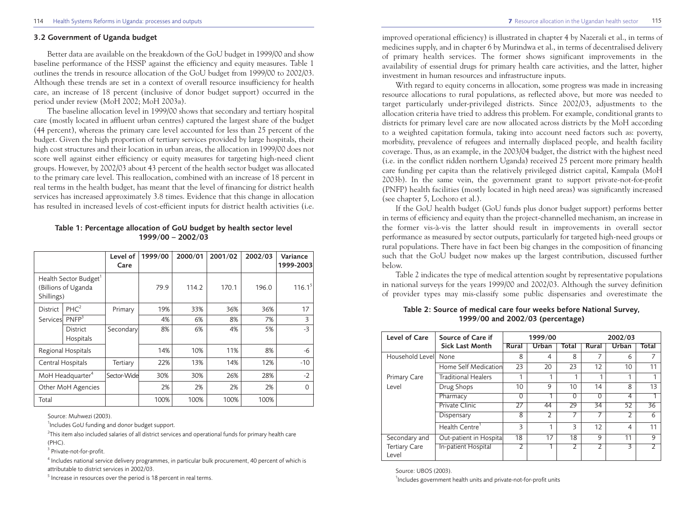#### **3.2 Government of Uganda budget**

Better data are available on the breakdown of the GoU budget in 1999/00 and show baseline performance of the HSSP against the efficiency and equity measures. Table 1 outlines the trends in resource allocation of the GoU budget from 1999/00 to 2002/03. Although these trends are set in a context of overall resource insufficiency for health care, an increase of 18 percent (inclusive of donor budget support) occurred in the period under review (MoH 2002; MoH 2003a).

The baseline allocation level in 1999/00 shows that secondary and tertiary hospital care (mostly located in affluent urban centres) captured the largest share of the budget (44 percent), whereas the primary care level accounted for less than 25 percent of the budget. Given the high proportion of tertiary services provided by large hospitals, their high cost structures and their location in urban areas, the allocation in 1999/00 does not score well against either efficiency or equity measures for targeting high-need client groups. However, by 2002/03 about 43 percent of the health sector budget was allocated to the primary care level. This reallocation, combined with an increase of 18 percent in real terms in the health budget, has meant that the level of financing for district health services has increased approximately 3.8 times. Evidence that this change in allocation has resulted in increased levels of cost-efficient inputs for district health activities (i.e.

**Level of 1999/00 2000/01 2001/02 2002/03 Variance**  Care 1999-2003 Health Sector Budget<sup>1</sup> (Billions of Uganda 196.0 114.2 114.2 170.1 196.0 116.1 Shillings) District  $|PHC^2|$  Primary 19% 33% 36% 36% 17 Services PNFP<sup>3</sup> 19% 4% 6% 8% 7% 3<br>District Secondary 8% 6% 4% 5% -3 District | Secondary 8% 6% | 4% | 5% | -3 **Hospitals** Regional Hospitals 14% 10% 11% 8% -6 Central Hospitals Tertiary 22% 13% 14% 12% -10

#### **Table 1: Percentage allocation of GoU budget by health sector level 1999/00 – 2002/03**

Source: Muhwezi (2003).

<sup>1</sup>Includes GoU funding and donor budget support.

 $^{2}$ This item also included salaries of all district services and operational funds for primary health care (PHC).

MoH Headquarter<sup>4</sup> Sector-Wide  $30\%$  30% 26% 28% 28% -2 Other MoH Agencies 2% 2% 2% 2% 2% 2% 0

Total 100% 100% 100% 100%

<sup>3</sup> Private-not-for-profit.

<sup>4</sup> Includes national service delivery programmes, in particular bulk procurement, 40 percent of which is attributable to district services in 2002/03.

 $5$  Increase in resources over the period is 18 percent in real terms.

improved operational efficiency) is illustrated in chapter 4 by Nazerali et al., in terms of medicines supply, and in chapter 6 by Murindwa et al., in terms of decentralised delivery of primary health services. The former shows significant improvements in the availability of essential drugs for primary health care activities, and the latter, higher investment in human resources and infrastructure inputs.

With regard to equity concerns in allocation, some progress was made in increasing resource allocations to rural populations, as reflected above, but more was needed to target particularly under-privileged districts. Since 2002/03, adjustments to the allocation criteria have tried to address this problem. For example, conditional grants to districts for primary level care are now allocated across districts by the MoH according to a weighted capitation formula, taking into account need factors such as: poverty, morbidity, prevalence of refugees and internally displaced people, and health facility coverage. Thus, as an example, in the 2003/04 budget, the district with the highest need (i.e. in the conflict ridden northern Uganda) received 25 percent more primary health care funding per capita than the relatively privileged district capital, Kampala (MoH 2003b). In the same vein, the government grant to support private-not-for-profit (PNFP) health facilities (mostly located in high need areas) was significantly increased (see chapter 5, Lochoro et al.).

If the GoU health budget (GoU funds plus donor budget support) performs better in terms of efficiency and equity than the project-channelled mechanism, an increase in the former vis-à-vis the latter should result in improvements in overall sector performance as measured by sector outputs, particularly for targeted high-need groups or rural populations. There have in fact been big changes in the composition of financing such that the GoU budget now makes up the largest contribution, discussed further below.

Table 2 indicates the type of medical attention sought by representative populations in national surveys for the years 1999/00 and 2002/03. Although the survey definition of provider types may mis-classify some public dispensaries and overestimate the

| Level of Care                 | Source of Care if          | 1999/00  |       |          | 2002/03  |       |       |
|-------------------------------|----------------------------|----------|-------|----------|----------|-------|-------|
|                               | <b>Sick Last Month</b>     | Rural    | Urban | Total    | Rural    | Urban | Total |
| Household Level               | None                       | 8        | 4     | 8        | 7        | 6     |       |
|                               | Home Self Medication       | 23       | 20    | 23       | 12       | 10    | 11    |
| <b>Primary Care</b><br>Level  | <b>Traditional Healers</b> | 1        | 1     | ┑        | 1        | 1     |       |
|                               | Drug Shops                 | 10       | 9     | 10       | 14       | 8     | 13    |
|                               | Pharmacy                   | $\Omega$ |       | $\Omega$ | $\Omega$ | 4     |       |
|                               | Private Clinic             | 27       | 44    | 29       | 34       | 52    | 36    |
|                               | Dispensary                 | 8        | 2     | 7        | 7        | C     | 6     |
|                               | Health Centre <sup>1</sup> | 3        | 1     | 3        | 12       | 4     | 11    |
| Secondary and                 | Out-patient in Hospital    | 18       | 17    | 18       | 9        | 11    | 9     |
| <b>Tertiary Care</b><br>Level | In-patient Hospital        | 2        |       | 2        | 2        | 3     |       |

**Table 2: Source of medical care four weeks before National Survey, 1999/00 and 2002/03 (percentage)**

Source: UBOS (2003).

<sup>1</sup>Includes government health units and private-not-for-profit units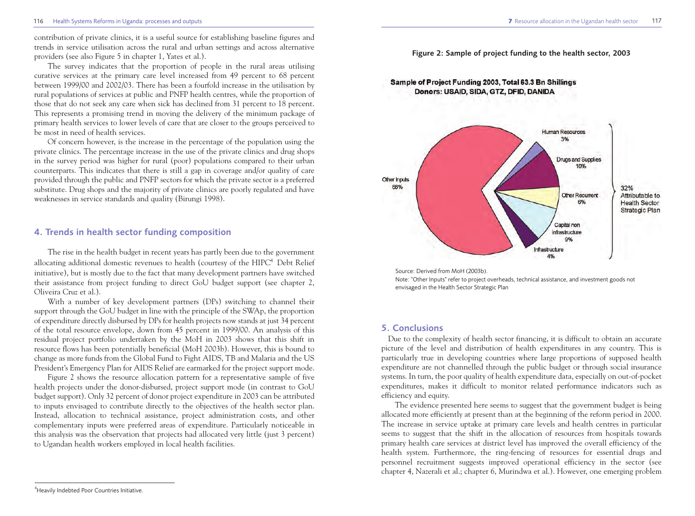#### 116 Health Systems Reforms in Uganda: processes and outputs **7** Resource allocation in the Ugandan health sector 117

contribution of private clinics, it is a useful source for establishing baseline figures and trends in service utilisation across the rural and urban settings and across alternative providers (see also Figure 5 in chapter 1, Yates et al.).

The survey indicates that the proportion of people in the rural areas utilising curative services at the primary care level increased from 49 percent to 68 percent between 1999/00 and 2002/03. There has been a fourfold increase in the utilisation by rural populations of services at public and PNFP health centres, while the proportion of those that do not seek any care when sick has declined from 31 percent to 18 percent. This represents a promising trend in moving the delivery of the minimum package of primary health services to lower levels of care that are closer to the groups perceived to be most in need of health services.

Of concern however, is the increase in the percentage of the population using the private clinics. The percentage increase in the use of the private clinics and drug shops in the survey period was higher for rural (poor) populations compared to their urban counterparts. This indicates that there is still a gap in coverage and/or quality of care provided through the public and PNFP sectors for which the private sector is a preferred substitute. Drug shops and the majority of private clinics are poorly regulated and have weaknesses in service standards and quality (Birungi 1998).

# **4. Trends in health sector funding composition**

The rise in the health budget in recent years has partly been due to the government allocating additional domestic revenues to health (courtesy of the  $HIPC<sup>4</sup>$  Debt Relief initiative), but is mostly due to the fact that many development partners have switched their assistance from project funding to direct GoU budget support (see chapter 2, Oliveira Cruz et al.).

With a number of key development partners (DPs) switching to channel their support through the GoU budget in line with the principle of the SWAp, the proportion of expenditure directly disbursed by DPs for health projects now stands at just 34 percent of the total resource envelope, down from 45 percent in 1999/00. An analysis of this residual project portfolio undertaken by the MoH in 2003 shows that this shift in resource flows has been potentially beneficial (MoH 2003b). However, this is bound to change as more funds from the Global Fund to Fight AIDS, TB and Malaria and the US President's Emergency Plan for AIDS Relief are earmarked for the project support mode.

Figure 2 shows the resource allocation pattern for a representative sample of five health projects under the donor-disbursed, project support mode (in contrast to GoU budget support). Only 32 percent of donor project expenditure in 2003 can be attributed to inputs envisaged to contribute directly to the objectives of the health sector plan. Instead, allocation to technical assistance, project administration costs, and other complementary inputs were preferred areas of expenditure. Particularly noticeable in this analysis was the observation that projects had allocated very little (just 3 percent) to Ugandan health workers employed in local health facilities.

Sample of Project Funding 2003, Total 63.3 Bn Shillings Donors: USAID, SIDA, GTZ, DFID, DANIDA

**Figure 2: Sample of project funding to the health sector, 2003** 





Note: "Other Inputs" refer to project overheads, technical assistance, and investment goods not envisaged in the Health Sector Strategic Plan

#### **5. Conclusions**

Due to the complexity of health sector financing, it is difficult to obtain an accurate picture of the level and distribution of health expenditures in any country. This is particularly true in developing countries where large proportions of supposed health expenditure are not channelled through the public budget or through social insurance systems. In turn, the poor quality of health expenditure data, especially on out-of-pocket expenditures, makes it difficult to monitor related performance indicators such as efficiency and equity.

The evidence presented here seems to suggest that the government budget is being allocated more efficiently at present than at the beginning of the reform period in 2000. The increase in service uptake at primary care levels and health centres in particular seems to suggest that the shift in the allocation of resources from hospitals towards primary health care services at district level has improved the overall efficiency of the health system. Furthermore, the ring-fencing of resources for essential drugs and personnel recruitment suggests improved operational efficiency in the sector (see chapter 4, Nazerali et al.; chapter 6, Murindwa et al.). However, one emerging problem